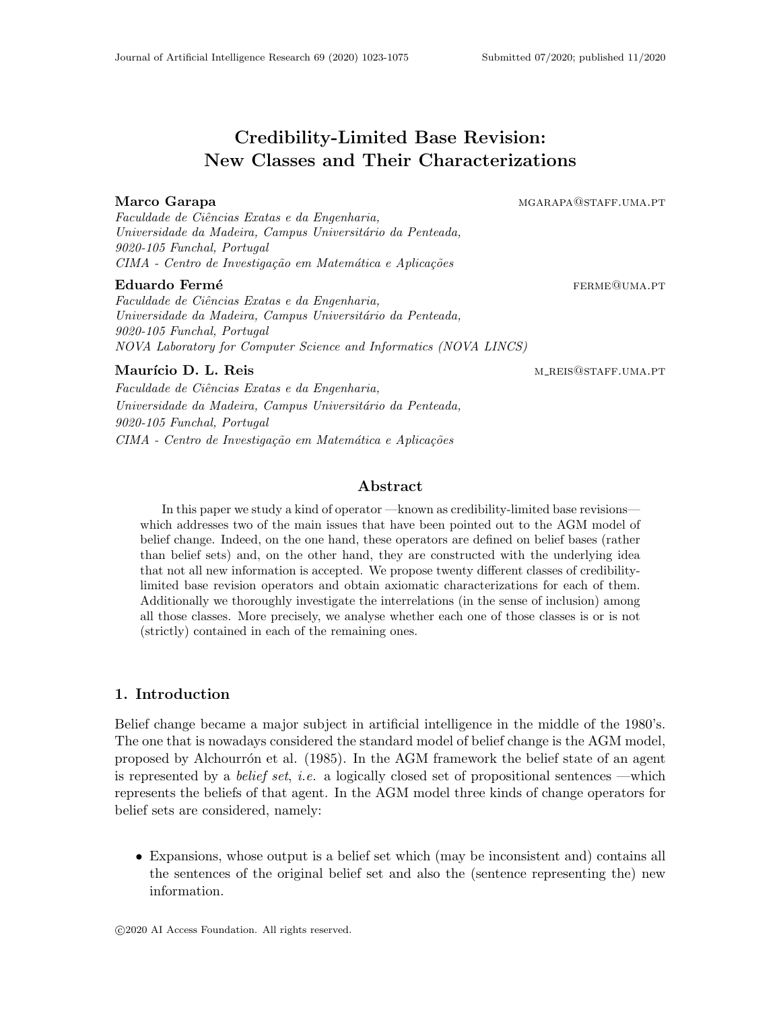# Credibility-Limited Base Revision: New Classes and Their Characterizations

# Marco Garapa mgarapa@staff.uma.pt

Faculdade de Ciˆencias Exatas e da Engenharia, Universidade da Madeira, Campus Universitário da Penteada, 9020-105 Funchal, Portugal CIMA - Centro de Investigação em Matemática e Aplicações

# Eduardo Fermé de la component de la component de la ferme de la ferme de la ferme de la ferme de la ferme de l

Faculdade de Ciências Exatas e da Engenharia, Universidade da Madeira, Campus Universitário da Penteada, 9020-105 Funchal, Portugal NOVA Laboratory for Computer Science and Informatics (NOVA LINCS)

# Maurício D. L. Reis metals and the metal metals of the metals of the metals of the metals of the metals of the metals of the metals of the metals of the metals of the metals of the metals of the metals of the metals of the

Faculdade de Ciências Exatas e da Engenharia, Universidade da Madeira, Campus Universitário da Penteada, 9020-105 Funchal, Portugal  $CIMA$  - Centro de Investigação em Matemática e Aplicações

# Abstract

In this paper we study a kind of operator —known as credibility-limited base revisions which addresses two of the main issues that have been pointed out to the AGM model of belief change. Indeed, on the one hand, these operators are defined on belief bases (rather than belief sets) and, on the other hand, they are constructed with the underlying idea that not all new information is accepted. We propose twenty different classes of credibilitylimited base revision operators and obtain axiomatic characterizations for each of them. Additionally we thoroughly investigate the interrelations (in the sense of inclusion) among all those classes. More precisely, we analyse whether each one of those classes is or is not (strictly) contained in each of the remaining ones.

# 1. Introduction

Belief change became a major subject in artificial intelligence in the middle of the 1980's. The one that is nowadays considered the standard model of belief change is the AGM model, proposed by Alchourron et al. (1985). In the AGM framework the belief state of an agent is represented by a *belief set, i.e.* a logically closed set of propositional sentences —which represents the beliefs of that agent. In the AGM model three kinds of change operators for belief sets are considered, namely:

• Expansions, whose output is a belief set which (may be inconsistent and) contains all the sentences of the original belief set and also the (sentence representing the) new information.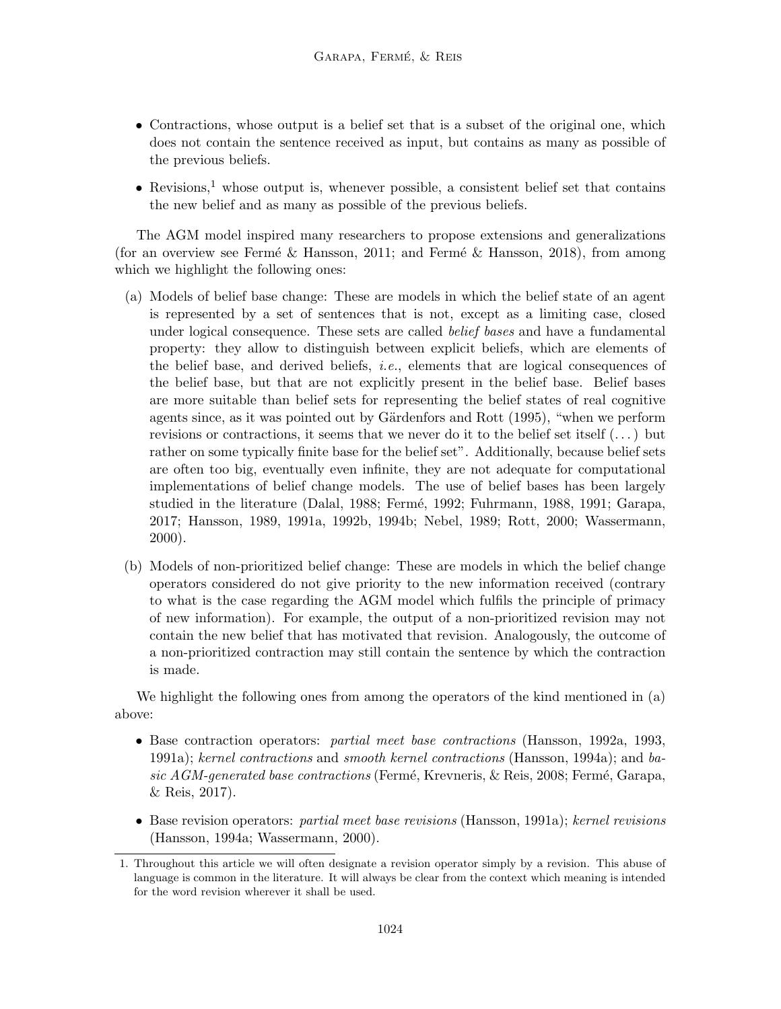- Contractions, whose output is a belief set that is a subset of the original one, which does not contain the sentence received as input, but contains as many as possible of the previous beliefs.
- Revisions,<sup>1</sup> whose output is, whenever possible, a consistent belief set that contains the new belief and as many as possible of the previous beliefs.

The AGM model inspired many researchers to propose extensions and generalizations (for an overview see Fermé & Hansson, 2011; and Fermé & Hansson, 2018), from among which we highlight the following ones:

- (a) Models of belief base change: These are models in which the belief state of an agent is represented by a set of sentences that is not, except as a limiting case, closed under logical consequence. These sets are called *belief bases* and have a fundamental property: they allow to distinguish between explicit beliefs, which are elements of the belief base, and derived beliefs, i.e., elements that are logical consequences of the belief base, but that are not explicitly present in the belief base. Belief bases are more suitable than belief sets for representing the belief states of real cognitive agents since, as it was pointed out by Gärdenfors and Rott (1995), "when we perform revisions or contractions, it seems that we never do it to the belief set itself  $(\ldots)$  but rather on some typically finite base for the belief set". Additionally, because belief sets are often too big, eventually even infinite, they are not adequate for computational implementations of belief change models. The use of belief bases has been largely studied in the literature (Dalal, 1988; Fermé, 1992; Fuhrmann, 1988, 1991; Garapa, 2017; Hansson, 1989, 1991a, 1992b, 1994b; Nebel, 1989; Rott, 2000; Wassermann, 2000).
- (b) Models of non-prioritized belief change: These are models in which the belief change operators considered do not give priority to the new information received (contrary to what is the case regarding the AGM model which fulfils the principle of primacy of new information). For example, the output of a non-prioritized revision may not contain the new belief that has motivated that revision. Analogously, the outcome of a non-prioritized contraction may still contain the sentence by which the contraction is made.

We highlight the following ones from among the operators of the kind mentioned in (a) above:

- Base contraction operators: partial meet base contractions (Hansson, 1992a, 1993, 1991a); kernel contractions and smooth kernel contractions (Hansson, 1994a); and basic  $AGM$ -generated base contractions (Fermé, Krevneris, & Reis, 2008; Fermé, Garapa, & Reis, 2017).
- Base revision operators: *partial meet base revisions* (Hansson, 1991a); *kernel revisions* (Hansson, 1994a; Wassermann, 2000).

<sup>1.</sup> Throughout this article we will often designate a revision operator simply by a revision. This abuse of language is common in the literature. It will always be clear from the context which meaning is intended for the word revision wherever it shall be used.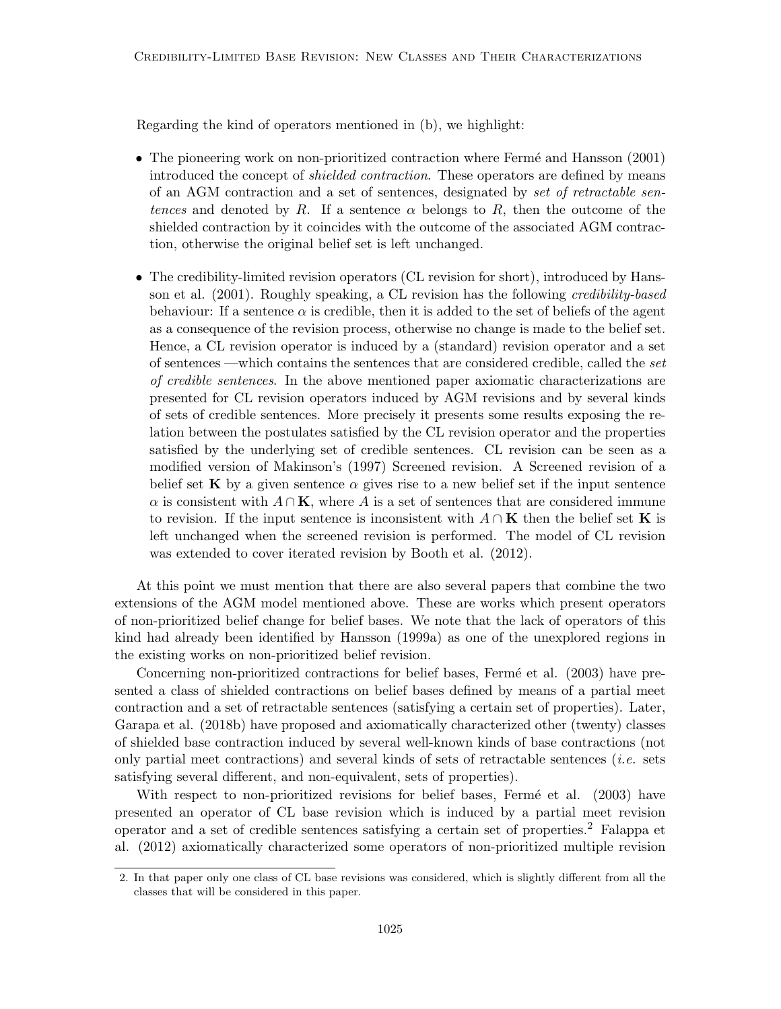Regarding the kind of operators mentioned in (b), we highlight:

- The pioneering work on non-prioritized contraction where Fermé and Hansson (2001) introduced the concept of shielded contraction. These operators are defined by means of an AGM contraction and a set of sentences, designated by set of retractable sentences and denoted by R. If a sentence  $\alpha$  belongs to R, then the outcome of the shielded contraction by it coincides with the outcome of the associated AGM contraction, otherwise the original belief set is left unchanged.
- The credibility-limited revision operators (CL revision for short), introduced by Hansson et al. (2001). Roughly speaking, a CL revision has the following *credibility-based* behaviour: If a sentence  $\alpha$  is credible, then it is added to the set of beliefs of the agent as a consequence of the revision process, otherwise no change is made to the belief set. Hence, a CL revision operator is induced by a (standard) revision operator and a set of sentences —which contains the sentences that are considered credible, called the set of credible sentences. In the above mentioned paper axiomatic characterizations are presented for CL revision operators induced by AGM revisions and by several kinds of sets of credible sentences. More precisely it presents some results exposing the relation between the postulates satisfied by the CL revision operator and the properties satisfied by the underlying set of credible sentences. CL revision can be seen as a modified version of Makinson's (1997) Screened revision. A Screened revision of a belief set K by a given sentence  $\alpha$  gives rise to a new belief set if the input sentence  $\alpha$  is consistent with  $A \cap \mathbf{K}$ , where A is a set of sentences that are considered immune to revision. If the input sentence is inconsistent with  $A \cap K$  then the belief set K is left unchanged when the screened revision is performed. The model of CL revision was extended to cover iterated revision by Booth et al. (2012).

At this point we must mention that there are also several papers that combine the two extensions of the AGM model mentioned above. These are works which present operators of non-prioritized belief change for belief bases. We note that the lack of operators of this kind had already been identified by Hansson (1999a) as one of the unexplored regions in the existing works on non-prioritized belief revision.

Concerning non-prioritized contractions for belief bases, Fermé et al. (2003) have presented a class of shielded contractions on belief bases defined by means of a partial meet contraction and a set of retractable sentences (satisfying a certain set of properties). Later, Garapa et al. (2018b) have proposed and axiomatically characterized other (twenty) classes of shielded base contraction induced by several well-known kinds of base contractions (not only partial meet contractions) and several kinds of sets of retractable sentences (*i.e.* sets satisfying several different, and non-equivalent, sets of properties).

With respect to non-prioritized revisions for belief bases, Fermé et al. (2003) have presented an operator of CL base revision which is induced by a partial meet revision operator and a set of credible sentences satisfying a certain set of properties.<sup>2</sup> Falappa et al. (2012) axiomatically characterized some operators of non-prioritized multiple revision

<sup>2.</sup> In that paper only one class of CL base revisions was considered, which is slightly different from all the classes that will be considered in this paper.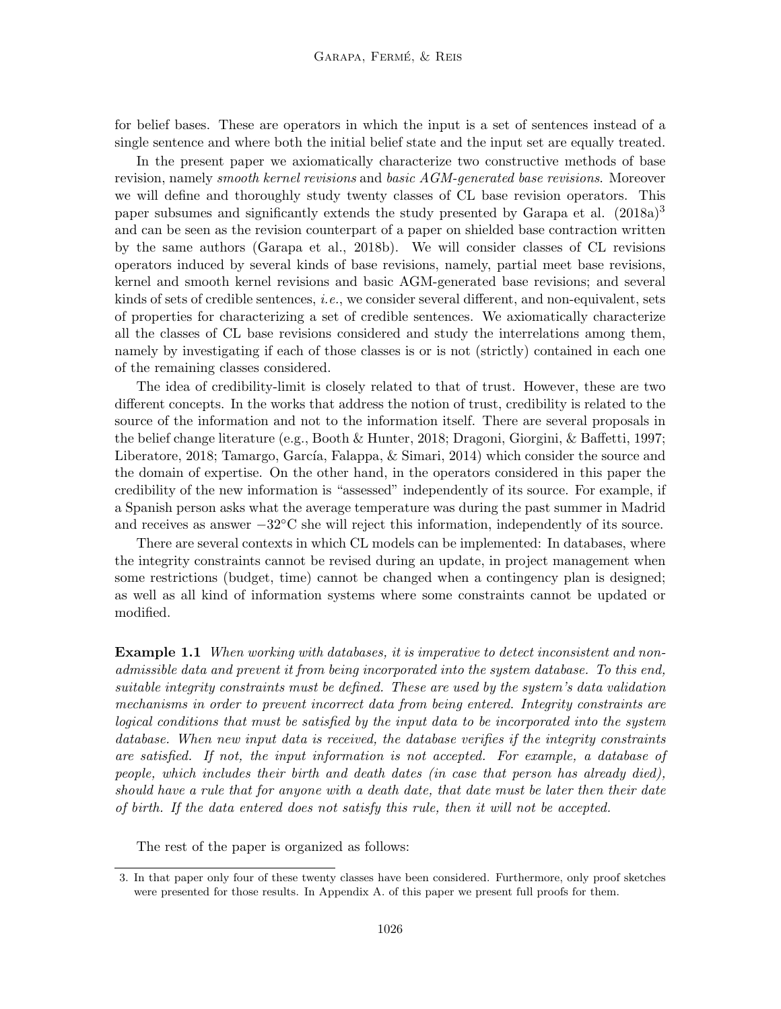for belief bases. These are operators in which the input is a set of sentences instead of a single sentence and where both the initial belief state and the input set are equally treated.

In the present paper we axiomatically characterize two constructive methods of base revision, namely *smooth kernel revisions* and *basic AGM-generated base revisions*. Moreover we will define and thoroughly study twenty classes of CL base revision operators. This paper subsumes and significantly extends the study presented by Garapa et al.  $(2018a)^3$ and can be seen as the revision counterpart of a paper on shielded base contraction written by the same authors (Garapa et al., 2018b). We will consider classes of CL revisions operators induced by several kinds of base revisions, namely, partial meet base revisions, kernel and smooth kernel revisions and basic AGM-generated base revisions; and several kinds of sets of credible sentences, *i.e.*, we consider several different, and non-equivalent, sets of properties for characterizing a set of credible sentences. We axiomatically characterize all the classes of CL base revisions considered and study the interrelations among them, namely by investigating if each of those classes is or is not (strictly) contained in each one of the remaining classes considered.

The idea of credibility-limit is closely related to that of trust. However, these are two different concepts. In the works that address the notion of trust, credibility is related to the source of the information and not to the information itself. There are several proposals in the belief change literature (e.g., Booth & Hunter, 2018; Dragoni, Giorgini, & Baffetti, 1997; Liberatore, 2018; Tamargo, García, Falappa,  $\&$  Simari, 2014) which consider the source and the domain of expertise. On the other hand, in the operators considered in this paper the credibility of the new information is "assessed" independently of its source. For example, if a Spanish person asks what the average temperature was during the past summer in Madrid and receives as answer  $-32^{\circ}\text{C}$  she will reject this information, independently of its source.

There are several contexts in which CL models can be implemented: In databases, where the integrity constraints cannot be revised during an update, in project management when some restrictions (budget, time) cannot be changed when a contingency plan is designed; as well as all kind of information systems where some constraints cannot be updated or modified.

**Example 1.1** When working with databases, it is imperative to detect inconsistent and nonadmissible data and prevent it from being incorporated into the system database. To this end, suitable integrity constraints must be defined. These are used by the system's data validation mechanisms in order to prevent incorrect data from being entered. Integrity constraints are logical conditions that must be satisfied by the input data to be incorporated into the system database. When new input data is received, the database verifies if the integrity constraints are satisfied. If not, the input information is not accepted. For example, a database of people, which includes their birth and death dates (in case that person has already died), should have a rule that for anyone with a death date, that date must be later then their date of birth. If the data entered does not satisfy this rule, then it will not be accepted.

The rest of the paper is organized as follows:

<sup>3.</sup> In that paper only four of these twenty classes have been considered. Furthermore, only proof sketches were presented for those results. In Appendix A. of this paper we present full proofs for them.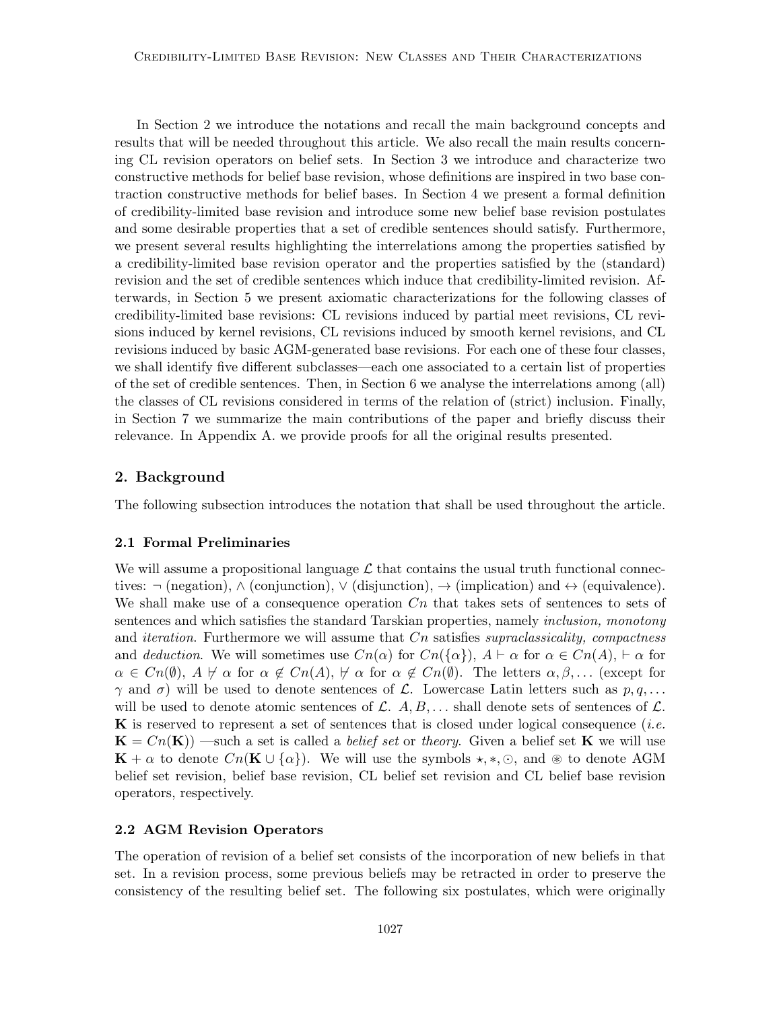In Section 2 we introduce the notations and recall the main background concepts and results that will be needed throughout this article. We also recall the main results concerning CL revision operators on belief sets. In Section 3 we introduce and characterize two constructive methods for belief base revision, whose definitions are inspired in two base contraction constructive methods for belief bases. In Section 4 we present a formal definition of credibility-limited base revision and introduce some new belief base revision postulates and some desirable properties that a set of credible sentences should satisfy. Furthermore, we present several results highlighting the interrelations among the properties satisfied by a credibility-limited base revision operator and the properties satisfied by the (standard) revision and the set of credible sentences which induce that credibility-limited revision. Afterwards, in Section 5 we present axiomatic characterizations for the following classes of credibility-limited base revisions: CL revisions induced by partial meet revisions, CL revisions induced by kernel revisions, CL revisions induced by smooth kernel revisions, and CL revisions induced by basic AGM-generated base revisions. For each one of these four classes, we shall identify five different subclasses—each one associated to a certain list of properties of the set of credible sentences. Then, in Section 6 we analyse the interrelations among (all) the classes of CL revisions considered in terms of the relation of (strict) inclusion. Finally, in Section 7 we summarize the main contributions of the paper and briefly discuss their relevance. In Appendix A. we provide proofs for all the original results presented.

### 2. Background

The following subsection introduces the notation that shall be used throughout the article.

#### 2.1 Formal Preliminaries

We will assume a propositional language  $\mathcal L$  that contains the usual truth functional connectives:  $\neg$  (negation),  $\wedge$  (conjunction),  $\vee$  (disjunction),  $\rightarrow$  (implication) and  $\leftrightarrow$  (equivalence). We shall make use of a consequence operation  $C_n$  that takes sets of sentences to sets of sentences and which satisfies the standard Tarskian properties, namely *inclusion, monotony* and *iteration*. Furthermore we will assume that  $C_n$  satisfies *supraclassicality*, *compactness* and deduction. We will sometimes use  $C_n(\alpha)$  for  $C_n({\{\alpha\}}), A \vdash \alpha$  for  $\alpha \in C_n(A), \vdash \alpha$  for  $\alpha \in C_n(\emptyset)$ ,  $A \not\vdash \alpha$  for  $\alpha \notin C_n(A)$ ,  $\nvdash \alpha$  for  $\alpha \notin C_n(\emptyset)$ . The letters  $\alpha, \beta, \dots$  (except for  $\gamma$  and  $\sigma$ ) will be used to denote sentences of  $\mathcal{L}$ . Lowercase Latin letters such as  $p, q, \ldots$ will be used to denote atomic sentences of  $\mathcal{L}$ .  $A, B, \ldots$  shall denote sets of sentences of  $\mathcal{L}$ .  $\bf{K}$  is reserved to represent a set of sentences that is closed under logical consequence (*i.e.*)  $\mathbf{K} = Cn(\mathbf{K})$  —such a set is called a *belief set* or *theory*. Given a belief set **K** we will use  $\mathbf{K} + \alpha$  to denote  $Cn(\mathbf{K} \cup {\alpha})$ . We will use the symbols  $\star, \star, \odot$ , and  $\circledast$  to denote AGM belief set revision, belief base revision, CL belief set revision and CL belief base revision operators, respectively.

### 2.2 AGM Revision Operators

The operation of revision of a belief set consists of the incorporation of new beliefs in that set. In a revision process, some previous beliefs may be retracted in order to preserve the consistency of the resulting belief set. The following six postulates, which were originally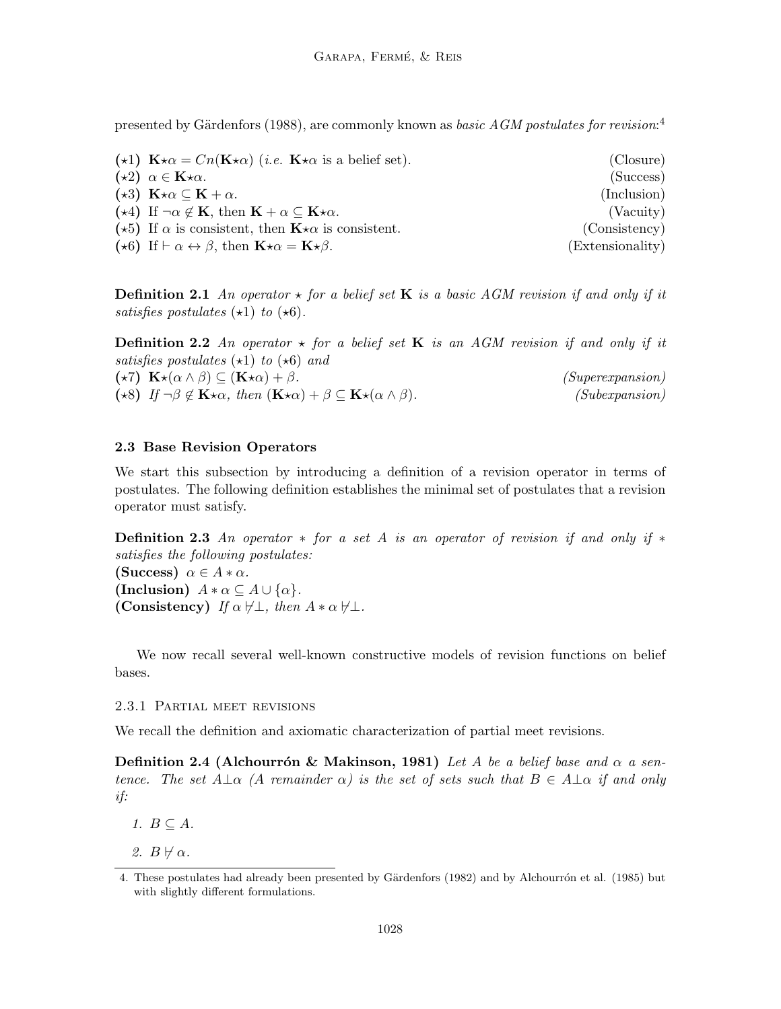presented by Gärdenfors (1988), are commonly known as *basic AGM postulates for revision*:<sup>4</sup>

| (*1) $\mathbf{K} \star \alpha = Cn(\mathbf{K} \star \alpha)$ ( <i>i.e.</i> $\mathbf{K} \star \alpha$ is a belief set). | (Closure)        |
|------------------------------------------------------------------------------------------------------------------------|------------------|
| $(\star 2) \ \alpha \in \mathbf{K} \star \alpha.$                                                                      | (Success)        |
| $(\star 3)$ $\mathbf{K} \star \alpha \subseteq \mathbf{K} + \alpha$ .                                                  | (Inclusion)      |
| (*4) If $\neg \alpha \notin \mathbf{K}$ , then $\mathbf{K} + \alpha \subseteq \mathbf{K} \star \alpha$ .               | (Vacuity)        |
| ( $\star$ 5) If $\alpha$ is consistent, then $\mathbf{K} \star \alpha$ is consistent.                                  | (Consistency)    |
| (*6) If $\vdash \alpha \leftrightarrow \beta$ , then $\mathbf{K} \star \alpha = \mathbf{K} \star \beta$ .              | (Extensionality) |

**Definition 2.1** An operator  $\star$  for a belief set **K** is a basic AGM revision if and only if it satisfies postulates  $(\star 1)$  to  $(\star 6)$ .

**Definition 2.2** An operator  $\star$  for a belief set **K** is an AGM revision if and only if it satisfies postulates  $(\star 1)$  to  $(\star 6)$  and ( $\star$ 7) **K** $\star$ ( $\alpha \wedge \beta$ )  $\subseteq$  (**K** $\star \alpha$ ) +  $\beta$ . (Superexpansion) (\*8) If  $\neg \beta \notin \mathbf{K} \star \alpha$ , then  $(\mathbf{K} \star \alpha) + \beta \subseteq \mathbf{K} \star (\alpha \wedge \beta)$ . (Subexpansion)

# 2.3 Base Revision Operators

We start this subsection by introducing a definition of a revision operator in terms of postulates. The following definition establishes the minimal set of postulates that a revision operator must satisfy.

**Definition 2.3** An operator  $*$  for a set A is an operator of revision if and only if  $*$ satisfies the following postulates: (Success)  $\alpha \in A * \alpha$ . (Inclusion)  $A * \alpha \subseteq A \cup \{\alpha\}.$ (Consistency) If  $\alpha \not\vdash \bot$ , then  $A * \alpha \not\vdash \bot$ .

We now recall several well-known constructive models of revision functions on belief bases.

### 2.3.1 Partial meet revisions

We recall the definition and axiomatic characterization of partial meet revisions.

**Definition 2.4 (Alchourrón & Makinson, 1981)** Let A be a belief base and  $\alpha$  a sentence. The set  $A\perp\alpha$  (A remainder  $\alpha$ ) is the set of sets such that  $B\in A\perp\alpha$  if and only if:

1.  $B \subseteq A$ .

2.  $B \not\vdash \alpha$ .

<sup>4.</sup> These postulates had already been presented by Gärdenfors (1982) and by Alchourron et al. (1985) but with slightly different formulations.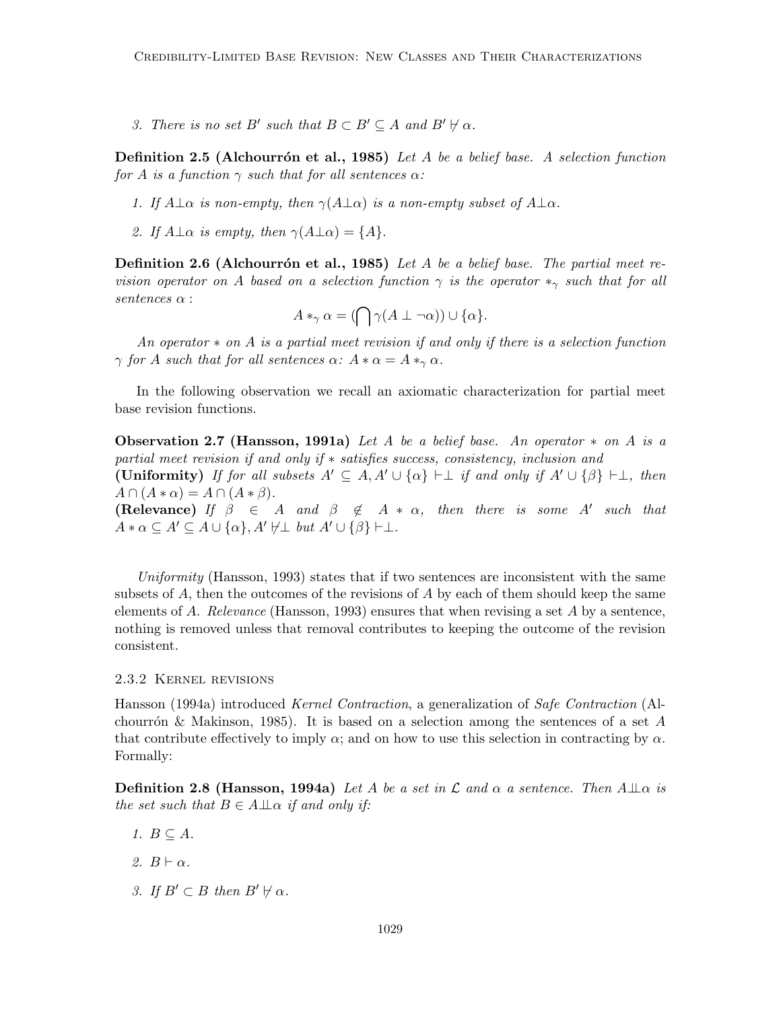3. There is no set B' such that  $B \subset B' \subseteq A$  and  $B' \not\vdash \alpha$ .

**Definition 2.5 (Alchourrón et al., 1985)** Let A be a belief base. A selection function for A is a function  $\gamma$  such that for all sentences  $\alpha$ :

- 1. If  $A\perp\alpha$  is non-empty, then  $\gamma(A\perp\alpha)$  is a non-empty subset of  $A\perp\alpha$ .
- 2. If  $A\perp\alpha$  is empty, then  $\gamma(A\perp\alpha) = \{A\}.$

**Definition 2.6 (Alchourrón et al., 1985)** Let A be a belief base. The partial meet revision operator on A based on a selection function  $\gamma$  is the operator  $\ast_{\gamma}$  such that for all sentences α :

$$
A *_{\gamma} \alpha = (\bigcap \gamma(A \perp \neg \alpha)) \cup \{\alpha\}.
$$

An operator ∗ on A is a partial meet revision if and only if there is a selection function  $\gamma$  for A such that for all sentences  $\alpha$ :  $A * \alpha = A *_{\gamma} \alpha$ .

In the following observation we recall an axiomatic characterization for partial meet base revision functions.

Observation 2.7 (Hansson, 1991a) Let A be a belief base. An operator  $*$  on A is a partial meet revision if and only if ∗ satisfies success, consistency, inclusion and (Uniformity) If for all subsets  $A' \subseteq A$ ,  $A' \cup {\alpha} \vdash \bot$  if and only if  $A' \cup {\beta} \vdash \bot$ , then  $A \cap (A * \alpha) = A \cap (A * \beta).$ (Relevance) If  $\beta \in A$  and  $\beta \notin A * \alpha$ , then there is some A' such that  $A * \alpha \subseteq A' \subseteq A \cup \{\alpha\}, A' \not\vdash \perp \textit{but } A' \cup \{\beta\} \vdash \perp.$ 

Uniformity (Hansson, 1993) states that if two sentences are inconsistent with the same subsets of  $A$ , then the outcomes of the revisions of  $A$  by each of them should keep the same elements of A. Relevance (Hansson, 1993) ensures that when revising a set A by a sentence, nothing is removed unless that removal contributes to keeping the outcome of the revision consistent.

### 2.3.2 Kernel revisions

Hansson (1994a) introduced Kernel Contraction, a generalization of Safe Contraction (Alchourrón & Makinson, 1985). It is based on a selection among the sentences of a set A that contribute effectively to imply  $\alpha$ ; and on how to use this selection in contracting by  $\alpha$ . Formally:

**Definition 2.8 (Hansson, 1994a)** Let A be a set in  $\mathcal L$  and  $\alpha$  a sentence. Then  $A \perp \hspace{-.08in} \perp a$  is the set such that  $B \in A \perp \hspace{-.08cm}\perp \hspace{-.08cm}\perp \alpha$  if and only if:

- 1.  $B \subseteq A$ .
- 2.  $B \vdash \alpha$ .
- 3. If  $B' \subset B$  then  $B' \not\vdash \alpha$ .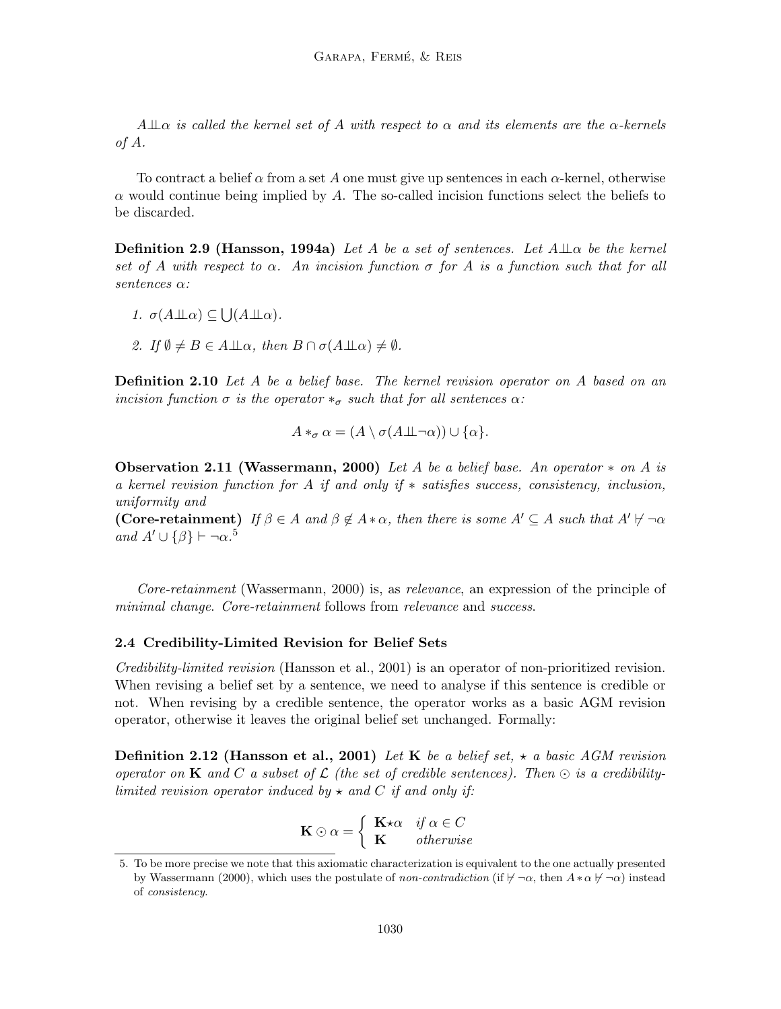$A\perp\!\!\!\perp\alpha$  is called the kernel set of A with respect to  $\alpha$  and its elements are the  $\alpha$ -kernels of A.

To contract a belief  $\alpha$  from a set A one must give up sentences in each  $\alpha$ -kernel, otherwise  $\alpha$  would continue being implied by A. The so-called incision functions select the beliefs to be discarded.

**Definition 2.9 (Hansson, 1994a)** Let A be a set of sentences. Let  $A \perp \hspace{-.08in} \perp \hspace{-.08in} \perp a$  be the kernel set of A with respect to  $\alpha$ . An incision function  $\sigma$  for A is a function such that for all sentences α:

- 1.  $\sigma(A \perp \perp \alpha) \subseteq \bigcup (A \perp \perp \alpha)$ .
- 2. If  $\emptyset \neq B \in A \perp \!\!\! \perp \alpha$ , then  $B \cap \sigma(A \perp \!\!\! \perp \alpha) \neq \emptyset$ .

Definition 2.10 Let A be a belief base. The kernel revision operator on A based on an incision function  $\sigma$  is the operator  $*_\sigma$  such that for all sentences  $\alpha$ :

$$
A *_{\sigma} \alpha = (A \setminus \sigma(A \perp \perp \neg \alpha)) \cup \{\alpha\}.
$$

**Observation 2.11 (Wassermann, 2000)** Let A be a belief base. An operator  $*$  on A is a kernel revision function for A if and only if  $*$  satisfies success, consistency, inclusion, uniformity and

(Core-retainment) If  $\beta \in A$  and  $\beta \notin A * \alpha$ , then there is some  $A' \subseteq A$  such that  $A' \nvdash \neg \alpha$ and  $A' \cup {\beta} \vdash \neg \alpha$ .<sup>5</sup>

Core-retainment (Wassermann, 2000) is, as relevance, an expression of the principle of minimal change. Core-retainment follows from relevance and success.

### 2.4 Credibility-Limited Revision for Belief Sets

Credibility-limited revision (Hansson et al., 2001) is an operator of non-prioritized revision. When revising a belief set by a sentence, we need to analyse if this sentence is credible or not. When revising by a credible sentence, the operator works as a basic AGM revision operator, otherwise it leaves the original belief set unchanged. Formally:

**Definition 2.12 (Hansson et al., 2001)** Let **K** be a belief set,  $\star$  a basic AGM revision operator on **K** and C a subset of  $\mathcal{L}$  (the set of credible sentences). Then  $\odot$  is a credibilitylimited revision operator induced by  $\star$  and C if and only if:

$$
\mathbf{K} \odot \alpha = \left\{ \begin{array}{ll} \mathbf{K} \star \alpha & \text{if } \alpha \in C \\ \mathbf{K} & \text{otherwise} \end{array} \right.
$$

<sup>5.</sup> To be more precise we note that this axiomatic characterization is equivalent to the one actually presented by Wassermann (2000), which uses the postulate of non-contradiction (if  $\nvdash \neg \alpha$ , then  $A * \alpha \nvdash \neg \alpha$ ) instead of consistency.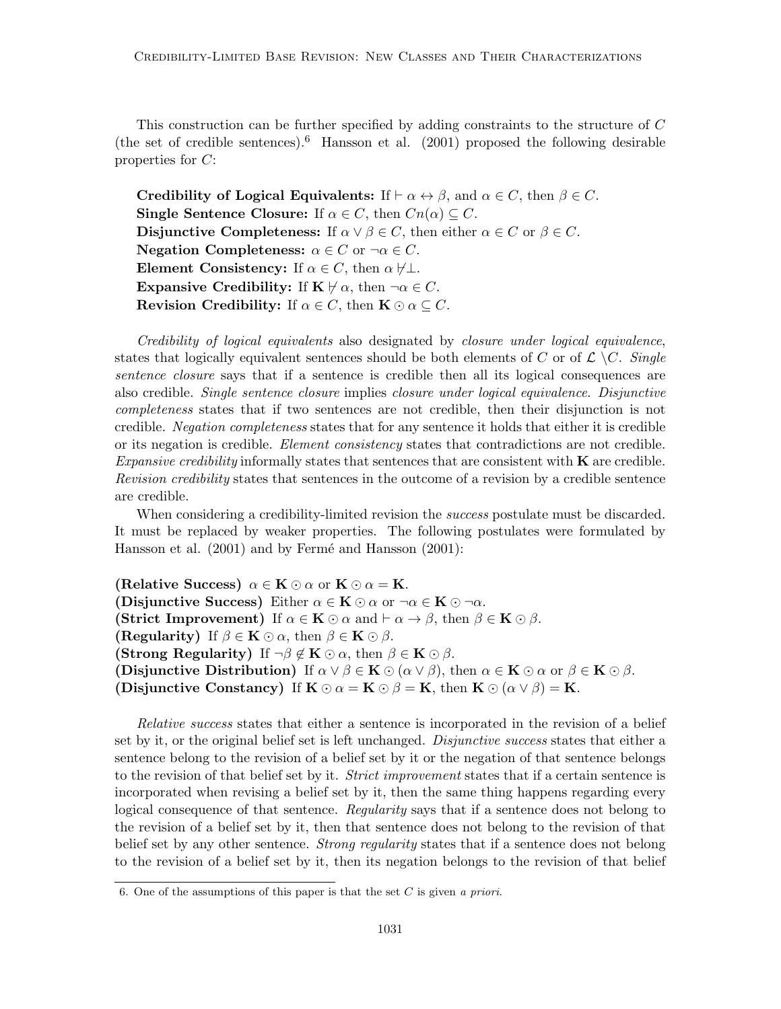This construction can be further specified by adding constraints to the structure of C (the set of credible sentences).<sup>6</sup> Hansson et al.  $(2001)$  proposed the following desirable properties for C:

Credibility of Logical Equivalents: If  $\vdash \alpha \leftrightarrow \beta$ , and  $\alpha \in C$ , then  $\beta \in C$ . Single Sentence Closure: If  $\alpha \in C$ , then  $C_n(\alpha) \subseteq C$ . Disjunctive Completeness: If  $\alpha \vee \beta \in C$ , then either  $\alpha \in C$  or  $\beta \in C$ . Negation Completeness:  $\alpha \in C$  or  $\neg \alpha \in C$ . Element Consistency: If  $\alpha \in C$ , then  $\alpha \not\vdash \bot$ . Expansive Credibility: If  $\mathbf{K} \not\vdash \alpha$ , then  $\neg \alpha \in C$ . **Revision Credibility:** If  $\alpha \in C$ , then  $\mathbf{K} \odot \alpha \subseteq C$ .

Credibility of logical equivalents also designated by closure under logical equivalence, states that logically equivalent sentences should be both elements of C or of  $\mathcal{L} \setminus C$ . Single sentence closure says that if a sentence is credible then all its logical consequences are also credible. Single sentence closure implies closure under logical equivalence. Disjunctive completeness states that if two sentences are not credible, then their disjunction is not credible. Negation completeness states that for any sentence it holds that either it is credible or its negation is credible. Element consistency states that contradictions are not credible. Expansive credibility informally states that sentences that are consistent with  $\bf{K}$  are credible. Revision credibility states that sentences in the outcome of a revision by a credible sentence are credible.

When considering a credibility-limited revision the *success* postulate must be discarded. It must be replaced by weaker properties. The following postulates were formulated by Hansson et al.  $(2001)$  and by Fermé and Hansson  $(2001)$ :

(Relative Success)  $\alpha \in K \odot \alpha$  or  $K \odot \alpha = K$ . (Disjunctive Success) Either  $\alpha \in \mathbf{K} \odot \alpha$  or  $\neg \alpha \in \mathbf{K} \odot \neg \alpha$ . (Strict Improvement) If  $\alpha \in \mathbf{K} \odot \alpha$  and  $\vdash \alpha \rightarrow \beta$ , then  $\beta \in \mathbf{K} \odot \beta$ . (Regularity) If  $\beta \in \mathbf{K} \odot \alpha$ , then  $\beta \in \mathbf{K} \odot \beta$ . (Strong Regularity) If  $\neg \beta \notin K \odot \alpha$ , then  $\beta \in K \odot \beta$ . (Disjunctive Distribution) If  $\alpha \vee \beta \in \mathbf{K} \odot (\alpha \vee \beta)$ , then  $\alpha \in \mathbf{K} \odot \alpha$  or  $\beta \in \mathbf{K} \odot \beta$ . (Disjunctive Constancy) If  $\mathbf{K} \odot \alpha = \mathbf{K} \odot \beta = \mathbf{K}$ , then  $\mathbf{K} \odot (\alpha \vee \beta) = \mathbf{K}$ .

Relative success states that either a sentence is incorporated in the revision of a belief set by it, or the original belief set is left unchanged. Disjunctive success states that either a sentence belong to the revision of a belief set by it or the negation of that sentence belongs to the revision of that belief set by it. *Strict improvement* states that if a certain sentence is incorporated when revising a belief set by it, then the same thing happens regarding every logical consequence of that sentence. Regularity says that if a sentence does not belong to the revision of a belief set by it, then that sentence does not belong to the revision of that belief set by any other sentence. *Strong regularity* states that if a sentence does not belong to the revision of a belief set by it, then its negation belongs to the revision of that belief

<sup>6.</sup> One of the assumptions of this paper is that the set  $C$  is given a priori.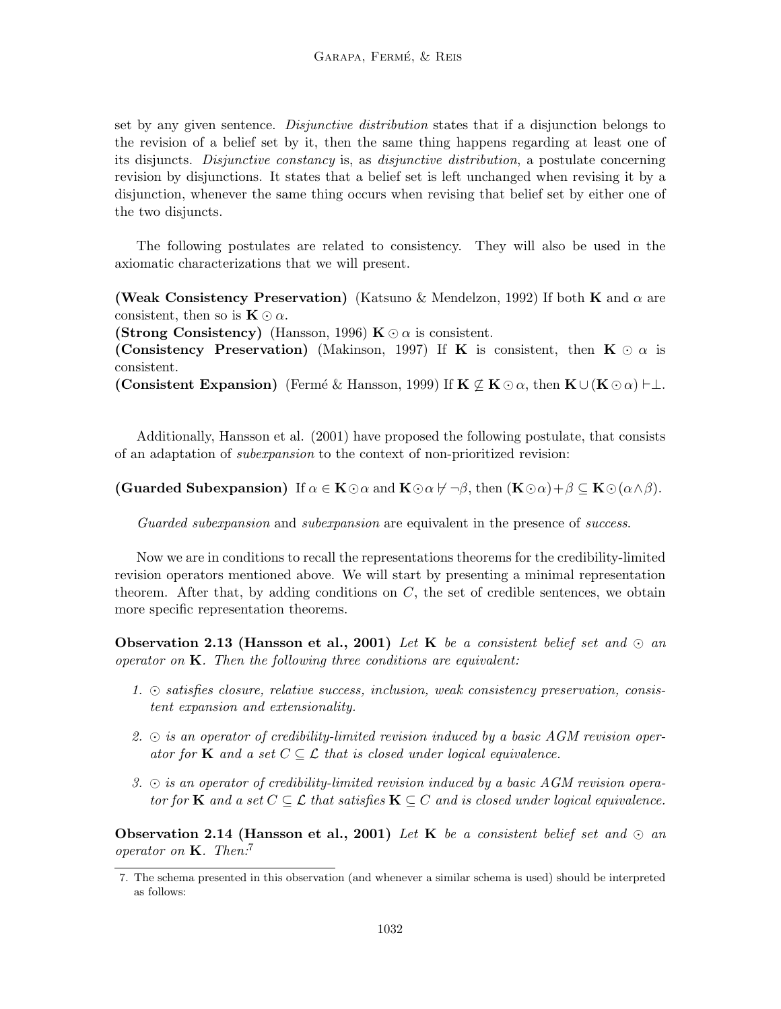set by any given sentence. Disjunctive distribution states that if a disjunction belongs to the revision of a belief set by it, then the same thing happens regarding at least one of its disjuncts. Disjunctive constancy is, as disjunctive distribution, a postulate concerning revision by disjunctions. It states that a belief set is left unchanged when revising it by a disjunction, whenever the same thing occurs when revising that belief set by either one of the two disjuncts.

The following postulates are related to consistency. They will also be used in the axiomatic characterizations that we will present.

(Weak Consistency Preservation) (Katsuno & Mendelzon, 1992) If both **K** and  $\alpha$  are consistent, then so is  $\mathbf{K} \odot \alpha$ .

(Strong Consistency) (Hansson, 1996)  $\mathbf{K} \odot \alpha$  is consistent.

(Consistency Preservation) (Makinson, 1997) If K is consistent, then  $K \odot \alpha$  is consistent.

(Consistent Expansion) (Fermé & Hansson, 1999) If  $\mathbf{K} \not\subseteq \mathbf{K} \odot \alpha$ , then  $\mathbf{K} \cup (\mathbf{K} \odot \alpha) \vdash \perp$ .

Additionally, Hansson et al. (2001) have proposed the following postulate, that consists of an adaptation of subexpansion to the context of non-prioritized revision:

(Guarded Subexpansion) If  $\alpha \in \mathbf{K} \odot \alpha$  and  $\mathbf{K} \odot \alpha \nvdash \neg \beta$ , then  $(\mathbf{K} \odot \alpha) + \beta \subseteq \mathbf{K} \odot (\alpha \wedge \beta)$ .

Guarded subexpansion and subexpansion are equivalent in the presence of success.

Now we are in conditions to recall the representations theorems for the credibility-limited revision operators mentioned above. We will start by presenting a minimal representation theorem. After that, by adding conditions on  $C$ , the set of credible sentences, we obtain more specific representation theorems.

Observation 2.13 (Hansson et al., 2001) Let K be a consistent belief set and  $\odot$  an operator on  $K$ . Then the following three conditions are equivalent:

- 1.  $\odot$  satisfies closure, relative success, inclusion, weak consistency preservation, consistent expansion and extensionality.
- 2.  $\odot$  is an operator of credibility-limited revision induced by a basic AGM revision operator for **K** and a set  $C \subseteq \mathcal{L}$  that is closed under logical equivalence.
- 3.  $\odot$  is an operator of credibility-limited revision induced by a basic AGM revision operator for **K** and a set  $C \subseteq \mathcal{L}$  that satisfies  $\mathbf{K} \subseteq C$  and is closed under logical equivalence.

Observation 2.14 (Hansson et al., 2001) Let K be a consistent belief set and  $\odot$  an operator on  $\mathbf{K}$ . Then:<sup>7</sup>

<sup>7.</sup> The schema presented in this observation (and whenever a similar schema is used) should be interpreted as follows: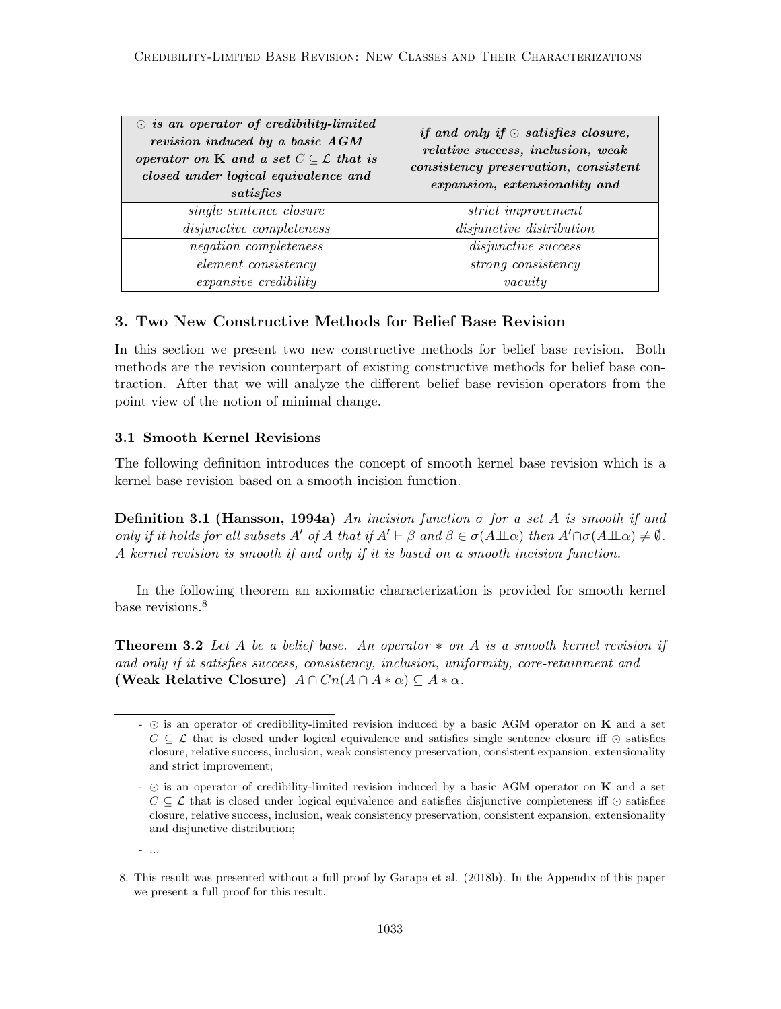| $\odot$ is an operator of credibility-limited<br>revision induced by a basic AGM<br>operator on K and a set $C \subseteq \mathcal{L}$ that is<br>closed under logical equivalence and<br>satisfies | if and only if $\odot$ satisfies closure,<br>relative success, inclusion, weak<br>consistency preservation, consistent<br>expansion, extensionality and |
|----------------------------------------------------------------------------------------------------------------------------------------------------------------------------------------------------|---------------------------------------------------------------------------------------------------------------------------------------------------------|
| single sentence closure                                                                                                                                                                            | strict improvement                                                                                                                                      |
| disjunctive completeness                                                                                                                                                                           | disjunctive distribution                                                                                                                                |
| negation completeness                                                                                                                                                                              | <i>disjunctive success</i>                                                                                                                              |
| <i>element consistency</i>                                                                                                                                                                         | strong consistency                                                                                                                                      |
| expansive credibility                                                                                                                                                                              | vacuity                                                                                                                                                 |

# 3. Two New Constructive Methods for Belief Base Revision

In this section we present two new constructive methods for belief base revision. Both methods are the revision counterpart of existing constructive methods for belief base contraction. After that we will analyze the different belief base revision operators from the point view of the notion of minimal change.

# 3.1 Smooth Kernel Revisions

The following definition introduces the concept of smooth kernel base revision which is a kernel base revision based on a smooth incision function.

**Definition 3.1 (Hansson, 1994a)** An incision function  $\sigma$  for a set A is smooth if and only if it holds for all subsets A' of A that if  $A' \vdash \beta$  and  $\beta \in \sigma(A \perp\!\!\!\perp \alpha)$  then  $A' \cap \sigma(A \perp\!\!\!\perp \alpha) \neq \emptyset$ . A kernel revision is smooth if and only if it is based on a smooth incision function.

In the following theorem an axiomatic characterization is provided for smooth kernel base revisions.<sup>8</sup>

**Theorem 3.2** Let A be a belief base. An operator  $*$  on A is a smooth kernel revision if and only if it satisfies success, consistency, inclusion, uniformity, core-retainment and (Weak Relative Closure)  $A \cap Cn(A \cap A * \alpha) \subseteq A * \alpha$ .

<sup>-</sup>  $\odot$  is an operator of credibility-limited revision induced by a basic AGM operator on **K** and a set  $C \subseteq \mathcal{L}$  that is closed under logical equivalence and satisfies single sentence closure iff  $\odot$  satisfies closure, relative success, inclusion, weak consistency preservation, consistent expansion, extensionality and strict improvement;

 $\sim$   $\odot$  is an operator of credibility-limited revision induced by a basic AGM operator on **K** and a set  $C \subseteq \mathcal{L}$  that is closed under logical equivalence and satisfies disjunctive completeness iff  $\odot$  satisfies closure, relative success, inclusion, weak consistency preservation, consistent expansion, extensionality and disjunctive distribution;

<sup>-</sup> ...

<sup>8.</sup> This result was presented without a full proof by Garapa et al. (2018b). In the Appendix of this paper we present a full proof for this result.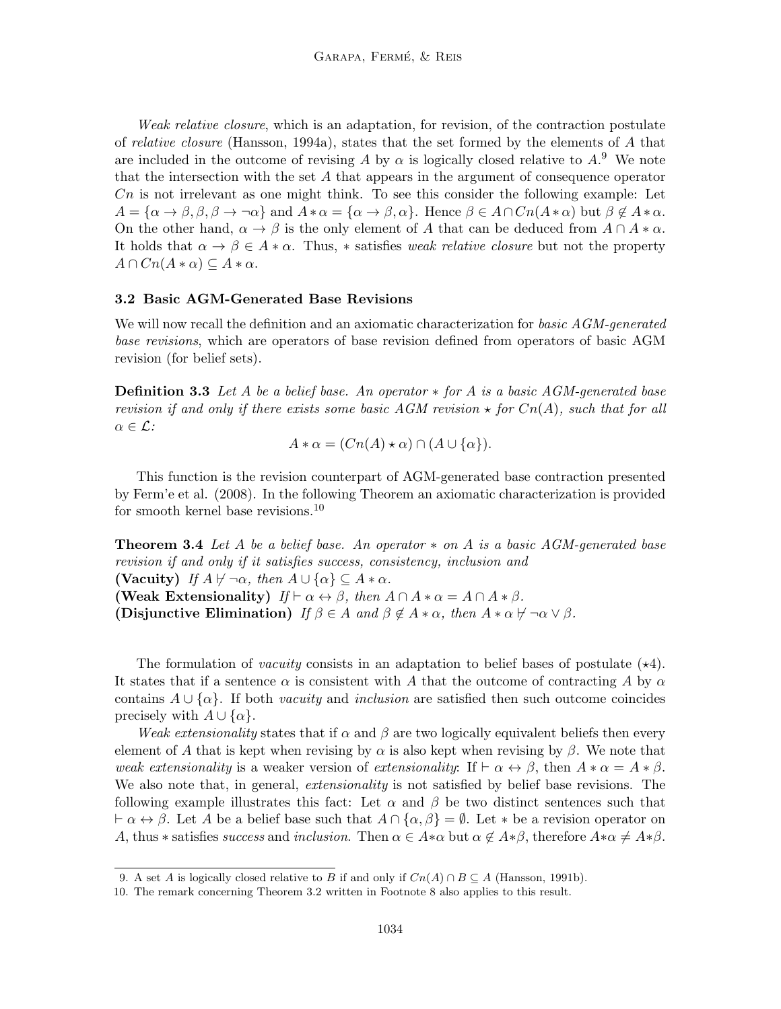Weak relative closure, which is an adaptation, for revision, of the contraction postulate of relative closure (Hansson, 1994a), states that the set formed by the elements of A that are included in the outcome of revising A by  $\alpha$  is logically closed relative to  $A$ .<sup>9</sup> We note that the intersection with the set  $A$  that appears in the argument of consequence operator  $C_n$  is not irrelevant as one might think. To see this consider the following example: Let  $A = {\alpha \rightarrow \beta, \beta, \beta \rightarrow \neg \alpha}$  and  $A * \alpha = {\alpha \rightarrow \beta, \alpha}$ . Hence  $\beta \in A \cap Cn(A * \alpha)$  but  $\beta \notin A * \alpha$ . On the other hand,  $\alpha \to \beta$  is the only element of A that can be deduced from  $A \cap A * \alpha$ . It holds that  $\alpha \to \beta \in A * \alpha$ . Thus, \* satisfies weak relative closure but not the property  $A \cap Cn(A * \alpha) \subseteq A * \alpha$ .

# 3.2 Basic AGM-Generated Base Revisions

We will now recall the definition and an axiomatic characterization for *basic AGM-generated* base revisions, which are operators of base revision defined from operators of basic AGM revision (for belief sets).

**Definition 3.3** Let A be a belief base. An operator  $*$  for A is a basic AGM-generated base revision if and only if there exists some basic AGM revision  $\star$  for  $C_n(A)$ , such that for all  $\alpha \in \mathcal{L}$ :

$$
A * \alpha = (Cn(A) * \alpha) \cap (A \cup \{\alpha\}).
$$

This function is the revision counterpart of AGM-generated base contraction presented by Ferm'e et al. (2008). In the following Theorem an axiomatic characterization is provided for smooth kernel base revisions.<sup>10</sup>

**Theorem 3.4** Let A be a belief base. An operator  $*$  on A is a basic AGM-generated base revision if and only if it satisfies success, consistency, inclusion and (Vacuity) If  $A \not\vdash \neg \alpha$ , then  $A \cup \{\alpha\} \subseteq A * \alpha$ . (Weak Extensionality)  $If \vdash \alpha \leftrightarrow \beta$ , then  $A \cap A * \alpha = A \cap A * \beta$ . (Disjunctive Elimination) If  $\beta \in A$  and  $\beta \notin A * \alpha$ , then  $A * \alpha \nvdash \neg \alpha \vee \beta$ .

The formulation of *vacuity* consists in an adaptation to belief bases of postulate  $(\star 4)$ . It states that if a sentence  $\alpha$  is consistent with A that the outcome of contracting A by  $\alpha$ contains  $A \cup \{\alpha\}$ . If both vacuity and inclusion are satisfied then such outcome coincides precisely with  $A \cup \{\alpha\}.$ 

Weak extensionality states that if  $\alpha$  and  $\beta$  are two logically equivalent beliefs then every element of A that is kept when revising by  $\alpha$  is also kept when revising by  $\beta$ . We note that weak extensionality is a weaker version of extensionality: If  $\vdash \alpha \leftrightarrow \beta$ , then  $A * \alpha = A * \beta$ . We also note that, in general, *extensionality* is not satisfied by belief base revisions. The following example illustrates this fact: Let  $\alpha$  and  $\beta$  be two distinct sentences such that  $\vdash \alpha \leftrightarrow \beta$ . Let A be a belief base such that  $A \cap {\alpha, \beta} = \emptyset$ . Let  $*$  be a revision operator on A, thus  $*$  satisfies success and inclusion. Then  $\alpha \in A * \alpha$  but  $\alpha \notin A * \beta$ , therefore  $A * \alpha \neq A * \beta$ .

<sup>9.</sup> A set A is logically closed relative to B if and only if  $C_n(A) \cap B \subseteq A$  (Hansson, 1991b).

<sup>10.</sup> The remark concerning Theorem 3.2 written in Footnote 8 also applies to this result.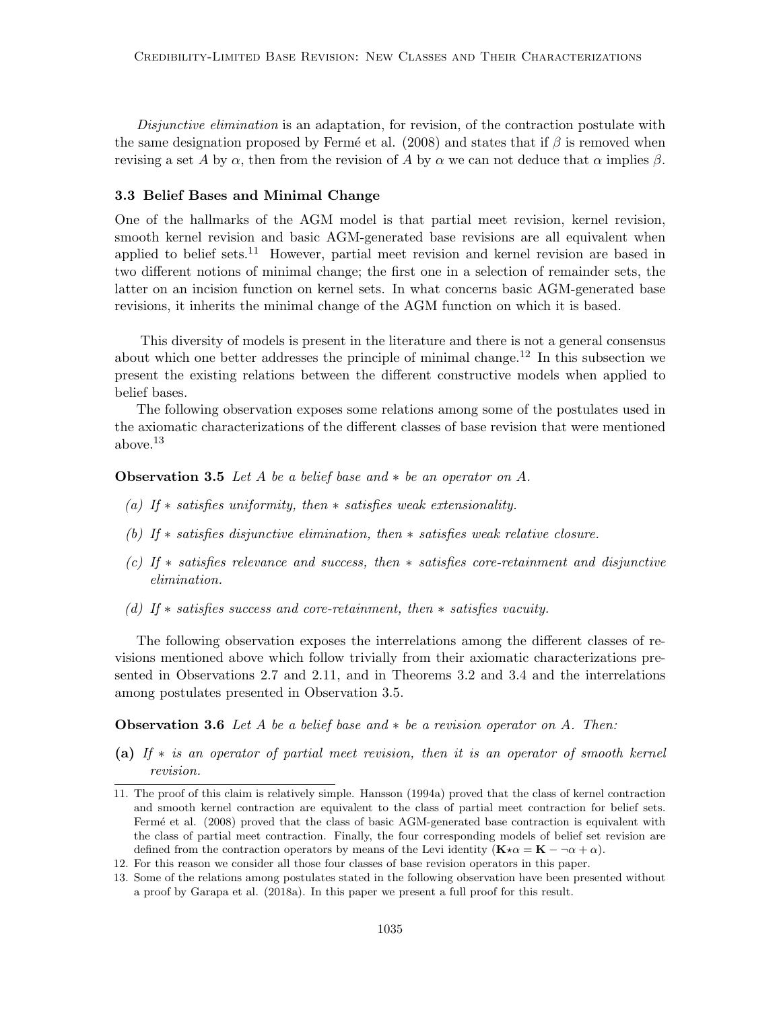Disjunctive elimination is an adaptation, for revision, of the contraction postulate with the same designation proposed by Fermé et al. (2008) and states that if  $\beta$  is removed when revising a set A by  $\alpha$ , then from the revision of A by  $\alpha$  we can not deduce that  $\alpha$  implies  $\beta$ .

# 3.3 Belief Bases and Minimal Change

One of the hallmarks of the AGM model is that partial meet revision, kernel revision, smooth kernel revision and basic AGM-generated base revisions are all equivalent when applied to belief sets.<sup>11</sup> However, partial meet revision and kernel revision are based in two different notions of minimal change; the first one in a selection of remainder sets, the latter on an incision function on kernel sets. In what concerns basic AGM-generated base revisions, it inherits the minimal change of the AGM function on which it is based.

This diversity of models is present in the literature and there is not a general consensus about which one better addresses the principle of minimal change.<sup>12</sup> In this subsection we present the existing relations between the different constructive models when applied to belief bases.

The following observation exposes some relations among some of the postulates used in the axiomatic characterizations of the different classes of base revision that were mentioned above.<sup>13</sup>

**Observation 3.5** Let A be a belief base and  $*$  be an operator on A.

- (a) If  $*$  satisfies uniformity, then  $*$  satisfies weak extensionality.
- (b) If ∗ satisfies disjunctive elimination, then ∗ satisfies weak relative closure.
- (c) If ∗ satisfies relevance and success, then ∗ satisfies core-retainment and disjunctive elimination.
- (d) If  $*$  satisfies success and core-retainment, then  $*$  satisfies vacuity.

The following observation exposes the interrelations among the different classes of revisions mentioned above which follow trivially from their axiomatic characterizations presented in Observations 2.7 and 2.11, and in Theorems 3.2 and 3.4 and the interrelations among postulates presented in Observation 3.5.

**Observation 3.6** Let A be a belief base and  $*$  be a revision operator on A. Then:

(a) If ∗ is an operator of partial meet revision, then it is an operator of smooth kernel revision.

<sup>11.</sup> The proof of this claim is relatively simple. Hansson (1994a) proved that the class of kernel contraction and smooth kernel contraction are equivalent to the class of partial meet contraction for belief sets. Fermé et al. (2008) proved that the class of basic AGM-generated base contraction is equivalent with the class of partial meet contraction. Finally, the four corresponding models of belief set revision are defined from the contraction operators by means of the Levi identity  $(\mathbf{K} \star \alpha = \mathbf{K} - \alpha + \alpha)$ .

<sup>12.</sup> For this reason we consider all those four classes of base revision operators in this paper.

<sup>13.</sup> Some of the relations among postulates stated in the following observation have been presented without a proof by Garapa et al. (2018a). In this paper we present a full proof for this result.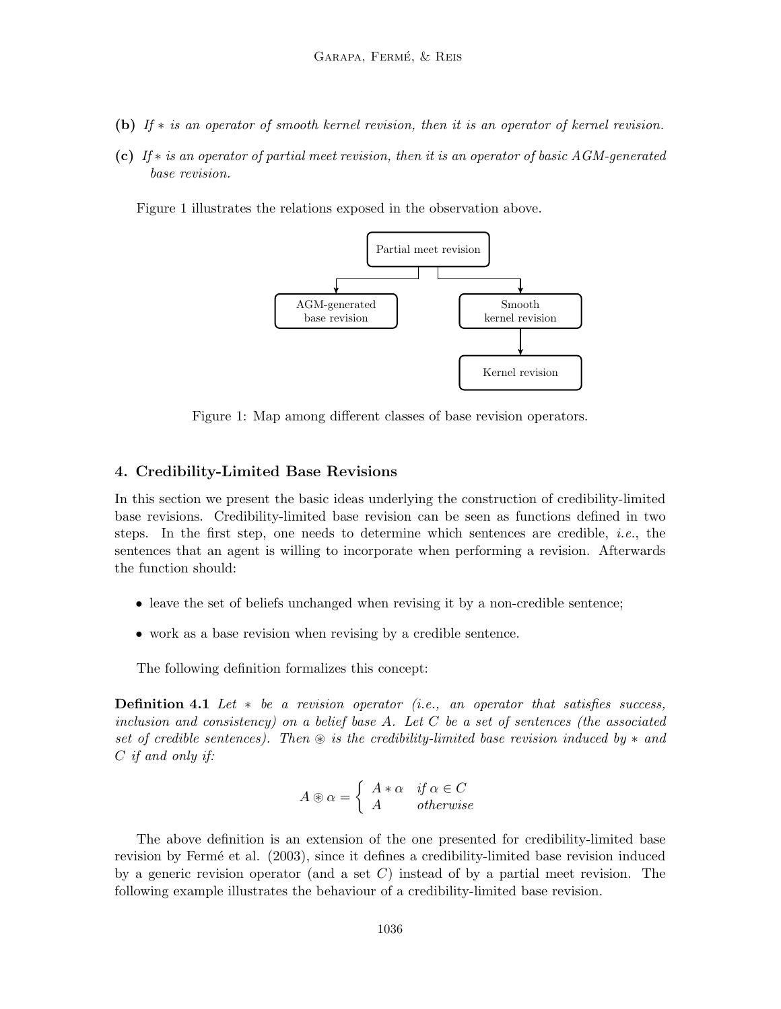- (b) If ∗ is an operator of smooth kernel revision, then it is an operator of kernel revision.
- (c) If ∗ is an operator of partial meet revision, then it is an operator of basic AGM-generated base revision.

Figure 1 illustrates the relations exposed in the observation above.



Figure 1: Map among different classes of base revision operators.

# 4. Credibility-Limited Base Revisions

In this section we present the basic ideas underlying the construction of credibility-limited base revisions. Credibility-limited base revision can be seen as functions defined in two steps. In the first step, one needs to determine which sentences are credible, i.e., the sentences that an agent is willing to incorporate when performing a revision. Afterwards the function should:

- leave the set of beliefs unchanged when revising it by a non-credible sentence;
- work as a base revision when revising by a credible sentence.

The following definition formalizes this concept:

**Definition 4.1** Let  $*$  be a revision operator (i.e., an operator that satisfies success, inclusion and consistency) on a belief base A. Let  $C$  be a set of sentences (the associated set of credible sentences). Then  $\circledast$  is the credibility-limited base revision induced by  $*$  and C if and only if:

$$
A \circledast \alpha = \begin{cases} A * \alpha & \text{if } \alpha \in C \\ A & \text{otherwise} \end{cases}
$$

The above definition is an extension of the one presented for credibility-limited base revision by Fermé et al. (2003), since it defines a credibility-limited base revision induced by a generic revision operator (and a set  $C$ ) instead of by a partial meet revision. The following example illustrates the behaviour of a credibility-limited base revision.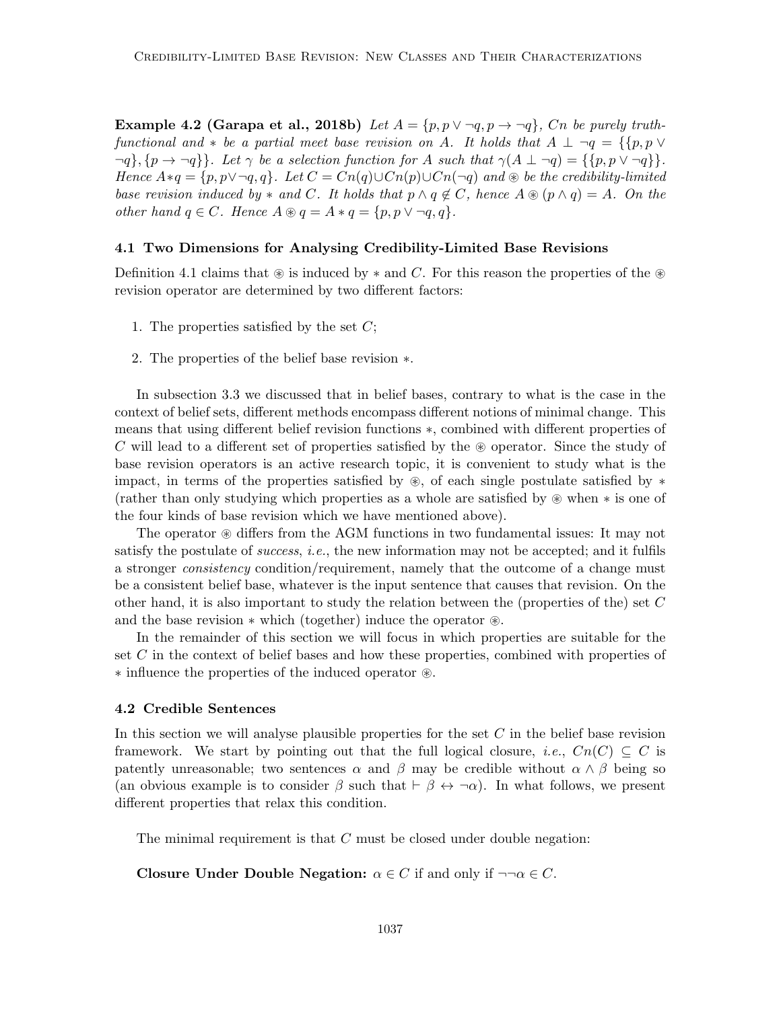Example 4.2 (Garapa et al., 2018b) Let  $A = \{p, p \lor \neg q, p \rightarrow \neg q\}$ , Cn be purely truthfunctional and  $*$  be a partial meet base revision on A. It holds that  $A \perp \neg q = \{ \{p, p \vee p\} \mid p \in A \}$  $\neg q$ ,  $\{p \rightarrow \neg q\}$ . Let  $\gamma$  be a selection function for A such that  $\gamma(A \perp \neg q) = \{\{p, p \lor \neg q\}\}.$ Hence  $A * q = \{p, p \lor \neg q, q\}$ . Let  $C = Cn(q) \cup Cn(p) \cup Cn(\neg q)$  and  $\circledast$  be the credibility-limited base revision induced by  $*$  and C. It holds that  $p \wedge q \notin C$ , hence  $A \otimes (p \wedge q) = A$ . On the other hand  $q \in C$ . Hence  $A \otimes q = A * q = \{p, p \vee \neg q, q\}.$ 

#### 4.1 Two Dimensions for Analysing Credibility-Limited Base Revisions

Definition 4.1 claims that  $\circledast$  is induced by  $*$  and C. For this reason the properties of the  $\circledast$ revision operator are determined by two different factors:

- 1. The properties satisfied by the set  $C$ ;
- 2. The properties of the belief base revision ∗.

In subsection 3.3 we discussed that in belief bases, contrary to what is the case in the context of belief sets, different methods encompass different notions of minimal change. This means that using different belief revision functions ∗, combined with different properties of C will lead to a different set of properties satisfied by the  $\otimes$  operator. Since the study of base revision operators is an active research topic, it is convenient to study what is the impact, in terms of the properties satisfied by  $\circledast$ , of each single postulate satisfied by  $\ast$ (rather than only studying which properties as a whole are satisfied by  $\circledast$  when  $*$  is one of the four kinds of base revision which we have mentioned above).

The operator  $\circledast$  differs from the AGM functions in two fundamental issues: It may not satisfy the postulate of *success, i.e.*, the new information may not be accepted; and it fulfils a stronger *consistency* condition/requirement, namely that the outcome of a change must be a consistent belief base, whatever is the input sentence that causes that revision. On the other hand, it is also important to study the relation between the (properties of the) set  $C$ and the base revision  $*$  which (together) induce the operator  $\mathcal{R}$ .

In the remainder of this section we will focus in which properties are suitable for the set C in the context of belief bases and how these properties, combined with properties of ∗ influence the properties of the induced operator ~.

#### 4.2 Credible Sentences

In this section we will analyse plausible properties for the set  $C$  in the belief base revision framework. We start by pointing out that the full logical closure, *i.e.*,  $C_n(C) \subseteq C$  is patently unreasonable; two sentences  $\alpha$  and  $\beta$  may be credible without  $\alpha \wedge \beta$  being so (an obvious example is to consider  $\beta$  such that  $\vdash \beta \leftrightarrow \neg \alpha$ ). In what follows, we present different properties that relax this condition.

The minimal requirement is that  $C$  must be closed under double negation:

Closure Under Double Negation:  $\alpha \in C$  if and only if  $\neg \alpha \in C$ .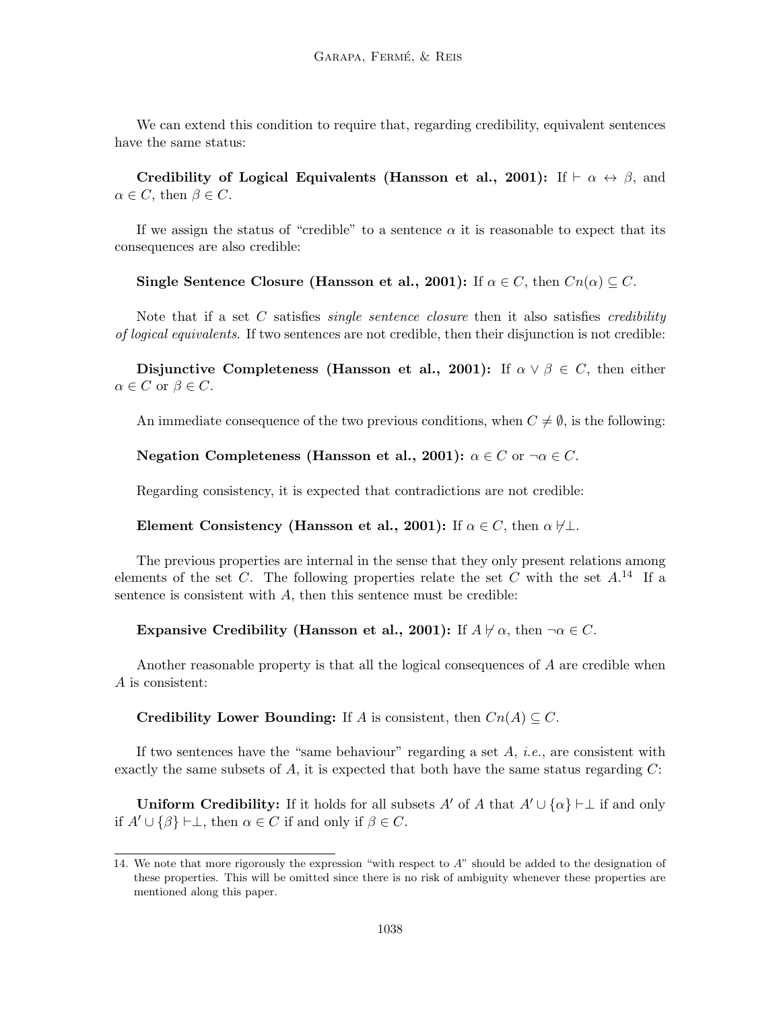We can extend this condition to require that, regarding credibility, equivalent sentences have the same status:

Credibility of Logical Equivalents (Hansson et al., 2001): If  $\vdash \alpha \leftrightarrow \beta$ , and  $\alpha \in C$ , then  $\beta \in C$ .

If we assign the status of "credible" to a sentence  $\alpha$  it is reasonable to expect that its consequences are also credible:

Single Sentence Closure (Hansson et al., 2001): If  $\alpha \in C$ , then  $C_n(\alpha) \subseteq C$ .

Note that if a set C satisfies *single sentence closure* then it also satisfies *credibility* of logical equivalents. If two sentences are not credible, then their disjunction is not credible:

Disjunctive Completeness (Hansson et al., 2001): If  $\alpha \vee \beta \in C$ , then either  $\alpha \in C$  or  $\beta \in C$ .

An immediate consequence of the two previous conditions, when  $C \neq \emptyset$ , is the following:

Negation Completeness (Hansson et al., 2001):  $\alpha \in C$  or  $\neg \alpha \in C$ .

Regarding consistency, it is expected that contradictions are not credible:

Element Consistency (Hansson et al., 2001): If  $\alpha \in C$ , then  $\alpha \notin \perp$ .

The previous properties are internal in the sense that they only present relations among elements of the set C. The following properties relate the set C with the set  $A^{14}$ . If a sentence is consistent with  $A$ , then this sentence must be credible:

Expansive Credibility (Hansson et al., 2001): If  $A \not\vdash \alpha$ , then  $\neg \alpha \in C$ .

Another reasonable property is that all the logical consequences of A are credible when A is consistent:

Credibility Lower Bounding: If A is consistent, then  $Cn(A) \subseteq C$ .

If two sentences have the "same behaviour" regarding a set  $A$ , *i.e.*, are consistent with exactly the same subsets of  $A$ , it is expected that both have the same status regarding  $C$ :

**Uniform Credibility:** If it holds for all subsets A' of A that  $A' \cup \{\alpha\} \vdash \bot$  if and only if  $A' \cup \{\beta\} \vdash \perp$ , then  $\alpha \in C$  if and only if  $\beta \in C$ .

<sup>14.</sup> We note that more rigorously the expression "with respect to A" should be added to the designation of these properties. This will be omitted since there is no risk of ambiguity whenever these properties are mentioned along this paper.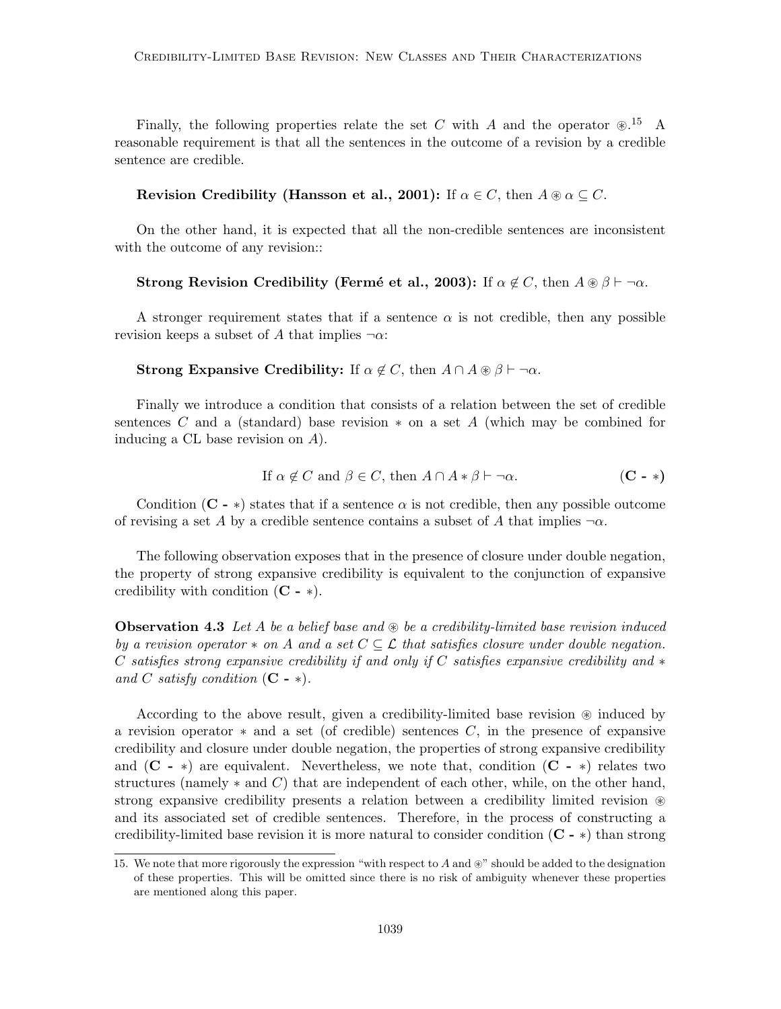Finally, the following properties relate the set C with A and the operator  $\otimes$ .<sup>15</sup> A reasonable requirement is that all the sentences in the outcome of a revision by a credible sentence are credible.

### Revision Credibility (Hansson et al., 2001): If  $\alpha \in C$ , then  $A \otimes \alpha \subseteq C$ .

On the other hand, it is expected that all the non-credible sentences are inconsistent with the outcome of any revision::

### Strong Revision Credibility (Fermé et al., 2003): If  $\alpha \notin C$ , then  $A \otimes \beta \vdash \neg \alpha$ .

A stronger requirement states that if a sentence  $\alpha$  is not credible, then any possible revision keeps a subset of A that implies  $\neg \alpha$ :

### **Strong Expansive Credibility:** If  $\alpha \notin C$ , then  $A \cap A \otimes \beta \vdash \neg \alpha$ .

Finally we introduce a condition that consists of a relation between the set of credible sentences C and a (standard) base revision  $*$  on a set A (which may be combined for inducing a CL base revision on A).

If 
$$
\alpha \notin C
$$
 and  $\beta \in C$ , then  $A \cap A * \beta \vdash \neg \alpha$ .  $(C - *)$ 

Condition (C - \*) states that if a sentence  $\alpha$  is not credible, then any possible outcome of revising a set A by a credible sentence contains a subset of A that implies  $\neg \alpha$ .

The following observation exposes that in the presence of closure under double negation, the property of strong expansive credibility is equivalent to the conjunction of expansive credibility with condition  $(C - *)$ .

**Observation 4.3** Let A be a belief base and  $\otimes$  be a credibility-limited base revision induced by a revision operator  $*$  on A and a set  $C \subseteq \mathcal{L}$  that satisfies closure under double negation. C satisfies strong expansive credibility if and only if C satisfies expansive credibility and  $*$ and C satisfy condition  $(C - *)$ .

According to the above result, given a credibility-limited base revision  $\circledast$  induced by a revision operator  $*$  and a set (of credible) sentences C, in the presence of expansive credibility and closure under double negation, the properties of strong expansive credibility and  $(C - *)$  are equivalent. Nevertheless, we note that, condition  $(C - *)$  relates two structures (namely  $*$  and C) that are independent of each other, while, on the other hand, strong expansive credibility presents a relation between a credibility limited revision  $\circledast$ and its associated set of credible sentences. Therefore, in the process of constructing a credibility-limited base revision it is more natural to consider condition  $(C - *)$  than strong

<sup>15.</sup> We note that more rigorously the expression "with respect to A and  $\circledast$ " should be added to the designation of these properties. This will be omitted since there is no risk of ambiguity whenever these properties are mentioned along this paper.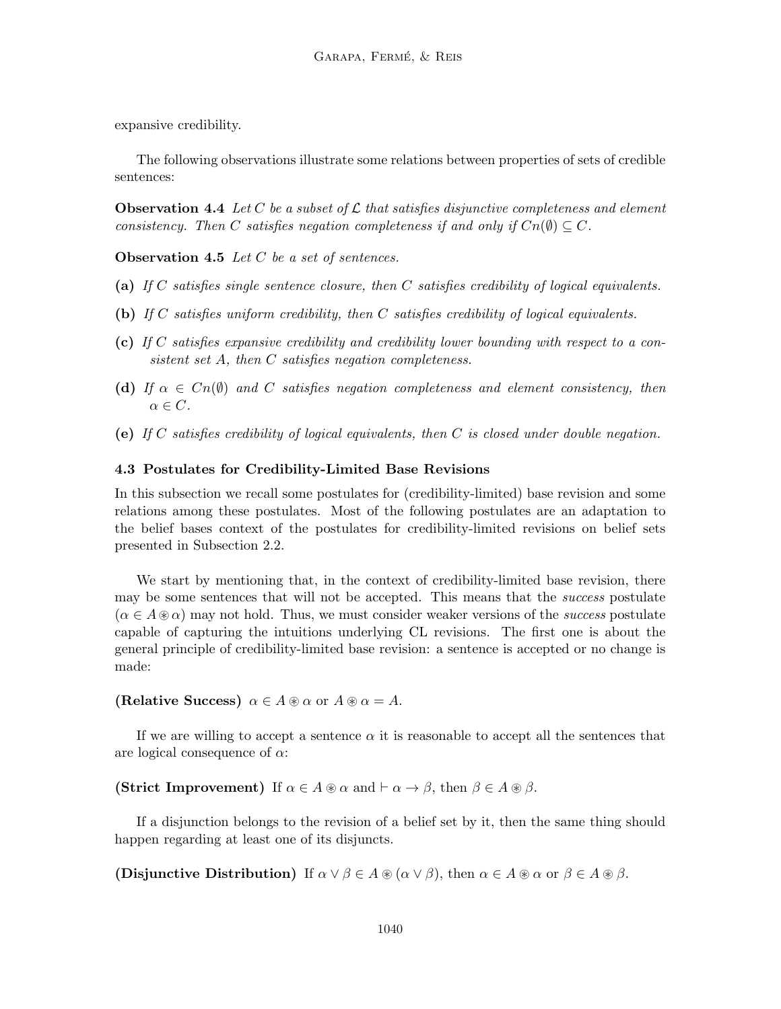expansive credibility.

The following observations illustrate some relations between properties of sets of credible sentences:

**Observation 4.4** Let C be a subset of  $\mathcal L$  that satisfies disjunctive completeness and element consistency. Then C satisfies negation completeness if and only if  $C_n(\emptyset) \subseteq C$ .

Observation 4.5 Let C be a set of sentences.

- (a) If C satisfies single sentence closure, then C satisfies credibility of logical equivalents.
- (b) If C satisfies uniform credibility, then C satisfies credibility of logical equivalents.
- (c) If C satisfies expansive credibility and credibility lower bounding with respect to a consistent set A, then C satisfies negation completeness.
- (d) If  $\alpha \in C_n(\emptyset)$  and C satisfies negation completeness and element consistency, then  $\alpha \in C$ .
- (e) If C satisfies credibility of logical equivalents, then C is closed under double negation.

### 4.3 Postulates for Credibility-Limited Base Revisions

In this subsection we recall some postulates for (credibility-limited) base revision and some relations among these postulates. Most of the following postulates are an adaptation to the belief bases context of the postulates for credibility-limited revisions on belief sets presented in Subsection 2.2.

We start by mentioning that, in the context of credibility-limited base revision, there may be some sentences that will not be accepted. This means that the *success* postulate  $(\alpha \in A\otimes \alpha)$  may not hold. Thus, we must consider weaker versions of the *success* postulate capable of capturing the intuitions underlying CL revisions. The first one is about the general principle of credibility-limited base revision: a sentence is accepted or no change is made:

### (Relative Success)  $\alpha \in A \otimes \alpha$  or  $A \otimes \alpha = A$ .

If we are willing to accept a sentence  $\alpha$  it is reasonable to accept all the sentences that are logical consequence of  $\alpha$ :

### (Strict Improvement) If  $\alpha \in A \otimes \alpha$  and  $\vdash \alpha \rightarrow \beta$ , then  $\beta \in A \otimes \beta$ .

If a disjunction belongs to the revision of a belief set by it, then the same thing should happen regarding at least one of its disjuncts.

(Disjunctive Distribution) If  $\alpha \vee \beta \in A \circledast (\alpha \vee \beta)$ , then  $\alpha \in A \circledast \alpha$  or  $\beta \in A \circledast \beta$ .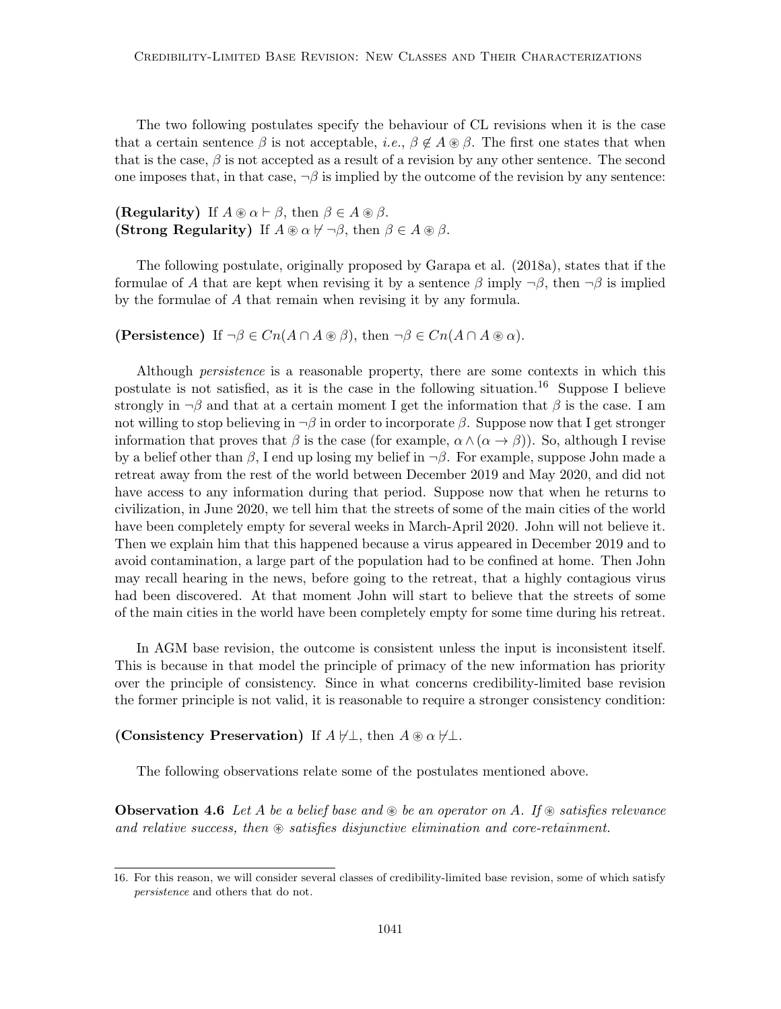The two following postulates specify the behaviour of CL revisions when it is the case that a certain sentence  $\beta$  is not acceptable, *i.e.*,  $\beta \notin A \otimes \beta$ . The first one states that when that is the case,  $\beta$  is not accepted as a result of a revision by any other sentence. The second one imposes that, in that case,  $\neg \beta$  is implied by the outcome of the revision by any sentence:

(Regularity) If  $A \otimes \alpha \vdash \beta$ , then  $\beta \in A \otimes \beta$ . (Strong Regularity) If  $A \otimes \alpha \nvdash \neg \beta$ , then  $\beta \in A \otimes \beta$ .

The following postulate, originally proposed by Garapa et al. (2018a), states that if the formulae of A that are kept when revising it by a sentence  $\beta$  imply  $\neg \beta$ , then  $\neg \beta$  is implied by the formulae of A that remain when revising it by any formula.

(Persistence) If  $\neg \beta \in Cn(A \cap A \otimes \beta)$ , then  $\neg \beta \in Cn(A \cap A \otimes \alpha)$ .

Although persistence is a reasonable property, there are some contexts in which this postulate is not satisfied, as it is the case in the following situation.<sup>16</sup> Suppose I believe strongly in  $\neg \beta$  and that at a certain moment I get the information that  $\beta$  is the case. I am not willing to stop believing in  $\neg \beta$  in order to incorporate  $\beta$ . Suppose now that I get stronger information that proves that  $\beta$  is the case (for example,  $\alpha \wedge (\alpha \rightarrow \beta)$ ). So, although I revise by a belief other than  $\beta$ , I end up losing my belief in  $\neg \beta$ . For example, suppose John made a retreat away from the rest of the world between December 2019 and May 2020, and did not have access to any information during that period. Suppose now that when he returns to civilization, in June 2020, we tell him that the streets of some of the main cities of the world have been completely empty for several weeks in March-April 2020. John will not believe it. Then we explain him that this happened because a virus appeared in December 2019 and to avoid contamination, a large part of the population had to be confined at home. Then John may recall hearing in the news, before going to the retreat, that a highly contagious virus had been discovered. At that moment John will start to believe that the streets of some of the main cities in the world have been completely empty for some time during his retreat.

In AGM base revision, the outcome is consistent unless the input is inconsistent itself. This is because in that model the principle of primacy of the new information has priority over the principle of consistency. Since in what concerns credibility-limited base revision the former principle is not valid, it is reasonable to require a stronger consistency condition:

(Consistency Preservation) If  $A \not\vdash \bot$ , then  $A \otimes \alpha \not\vdash \bot$ .

The following observations relate some of the postulates mentioned above.

**Observation 4.6** Let A be a belief base and  $\otimes$  be an operator on A. If  $\otimes$  satisfies relevance and relative success, then  $\otimes$  satisfies disjunctive elimination and core-retainment.

<sup>16.</sup> For this reason, we will consider several classes of credibility-limited base revision, some of which satisfy persistence and others that do not.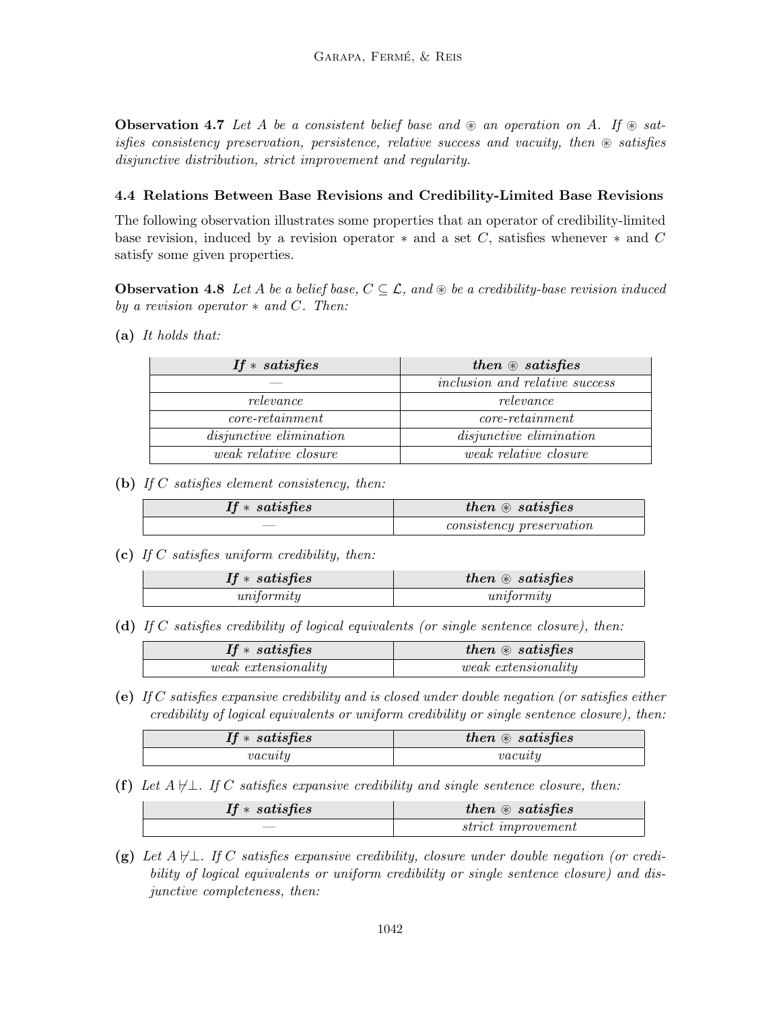**Observation 4.7** Let A be a consistent belief base and  $\otimes$  an operation on A. If  $\otimes$  satisfies consistency preservation, persistence, relative success and vacuity, then  $\otimes$  satisfies disjunctive distribution, strict improvement and regularity.

# 4.4 Relations Between Base Revisions and Credibility-Limited Base Revisions

The following observation illustrates some properties that an operator of credibility-limited base revision, induced by a revision operator  $*$  and a set C, satisfies whenever  $*$  and C satisfy some given properties.

**Observation 4.8** Let A be a belief base,  $C \subseteq \mathcal{L}$ , and  $\otimes$  be a credibility-base revision induced by a revision operator  $*$  and C. Then:

(a) It holds that:

| If $*$ satisfies               | then $\otimes$ satisfies       |
|--------------------------------|--------------------------------|
|                                | inclusion and relative success |
| relevance                      | relevance                      |
| $core-retainment$              | $core-retainment$              |
| <i>disjunctive elimination</i> | <i>disjunctive elimination</i> |
| <i>weak relative closure</i>   | <i>weak relative closure</i>   |

(b) If  $C$  satisfies element consistency, then:

| $If * satisfies$ | $then \& satisfies$             |
|------------------|---------------------------------|
|                  | <i>consistency preservation</i> |

(c) If  $C$  satisfies uniform credibility, then:

| $\emph{If}$ * satisfies | $then \& satisfies$ |
|-------------------------|---------------------|
| uniformity              | uniformity          |

(d) If C satisfies credibility of logical equivalents (or single sentence closure), then:

| $\emph{If}$ * satisfies | $then \circledast satisfies$ |
|-------------------------|------------------------------|
| weak extensionality     | <i>weak extensionality</i>   |

(e) If C satisfies expansive credibility and is closed under double negation (or satisfies either credibility of logical equivalents or uniform credibility or single sentence closure), then:

| $\emph{If}$ * satisfies | $then \circledast satisfies$ |
|-------------------------|------------------------------|
| $\it vacuum$            | $\it vacuum$                 |

(f) Let  $A \not\vdash \bot$ . If C satisfies expansive credibility and single sentence closure, then:

| $\emph{If}$ * satisfies | $then \circledast satisfies$ |
|-------------------------|------------------------------|
|                         | <i>strict improvement</i>    |

(g) Let  $A \not\vdash \bot$ . If C satisfies expansive credibility, closure under double negation (or credibility of logical equivalents or uniform credibility or single sentence closure) and disjunctive completeness, then: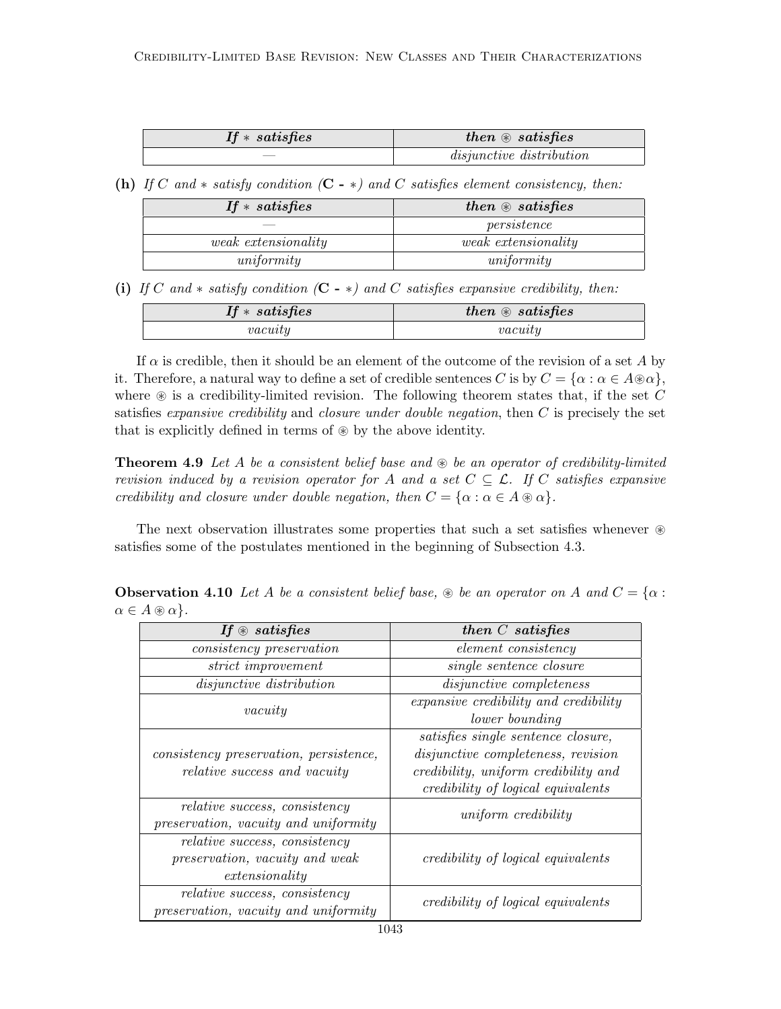| $\emph{If}$ * satisfies | $then \& satisfies$             |
|-------------------------|---------------------------------|
|                         | <i>disjunctive distribution</i> |

(h) If C and  $*$  satisfy condition (C -  $*$ ) and C satisfies element consistency, then:

| $If * satisfies$           | then $\otimes$ satisfies   |
|----------------------------|----------------------------|
|                            | persistence                |
| <i>weak extensionality</i> | <i>weak extensionality</i> |
| uniformity                 | uniformity                 |

(i) If C and  $*$  satisfy condition (C -  $*$ ) and C satisfies expansive credibility, then:

| $\emph{If}$ * satisfies | $then \& satisfies$ |
|-------------------------|---------------------|
| vacuity                 | vacuity             |

If  $\alpha$  is credible, then it should be an element of the outcome of the revision of a set A by it. Therefore, a natural way to define a set of credible sentences C is by  $C = {\alpha : \alpha \in A \circledast \alpha}$ , where  $\circledast$  is a credibility-limited revision. The following theorem states that, if the set C satisfies *expansive credibility* and *closure under double negation*, then  $C$  is precisely the set that is explicitly defined in terms of  $\circledast$  by the above identity.

**Theorem 4.9** Let A be a consistent belief base and  $\otimes$  be an operator of credibility-limited revision induced by a revision operator for A and a set  $C \subseteq \mathcal{L}$ . If C satisfies expansive credibility and closure under double negation, then  $C = {\alpha : \alpha \in A \otimes \alpha}.$ 

The next observation illustrates some properties that such a set satisfies whenever  $\circledast$ satisfies some of the postulates mentioned in the beginning of Subsection 4.3.

**Observation 4.10** Let A be a consistent belief base,  $\circledast$  be an operator on A and  $C = \{ \alpha :$  $\alpha \in A \circledast \alpha$ .

| If $\otimes$ satisfies                                                                   | then $C$ satisfies                                                                                                                                            |
|------------------------------------------------------------------------------------------|---------------------------------------------------------------------------------------------------------------------------------------------------------------|
| <i>consistency preservation</i>                                                          | <i>element consistency</i>                                                                                                                                    |
| <i>strict improvement</i>                                                                | single sentence closure                                                                                                                                       |
| <i>disjunctive distribution</i>                                                          | <i>disjunctive completeness</i>                                                                                                                               |
| vacuity                                                                                  | expansive credibility and credibility<br>lower bounding                                                                                                       |
| consistency preservation, persistence,<br><i>relative success and vacuity</i>            | satisfies single sentence closure,<br>disjunctive completeness, revision<br>credibility, uniform credibility and<br><i>credibility of logical equivalents</i> |
| <i>relative success, consistency</i><br>preservation, vacuity and uniformity             | uniform credibility                                                                                                                                           |
| <i>relative success, consistency</i><br>preservation, vacuity and weak<br>extensionality | credibility of logical equivalents                                                                                                                            |
| <i>relative success, consistency</i><br>preservation, vacuity and uniformity             | <i>credibility of logical equivalents</i>                                                                                                                     |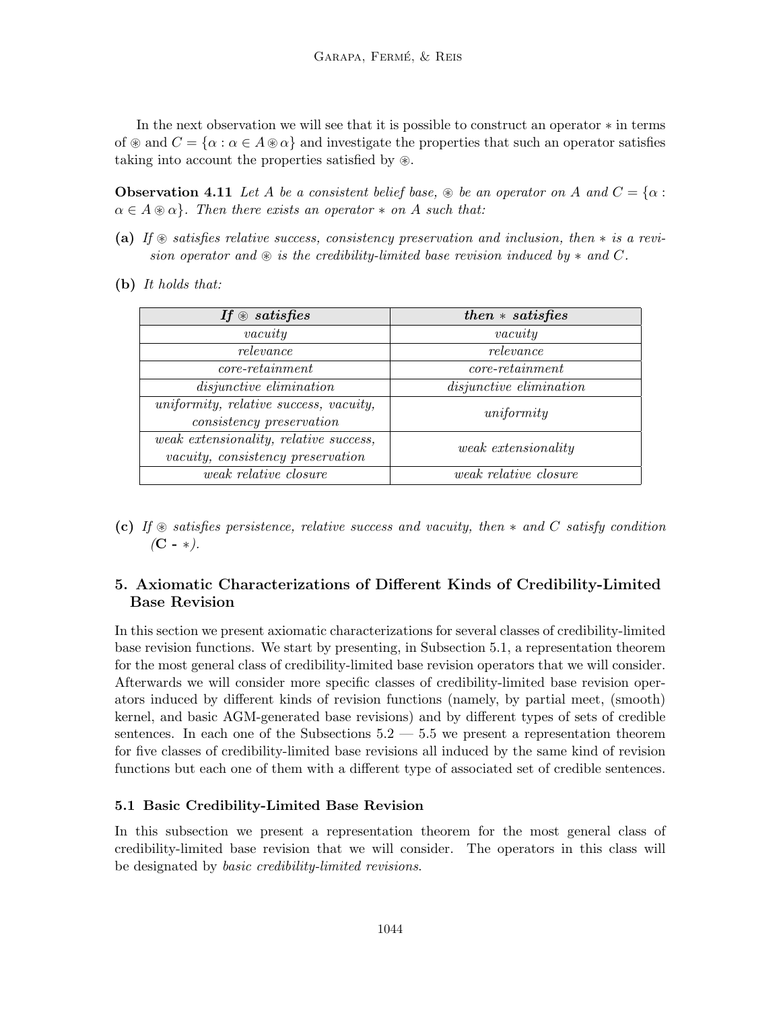In the next observation we will see that it is possible to construct an operator ∗ in terms of  $\circledast$  and  $C = {\alpha : \alpha \in A \circledast \alpha}$  and investigate the properties that such an operator satisfies taking into account the properties satisfied by  $\mathcal{F}$ .

**Observation 4.11** Let A be a consistent belief base,  $\circledast$  be an operator on A and  $C = \{ \alpha :$  $\alpha \in A \otimes \alpha$ . Then there exists an operator  $*$  on A such that:

- (a) If  $\otimes$  satisfies relative success, consistency preservation and inclusion, then  $*$  is a revision operator and  $\otimes$  is the credibility-limited base revision induced by  $*$  and C.
- (b) It holds that:

| If $\otimes$ satisfies                                                             | $then * satisfies$             |
|------------------------------------------------------------------------------------|--------------------------------|
| $\it vacuum$                                                                       | $\it vacuum$                   |
| relevance                                                                          | relevance                      |
| $core-retainment$                                                                  | $core-retainment$              |
| <i>disjunctive elimination</i>                                                     | <i>disjunctive elimination</i> |
| uniformity, relative success, vacuity,<br>consistency preservation                 | uniformity                     |
| weak extensionality, relative success,<br><i>vacuity, consistency preservation</i> | weak extensionality            |
| weak relative closure                                                              | <i>weak relative closure</i>   |

(c) If  $\otimes$  satisfies persistence, relative success and vacuity, then  $*$  and C satisfy condition  $({\bf C} - *)$ .

# 5. Axiomatic Characterizations of Different Kinds of Credibility-Limited Base Revision

In this section we present axiomatic characterizations for several classes of credibility-limited base revision functions. We start by presenting, in Subsection 5.1, a representation theorem for the most general class of credibility-limited base revision operators that we will consider. Afterwards we will consider more specific classes of credibility-limited base revision operators induced by different kinds of revision functions (namely, by partial meet, (smooth) kernel, and basic AGM-generated base revisions) and by different types of sets of credible sentences. In each one of the Subsections  $5.2 - 5.5$  we present a representation theorem for five classes of credibility-limited base revisions all induced by the same kind of revision functions but each one of them with a different type of associated set of credible sentences.

# 5.1 Basic Credibility-Limited Base Revision

In this subsection we present a representation theorem for the most general class of credibility-limited base revision that we will consider. The operators in this class will be designated by basic credibility-limited revisions.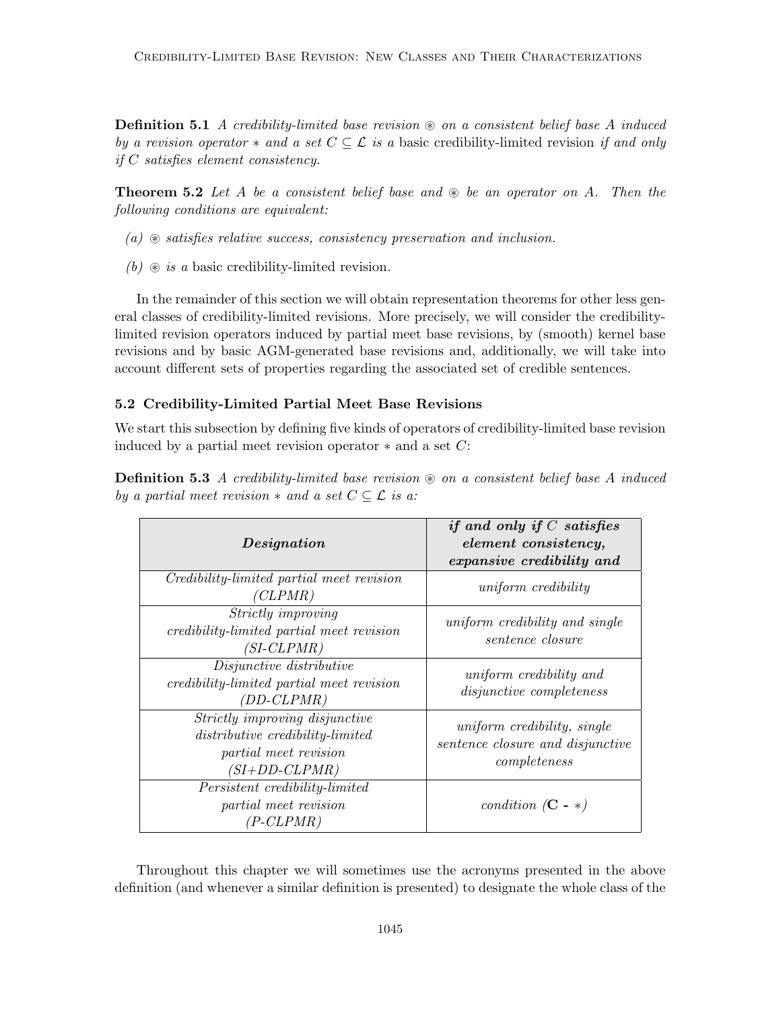**Definition 5.1** A credibility-limited base revision  $\otimes$  on a consistent belief base A induced by a revision operator  $*$  and a set  $C \subseteq \mathcal{L}$  is a basic credibility-limited revision if and only if C satisfies element consistency.

**Theorem 5.2** Let A be a consistent belief base and  $\otimes$  be an operator on A. Then the following conditions are equivalent:

- $(a) \otimes$  satisfies relative success, consistency preservation and inclusion.
- (b)  $\otimes$  is a basic credibility-limited revision.

In the remainder of this section we will obtain representation theorems for other less general classes of credibility-limited revisions. More precisely, we will consider the credibilitylimited revision operators induced by partial meet base revisions, by (smooth) kernel base revisions and by basic AGM-generated base revisions and, additionally, we will take into account different sets of properties regarding the associated set of credible sentences.

### 5.2 Credibility-Limited Partial Meet Base Revisions

We start this subsection by defining five kinds of operators of credibility-limited base revision induced by a partial meet revision operator  $*$  and a set  $C$ :

**Definition 5.3** A credibility-limited base revision  $\otimes$  on a consistent belief base A induced by a partial meet revision  $*$  and a set  $C \subseteq \mathcal{L}$  is a:

| Designation                                                                                                  | if and only if $C$ satisfies<br>element consistency,<br>expansive credibility and |
|--------------------------------------------------------------------------------------------------------------|-----------------------------------------------------------------------------------|
| Credibility-limited partial meet revision<br>(CLPMR)                                                         | uniform credibility                                                               |
| Strictly improving<br>credibility-limited partial meet revision<br>(SI-CLPMR)                                | uniform credibility and single<br>sentence closure                                |
| Disjunctive distributive<br>credibility-limited partial meet revision<br>(DD-CLPMR)                          | uniform credibility and<br><i>disjunctive completeness</i>                        |
| Strictly improving disjunctive<br>distributive credibility-limited<br>partial meet revision<br>(SI+DD-CLPMR) | uniform credibility, single<br>sentence closure and disjunctive<br>completeness   |
| Persistent credibility-limited<br>partial meet revision<br>(P-CLPMR)                                         | condition $(C - *)$                                                               |

Throughout this chapter we will sometimes use the acronyms presented in the above definition (and whenever a similar definition is presented) to designate the whole class of the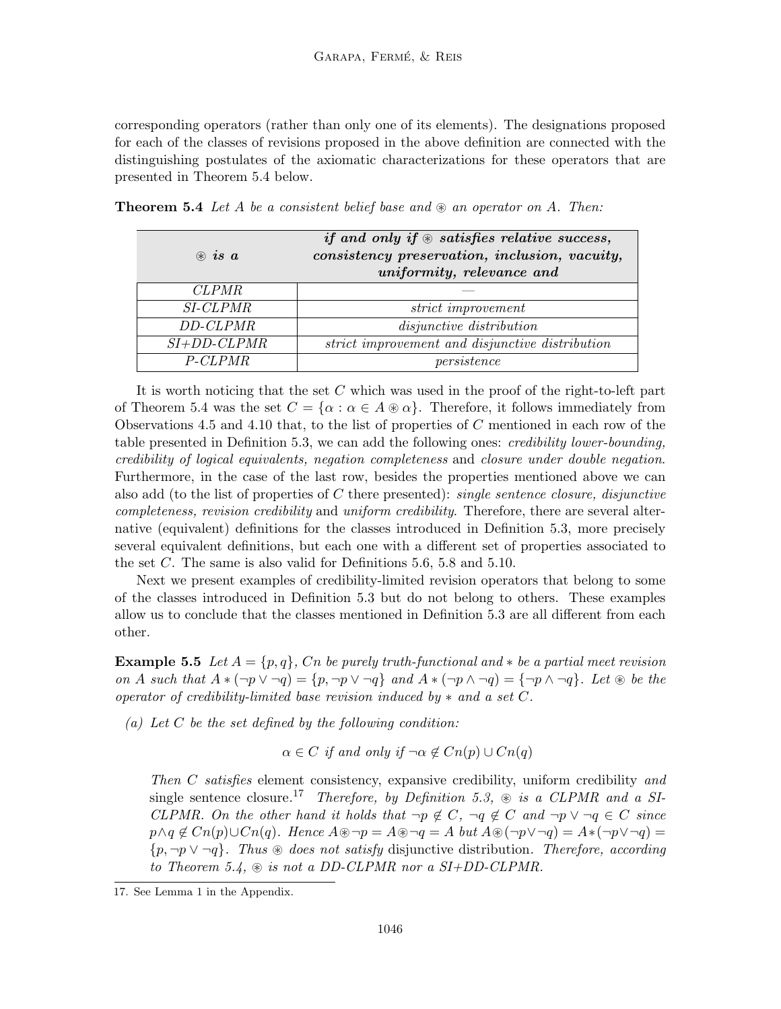corresponding operators (rather than only one of its elements). The designations proposed for each of the classes of revisions proposed in the above definition are connected with the distinguishing postulates of the axiomatic characterizations for these operators that are presented in Theorem 5.4 below.

| $\circledast$ is a | <i>if and only if</i> $\otimes$ <i>satisfies relative success,</i><br>consistency preservation, inclusion, vacuity,<br>uniformity, relevance and |
|--------------------|--------------------------------------------------------------------------------------------------------------------------------------------------|
| <b>CLPMR</b>       |                                                                                                                                                  |
| <i>SI-CLPMR</i>    | strict improvement                                                                                                                               |
| DD-CLPMR           | <i>disjunctive distribution</i>                                                                                                                  |
| $SI+DD-CLPMR$      | strict improvement and disjunctive distribution                                                                                                  |
| P-CLPMR            | persistence                                                                                                                                      |

**Theorem 5.4** Let A be a consistent belief base and  $\otimes$  an operator on A. Then:

It is worth noticing that the set C which was used in the proof of the right-to-left part of Theorem 5.4 was the set  $C = {\alpha : \alpha \in A \otimes \alpha}$ . Therefore, it follows immediately from Observations 4.5 and 4.10 that, to the list of properties of C mentioned in each row of the table presented in Definition 5.3, we can add the following ones: credibility lower-bounding, credibility of logical equivalents, negation completeness and closure under double negation. Furthermore, in the case of the last row, besides the properties mentioned above we can also add (to the list of properties of C there presented): single sentence closure, disjunctive completeness, revision credibility and uniform credibility. Therefore, there are several alternative (equivalent) definitions for the classes introduced in Definition 5.3, more precisely several equivalent definitions, but each one with a different set of properties associated to the set C. The same is also valid for Definitions 5.6, 5.8 and 5.10.

Next we present examples of credibility-limited revision operators that belong to some of the classes introduced in Definition 5.3 but do not belong to others. These examples allow us to conclude that the classes mentioned in Definition 5.3 are all different from each other.

**Example 5.5** Let  $A = \{p, q\}$ , Cn be purely truth-functional and  $*$  be a partial meet revision on A such that  $A * (\neg p \lor \neg q) = \{p, \neg p \lor \neg q\}$  and  $A * (\neg p \land \neg q) = \{\neg p \land \neg q\}$ . Let  $\circledast$  be the operator of credibility-limited base revision induced by  $*$  and a set C.

(a) Let C be the set defined by the following condition:

 $\alpha \in C$  if and only if  $\neg \alpha \notin C_n(p) \cup C_n(q)$ 

Then C satisfies element consistency, expansive credibility, uniform credibility and single sentence closure.<sup>17</sup> Therefore, by Definition 5.3,  $\otimes$  is a CLPMR and a SI-CLPMR. On the other hand it holds that  $\neg p \notin C$ ,  $\neg q \notin C$  and  $\neg p \vee \neg q \in C$  since  $p \wedge q \notin C_n(p) \cup C_n(q)$ . Hence  $A \circledast \neg p = A \circledast \neg q = A$  but  $A \circledast (\neg p \vee \neg q) = A * (\neg p \vee \neg q) = A * (\neg p \vee \neg q)$  $\{p, \neg p \lor \neg q\}$ . Thus  $\circledast$  does not satisfy disjunctive distribution. Therefore, according to Theorem 5.4,  $\otimes$  is not a DD-CLPMR nor a SI+DD-CLPMR.

<sup>17.</sup> See Lemma 1 in the Appendix.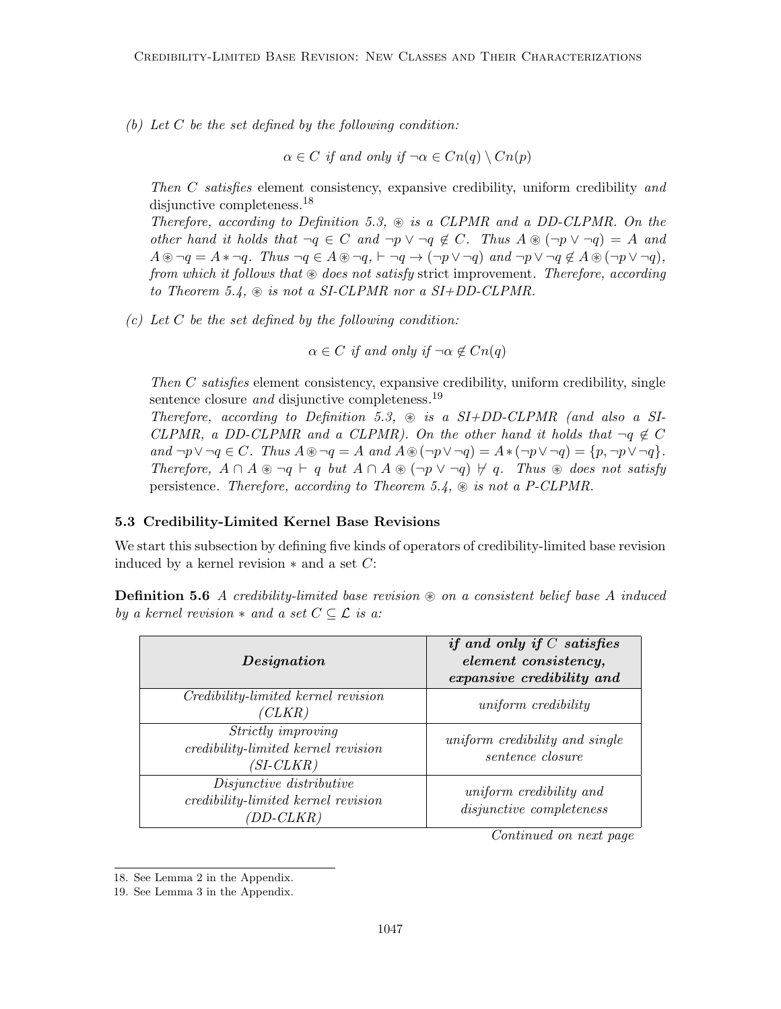(b) Let  $C$  be the set defined by the following condition:

 $\alpha \in C$  if and only if  $\neg \alpha \in C_n(q) \setminus C_n(p)$ 

Then C satisfies element consistency, expansive credibility, uniform credibility and disjunctive completeness. 18

Therefore, according to Definition 5.3,  $\otimes$  is a CLPMR and a DD-CLPMR. On the other hand it holds that  $\neg q \in C$  and  $\neg p \vee \neg q \notin C$ . Thus  $A \circledast (\neg p \vee \neg q) = A$  and  $A \otimes \neg q = A * \neg q$ . Thus  $\neg q \in A \otimes \neg q$ ,  $\vdash \neg q \rightarrow (\neg p \vee \neg q)$  and  $\neg p \vee \neg q \not\in A \otimes (\neg p \vee \neg q)$ , from which it follows that  $\otimes$  does not satisfy strict improvement. Therefore, according to Theorem 5.4,  $\circledast$  is not a SI-CLPMR nor a SI+DD-CLPMR.

(c) Let  $C$  be the set defined by the following condition:

 $\alpha \in C$  if and only if  $\neg \alpha \notin Cn(q)$ 

Then C satisfies element consistency, expansive credibility, uniform credibility, single sentence closure *and* disjunctive completeness.<sup>19</sup>

Therefore, according to Definition 5.3,  $\otimes$  is a SI+DD-CLPMR (and also a SI-CLPMR, a DD-CLPMR and a CLPMR). On the other hand it holds that  $\neg q \notin C$ and  $\neg p \lor \neg q \in C$ . Thus  $A \circledast \neg q = A$  and  $A \circledast (\neg p \lor \neg q) = A * (\neg p \lor \neg q) = \{p, \neg p \lor \neg q\}.$ Therefore,  $A \cap A \otimes \neg q \vdash q$  but  $A \cap A \otimes (\neg p \vee \neg q) \not\vdash q$ . Thus  $\otimes$  does not satisfy persistence. Therefore, according to Theorem 5.4,  $\circledast$  is not a P-CLPMR.

# 5.3 Credibility-Limited Kernel Base Revisions

We start this subsection by defining five kinds of operators of credibility-limited base revision induced by a kernel revision  $*$  and a set  $C$ :

**Definition 5.6** A credibility-limited base revision  $\otimes$  on a consistent belief base A induced by a kernel revision  $*$  and a set  $C \subseteq \mathcal{L}$  is a:

| Designation                                                                  | if and only if $C$ satisfies<br>element consistency,<br>expansive credibility and |
|------------------------------------------------------------------------------|-----------------------------------------------------------------------------------|
| Credibility-limited kernel revision<br>(CLKR)                                | uniform credibility                                                               |
| Strictly improving<br>credibility-limited kernel revision<br>(SI-CLKR)       | uniform credibility and single<br>sentence closure                                |
| Disjunctive distributive<br>credibility-limited kernel revision<br>(DD-CLKR) | uniform credibility and<br>$disjunctive\ completeness$                            |

Continued on next page

<sup>18.</sup> See Lemma 2 in the Appendix.

<sup>19.</sup> See Lemma 3 in the Appendix.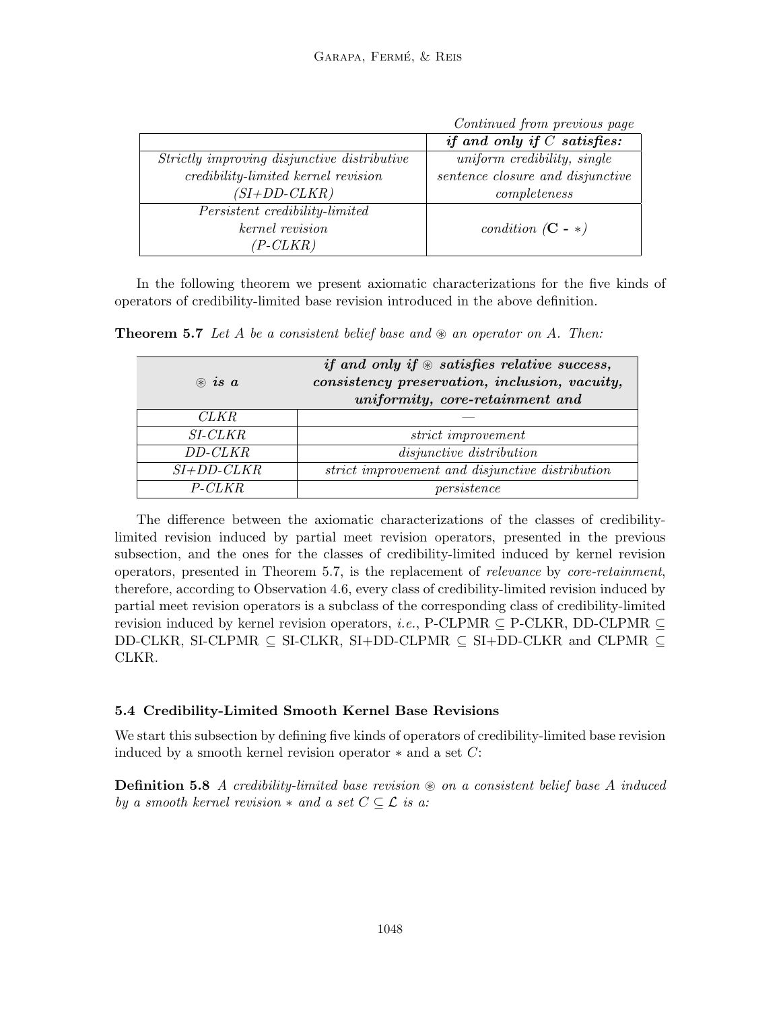|                                             | Continued from previous page     |
|---------------------------------------------|----------------------------------|
|                                             | if and only if $C$ satisfies:    |
| Strictly improving disjunctive distributive | uniform credibility, single      |
| credibility-limited kernel revision         | sentence closure and disjunctive |
| $(SI+DD-CLKR)$                              | completeness                     |
| Persistent credibility-limited              |                                  |
| kernel revision                             | condition $(C - *)$              |
| $(P-CLKR)$                                  |                                  |

Continued from previous page

In the following theorem we present axiomatic characterizations for the five kinds of operators of credibility-limited base revision introduced in the above definition.

**Theorem 5.7** Let A be a consistent belief base and  $\otimes$  an operator on A. Then:

| $\circledast$ is a | <i>if and only if</i> $\otimes$ <i>satisfies relative success,</i><br>consistency preservation, inclusion, vacuity,<br>uniformity, core-retainment and |
|--------------------|--------------------------------------------------------------------------------------------------------------------------------------------------------|
| <i>CLKR</i>        |                                                                                                                                                        |
| <i>SI-CLKR</i>     | <i>strict improvement</i>                                                                                                                              |
| DD-CLKR            | disjunctive distribution                                                                                                                               |
| $SI+DD-CLKR$       | strict improvement and disjunctive distribution                                                                                                        |
| $P-CLKR$           | persistence                                                                                                                                            |

The difference between the axiomatic characterizations of the classes of credibilitylimited revision induced by partial meet revision operators, presented in the previous subsection, and the ones for the classes of credibility-limited induced by kernel revision operators, presented in Theorem 5.7, is the replacement of relevance by core-retainment, therefore, according to Observation 4.6, every class of credibility-limited revision induced by partial meet revision operators is a subclass of the corresponding class of credibility-limited revision induced by kernel revision operators, *i.e.*, P-CLPMR  $\subseteq$  P-CLKR, DD-CLPMR  $\subseteq$ DD-CLKR, SI-CLPMR ⊆ SI-CLKR, SI+DD-CLPMR ⊆ SI+DD-CLKR and CLPMR ⊆ CLKR.

# 5.4 Credibility-Limited Smooth Kernel Base Revisions

We start this subsection by defining five kinds of operators of credibility-limited base revision induced by a smooth kernel revision operator ∗ and a set C:

**Definition 5.8** A credibility-limited base revision  $\otimes$  on a consistent belief base A induced by a smooth kernel revision  $*$  and a set  $C \subseteq \mathcal{L}$  is a: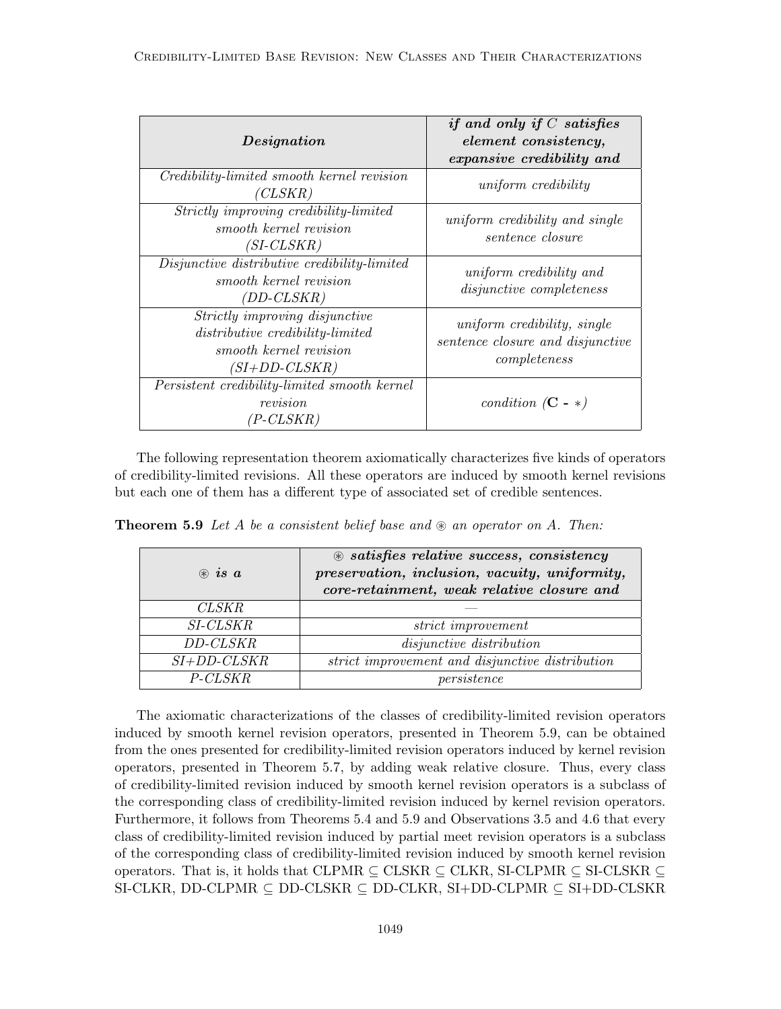| Designation                                                                                                   | if and only if $C$ satisfies<br>element consistency,<br>expansive credibility and |
|---------------------------------------------------------------------------------------------------------------|-----------------------------------------------------------------------------------|
| Credibility-limited smooth kernel revision<br>(CLSKR)                                                         | uniform credibility                                                               |
| Strictly improving credibility-limited<br>smooth kernel revision<br>(SI-CLSKR)                                | uniform credibility and single<br>sentence closure                                |
| Disjunctive distributive credibility-limited<br>smooth kernel revision<br>(DD-CLSKR)                          | uniform credibility and<br>disjunctive completeness                               |
| Strictly improving disjunctive<br>distributive credibility-limited<br>smooth kernel revision<br>(SI+DD-CLSKR) | uniform credibility, single<br>sentence closure and disjunctive<br>completeness   |
| Persistent credibility-limited smooth kernel<br>revision<br>(P-CLSKR)                                         | condition $(\mathbf{C} - *)$                                                      |

The following representation theorem axiomatically characterizes five kinds of operators of credibility-limited revisions. All these operators are induced by smooth kernel revisions but each one of them has a different type of associated set of credible sentences.

**Theorem 5.9** Let A be a consistent belief base and  $\otimes$  an operator on A. Then:

| $\circledast$ is a | <b>88 satisfies relative success, consistency</b><br>preservation, inclusion, vacuity, uniformity,<br>core-retainment, weak relative closure and |
|--------------------|--------------------------------------------------------------------------------------------------------------------------------------------------|
| <b>CLSKR</b>       |                                                                                                                                                  |
| SI-CLSKR           | strict improvement                                                                                                                               |
| DD-CLSKR           | disjunctive distribution                                                                                                                         |
| $SI+DD-CLSKR$      | strict improvement and disjunctive distribution                                                                                                  |
| P-CLSKR            | persistence                                                                                                                                      |

The axiomatic characterizations of the classes of credibility-limited revision operators induced by smooth kernel revision operators, presented in Theorem 5.9, can be obtained from the ones presented for credibility-limited revision operators induced by kernel revision operators, presented in Theorem 5.7, by adding weak relative closure. Thus, every class of credibility-limited revision induced by smooth kernel revision operators is a subclass of the corresponding class of credibility-limited revision induced by kernel revision operators. Furthermore, it follows from Theorems 5.4 and 5.9 and Observations 3.5 and 4.6 that every class of credibility-limited revision induced by partial meet revision operators is a subclass of the corresponding class of credibility-limited revision induced by smooth kernel revision operators. That is, it holds that CLPMR  $\subseteq$  CLSKR  $\subseteq$  CLKR, SI-CLPMR  $\subseteq$  SI-CLSKR  $\subseteq$ SI-CLKR, DD-CLPMR ⊆ DD-CLSKR ⊆ DD-CLKR, SI+DD-CLPMR ⊆ SI+DD-CLSKR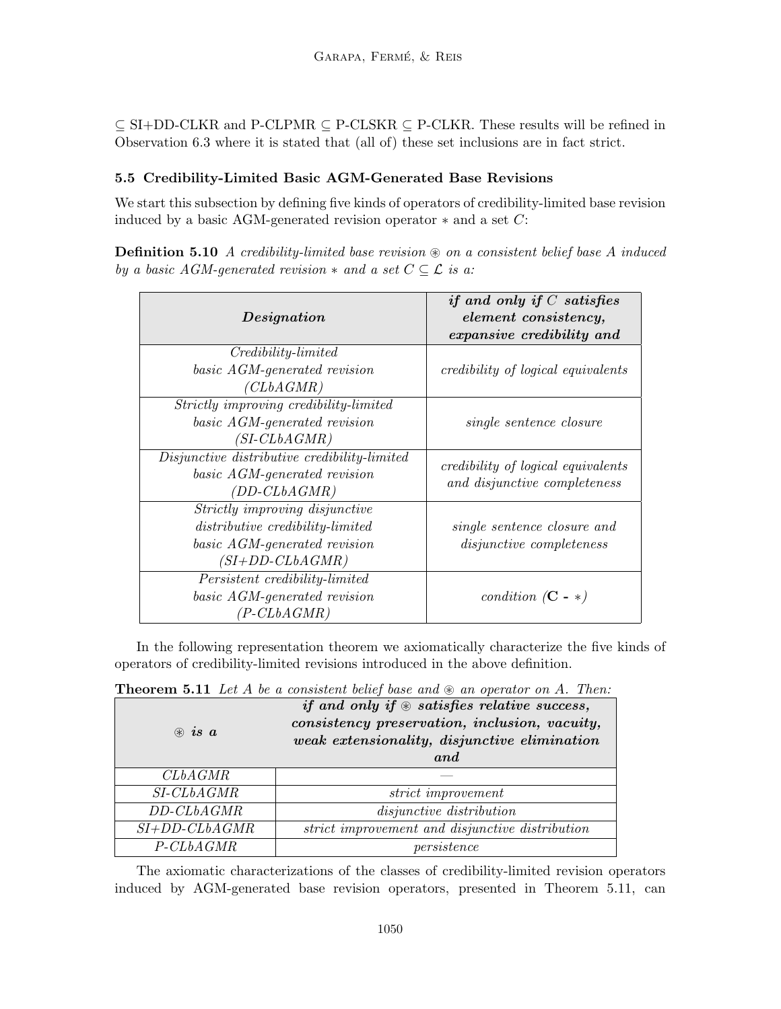⊆ SI+DD-CLKR and P-CLPMR ⊆ P-CLSKR ⊆ P-CLKR. These results will be refined in Observation 6.3 where it is stated that (all of) these set inclusions are in fact strict.

# 5.5 Credibility-Limited Basic AGM-Generated Base Revisions

We start this subsection by defining five kinds of operators of credibility-limited base revision induced by a basic AGM-generated revision operator  $*$  and a set  $C$ :

**Definition 5.10** A credibility-limited base revision  $\circledast$  on a consistent belief base A induced by a basic AGM-generated revision  $*$  and a set  $C \subseteq \mathcal{L}$  is a:

| Designation                                                                                                           | <i>if and only if</i> $C$ <i>satisfies</i><br>element consistency,<br>expansive credibility and |
|-----------------------------------------------------------------------------------------------------------------------|-------------------------------------------------------------------------------------------------|
| Credibility-limited<br>basic AGM-generated revision<br>(CLbAGMR)                                                      | credibility of logical equivalents                                                              |
| Strictly improving credibility-limited<br>basic AGM-generated revision<br>$(SI\text{-}CLbAGMR)$                       | <i>single sentence closure</i>                                                                  |
| Disjunctive distributive credibility-limited<br>basic AGM-generated revision<br>(DD-CLbAGMR)                          | <i>credibility of logical equivalents</i><br>and disjunctive completeness                       |
| Strictly improving disjunctive<br>distributive credibility-limited<br>basic AGM-generated revision<br>(SI+DD-CLbAGMR) | single sentence closure and<br><i>disjunctive completeness</i>                                  |
| Persistent credibility-limited<br>basic AGM-generated revision<br>(P-CLbAGMR)                                         | condition $(C - *)$                                                                             |

In the following representation theorem we axiomatically characterize the five kinds of operators of credibility-limited revisions introduced in the above definition.

| $\circledast$ is a  | <i>if and only if</i> $\otimes$ <i>satisfies relative success,</i><br>consistency preservation, inclusion, vacuity,<br>weak extensionality, disjunctive elimination<br>and |
|---------------------|----------------------------------------------------------------------------------------------------------------------------------------------------------------------------|
| <i>CLbAGMR</i>      |                                                                                                                                                                            |
| SI-CLbAGMR          | strict improvement                                                                                                                                                         |
| DD-CLbAGMR          | disjunctive distribution                                                                                                                                                   |
| $SI + DD - CLbAGMR$ | strict improvement and disjunctive distribution                                                                                                                            |
| $P\text{-}CLbAGMR$  | persistence                                                                                                                                                                |

**Theorem 5.11** Let A be a consistent belief base and  $\otimes$  an operator on A. Then:

The axiomatic characterizations of the classes of credibility-limited revision operators induced by AGM-generated base revision operators, presented in Theorem 5.11, can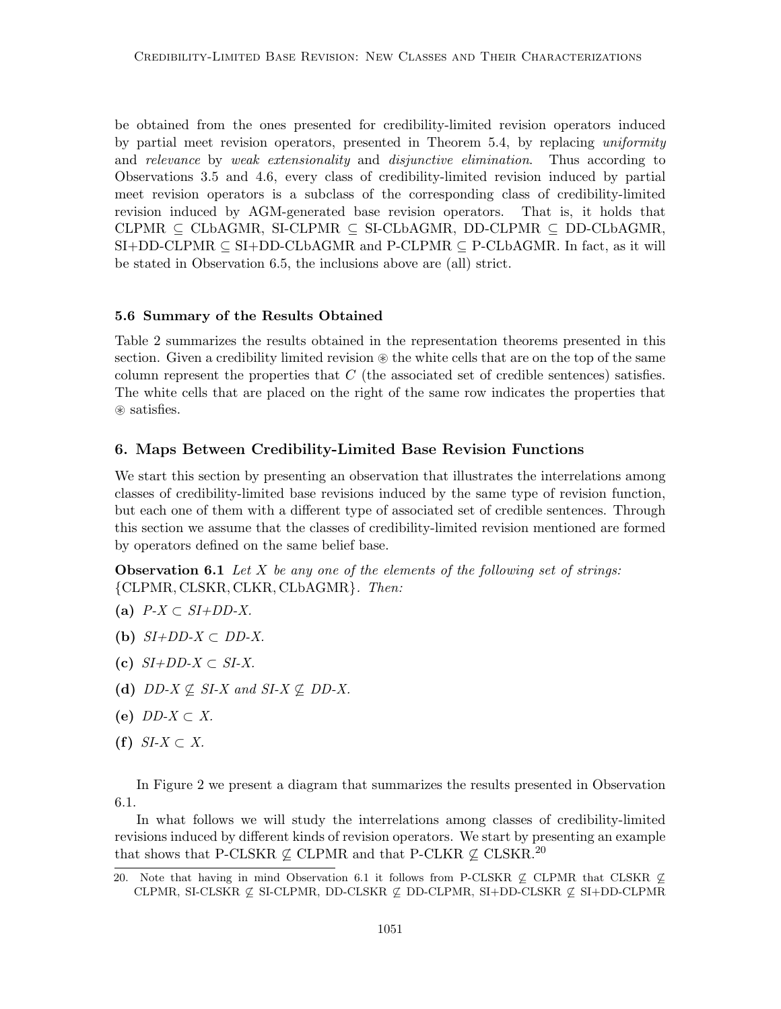be obtained from the ones presented for credibility-limited revision operators induced by partial meet revision operators, presented in Theorem 5.4, by replacing uniformity and relevance by weak extensionality and disjunctive elimination. Thus according to Observations 3.5 and 4.6, every class of credibility-limited revision induced by partial meet revision operators is a subclass of the corresponding class of credibility-limited revision induced by AGM-generated base revision operators. That is, it holds that CLPMR  $\subseteq$  CLbAGMR, SI-CLPMR  $\subseteq$  SI-CLbAGMR, DD-CLPMR  $\subseteq$  DD-CLbAGMR,  $SI+DD-CLPMR \subseteq SI+DD-CLbAGMR$  and  $P-CLPMR \subseteq P-CLbAGMR$ . In fact, as it will be stated in Observation 6.5, the inclusions above are (all) strict.

### 5.6 Summary of the Results Obtained

Table 2 summarizes the results obtained in the representation theorems presented in this section. Given a credibility limited revision  $\circledast$  the white cells that are on the top of the same column represent the properties that  $C$  (the associated set of credible sentences) satisfies. The white cells that are placed on the right of the same row indicates the properties that ~ satisfies.

# 6. Maps Between Credibility-Limited Base Revision Functions

We start this section by presenting an observation that illustrates the interrelations among classes of credibility-limited base revisions induced by the same type of revision function, but each one of them with a different type of associated set of credible sentences. Through this section we assume that the classes of credibility-limited revision mentioned are formed by operators defined on the same belief base.

**Observation 6.1** Let X be any one of the elements of the following set of strings: {CLPMR, CLSKR, CLKR, CLbAGMR}. Then:

- (a)  $P-X \subset SI+DD-X$ .
- (b)  $SI+DD-X \subset DD-X$ .
- (c)  $SI+DD-X \subset SI-X$ .
- (d)  $DD-X \nsubseteq SI-X$  and  $SI-X \nsubseteq DD-X$ .
- (e)  $DD-X \subset X$ .
- (f)  $SI-X \subset X$ .

In Figure 2 we present a diagram that summarizes the results presented in Observation 6.1.

In what follows we will study the interrelations among classes of credibility-limited revisions induced by different kinds of revision operators. We start by presenting an example that shows that P-CLSKR  $\not\subseteq$  CLPMR and that P-CLKR  $\not\subseteq$  CLSKR.<sup>20</sup>

<sup>20.</sup> Note that having in mind Observation 6.1 it follows from P-CLSKR  $\mathcal{L}$  CLPMR that CLSKR  $\mathcal{L}$ CLPMR, SI-CLSKR  $\nsubseteq$  SI-CLPMR, DD-CLSKR  $\nsubseteq$  DD-CLPMR, SI+DD-CLSKR  $\nsubseteq$  SI+DD-CLPMR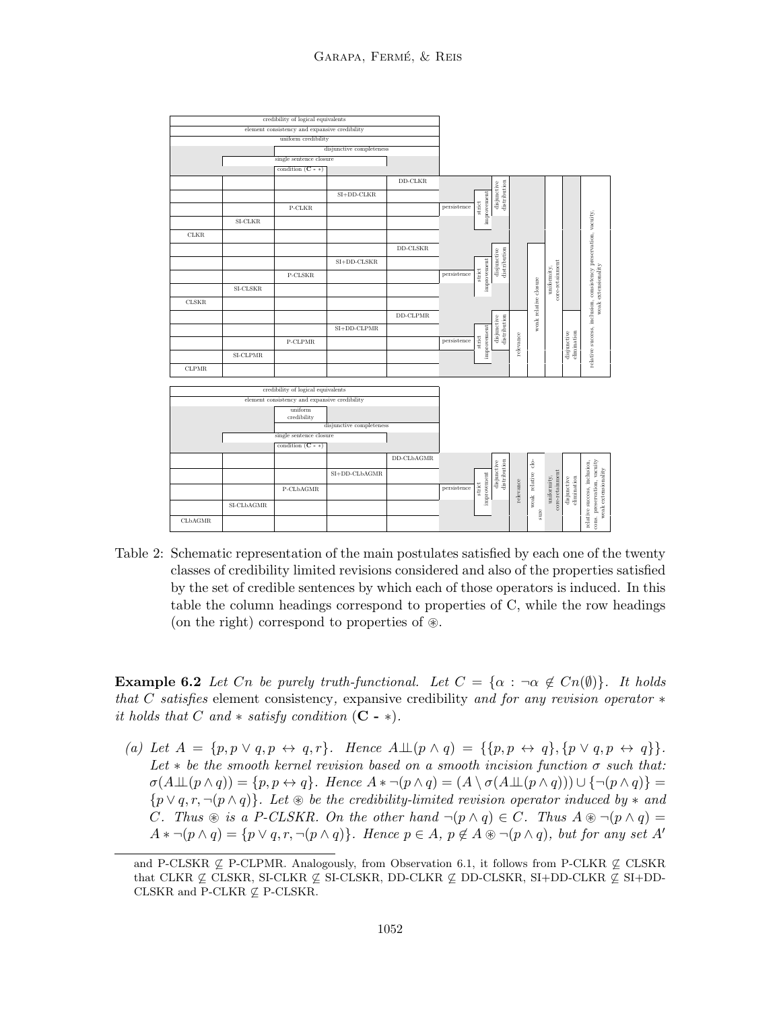

Table 2: Schematic representation of the main postulates satisfied by each one of the twenty classes of credibility limited revisions considered and also of the properties satisfied by the set of credible sentences by which each of those operators is induced. In this table the column headings correspond to properties of C, while the row headings (on the right) correspond to properties of  $\mathcal{F}$ .

**Example 6.2** Let Cn be purely truth-functional. Let  $C = \{\alpha : \neg \alpha \notin C_n(\emptyset)\}\$ . It holds that C satisfies element consistency, expansive credibility and for any revision operator  $*$ it holds that C and  $*$  satisfy condition  $(C - *)$ .

(a) Let  $A = \{p, p \lor q, p \leftrightarrow q, r\}.$  Hence  $A \perp (p \land q) = \{\{p, p \leftrightarrow q\}, \{p \lor q, p \leftrightarrow q\}\}.$ Let  $*$  be the smooth kernel revision based on a smooth incision function  $\sigma$  such that:  $\sigma(A\perp(p\wedge q)) = \{p, p \leftrightarrow q\}.$  Hence  $A * \neg(p \wedge q) = (A \setminus \sigma(A\perp(p \wedge q))) \cup \{\neg(p \wedge q)\} =$  $\{p \lor q, r, \neg(p \land q)\}\$ . Let  $\circledast$  be the credibility-limited revision operator induced by  $*$  and C. Thus  $\circledast$  is a P-CLSKR. On the other hand  $\neg(p \land q) \in C$ . Thus  $A \circledast \neg(p \land q) =$  $A * \neg (p \land q) = \{p \lor q, r, \neg (p \land q)\}.$  Hence  $p \in A$ ,  $p \notin A \circledast \neg (p \land q)$ , but for any set A'

and P-CLSKR  $\varphi$  P-CLPMR. Analogously, from Observation 6.1, it follows from P-CLKR  $\varphi$  CLSKR that CLKR  $\mathcal{L}$  CLSKR, SI-CLKR  $\mathcal{L}$  SI-CLSKR, DD-CLKR  $\mathcal{L}$  DD-CLSKR, SI+DD-CLKR  $\mathcal{L}$  SI+DD-CLSKR and P-CLKR  $\not\subseteq$  P-CLSKR.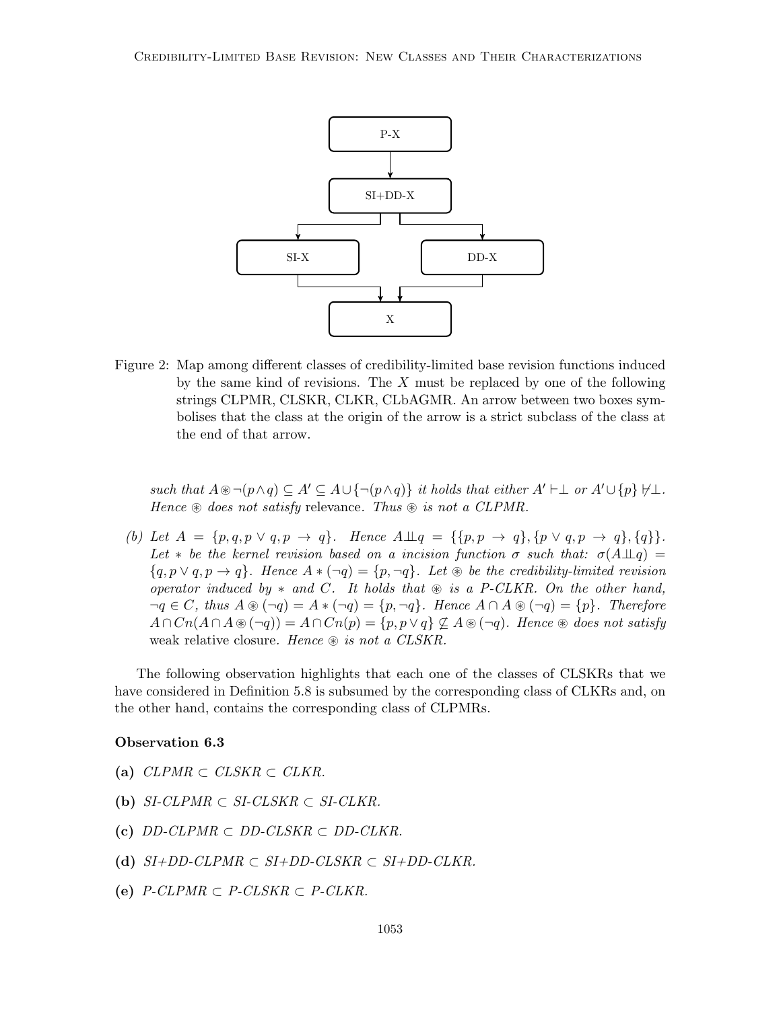

Figure 2: Map among different classes of credibility-limited base revision functions induced by the same kind of revisions. The  $X$  must be replaced by one of the following strings CLPMR, CLSKR, CLKR, CLbAGMR. An arrow between two boxes symbolises that the class at the origin of the arrow is a strict subclass of the class at the end of that arrow.

such that  $A\otimes\neg(p\wedge q) \subseteq A' \subseteq A\cup \{\neg(p\wedge q)\}\$ it holds that either  $A' \vdash \bot$  or  $A' \cup \{p\} \not\vdash \bot$ . Hence  $\otimes$  does not satisfy relevance. Thus  $\otimes$  is not a CLPMR.

(b) Let  $A = \{p, q, p \lor q, p \to q\}$ . Hence  $A \perp \perp q = \{\{p, p \to q\}, \{p \lor q, p \to q\}, \{q\}\}.$ Let  $*$  be the kernel revision based on a incision function  $\sigma$  such that:  $\sigma(A \perp\!\!\!\perp q)$  ${q, p \vee q, p \rightarrow q}$ . Hence  $A * (\neg q) = {p, \neg q}$ . Let  $\circledast$  be the credibility-limited revision operator induced by  $*$  and C. It holds that  $*$  is a P-CLKR. On the other hand,  $\neg q \in C$ , thus  $A \circledast (\neg q) = A * (\neg q) = \{p, \neg q\}$ . Hence  $A \cap A \circledast (\neg q) = \{p\}$ . Therefore  $A \cap Cn(A \cap A \otimes (\neg q)) = A \cap Cn(p) = \{p, p \lor q\} \nsubseteq A \otimes (\neg q)$ . Hence  $\otimes$  does not satisfy weak relative closure. Hence  $\circledast$  is not a CLSKR.

The following observation highlights that each one of the classes of CLSKRs that we have considered in Definition 5.8 is subsumed by the corresponding class of CLKRs and, on the other hand, contains the corresponding class of CLPMRs.

### Observation 6.3

- (a)  $CLPMR \subset CLSKR \subset CLKR$ .
- (b) SI-CLPMR  $\subset$  SI-CLSKR  $\subset$  SI-CLKR.
- (c)  $DD-CLPMR \subset DD-CLSKR \subset DD-CLKR$ .
- (d)  $SI+DD-CLPMR \subset SI+DD-CLSKR \subset SI+DD-CLKR$ .
- (e)  $P\text{-}CLPMR \subset P\text{-}CLSKR \subset P\text{-}CLKR$ .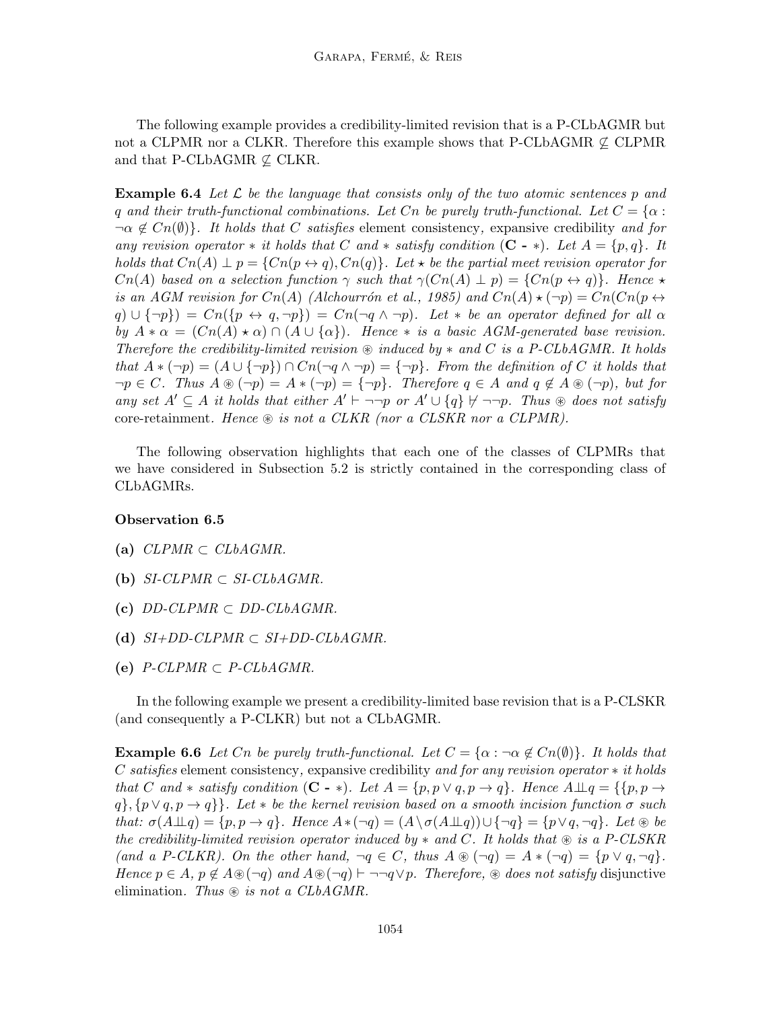The following example provides a credibility-limited revision that is a P-CLbAGMR but not a CLPMR nor a CLKR. Therefore this example shows that P-CLbAGMR  $\nsubseteq$  CLPMR and that P-CLbAGMR  $\nsubseteq$  CLKR.

**Example 6.4** Let  $\mathcal{L}$  be the language that consists only of the two atomic sentences p and q and their truth-functional combinations. Let Cn be purely truth-functional. Let  $C = \{ \alpha :$  $\neg \alpha \notin C_n(\emptyset)$ . It holds that C satisfies element consistency, expansive credibility and for any revision operator  $*$  it holds that C and  $*$  satisfy condition  $(C - *)$ . Let  $A = \{p, q\}$ . It holds that  $C_n(A) \perp p = \{C_n(p \leftrightarrow q), C_n(q)\}\.$  Let  $\star$  be the partial meet revision operator for  $Cn(A)$  based on a selection function  $\gamma$  such that  $\gamma(Cn(A) \perp p) = \{Cn(p \leftrightarrow q)\}.$  Hence  $\star$ is an AGM revision for  $Cn(A)$  (Alchourrón et al., 1985) and  $Cn(A) \star (\neg p) = Cn(Cn(p \leftrightarrow p))$  $q) \cup {\neg p} = Cn({p \leftrightarrow q, \neg p}) = Cn({\neg q \land \neg p}).$  Let  $*$  be an operator defined for all  $\alpha$ by  $A * \alpha = (Cn(A) * \alpha) \cap (A \cup {\alpha})$ . Hence \* is a basic AGM-generated base revision. Therefore the credibility-limited revision  $\circledast$  induced by  $*$  and C is a P-CLbAGMR. It holds that  $A * (\neg p) = (A \cup {\neg p}) \cap C_n(\neg q \wedge \neg p) = {\neg p}$ . From the definition of C it holds that  $\neg p \in C$ . Thus  $A \circledast (\neg p) = A * (\neg p) = {\neg p}$ . Therefore  $q \in A$  and  $q \notin A \circledast (\neg p)$ , but for any set  $A' \subseteq A$  it holds that either  $A' \vdash \neg \neg p$  or  $A' \cup \{q\} \not\vdash \neg \neg p$ . Thus  $\circledast$  does not satisfy core-retainment. Hence  $\circledast$  is not a CLKR (nor a CLSKR nor a CLPMR).

The following observation highlights that each one of the classes of CLPMRs that we have considered in Subsection 5.2 is strictly contained in the corresponding class of CLbAGMRs.

### Observation 6.5

- (a)  $CLPMR \subset CLbAGMR$ .
- (b)  $SI\text{-}CLPMR \subset SI\text{-}CLbAGMR$ .
- (c)  $DD-CLPMR \subset DD-CLbAGMR$ .
- (d)  $SI+DD-CLPMR \subset SI+DD-CLbAGMR$ .
- (e)  $P\text{-}CLPMR \subset P\text{-}CLbAGMR$ .

In the following example we present a credibility-limited base revision that is a P-CLSKR (and consequently a P-CLKR) but not a CLbAGMR.

**Example 6.6** Let Cn be purely truth-functional. Let  $C = {\alpha : \neg \alpha \notin C_n(\emptyset)}$ . It holds that C satisfies element consistency, expansive credibility and for any revision operator  $*$  it holds that C and  $*$  satisfy condition  $(C - *)$ . Let  $A = \{p, p \lor q, p \to q\}$ . Hence  $A \perp \perp q = \{p, p \to q\}$  $q\}, \{p\lor q, p\rightarrow q\}\$ . Let  $*$  be the kernel revision based on a smooth incision function  $\sigma$  such that:  $\sigma(A \perp \hspace{-1.5pt} \perp q) = \{p, p \rightarrow q\}$ . Hence  $A * (\neg q) = (A \setminus \sigma(A \perp \hspace{-1.5pt} \perp q)) \cup {\neg q} = \{p \lor q, \neg q\}$ . Let  $\circledast$  be the credibility-limited revision operator induced by  $*$  and C. It holds that  $*$  is a P-CLSKR (and a P-CLKR). On the other hand,  $\neg q \in C$ , thus  $A \otimes (\neg q) = A * (\neg q) = \{p \lor q, \neg q\}.$ Hence  $p \in A$ ,  $p \notin A \otimes (\neg q)$  and  $A \otimes (\neg q) \vdash \neg \neg q \vee p$ . Therefore,  $\otimes$  does not satisfy disjunctive elimination. Thus  $\otimes$  is not a CLbAGMR.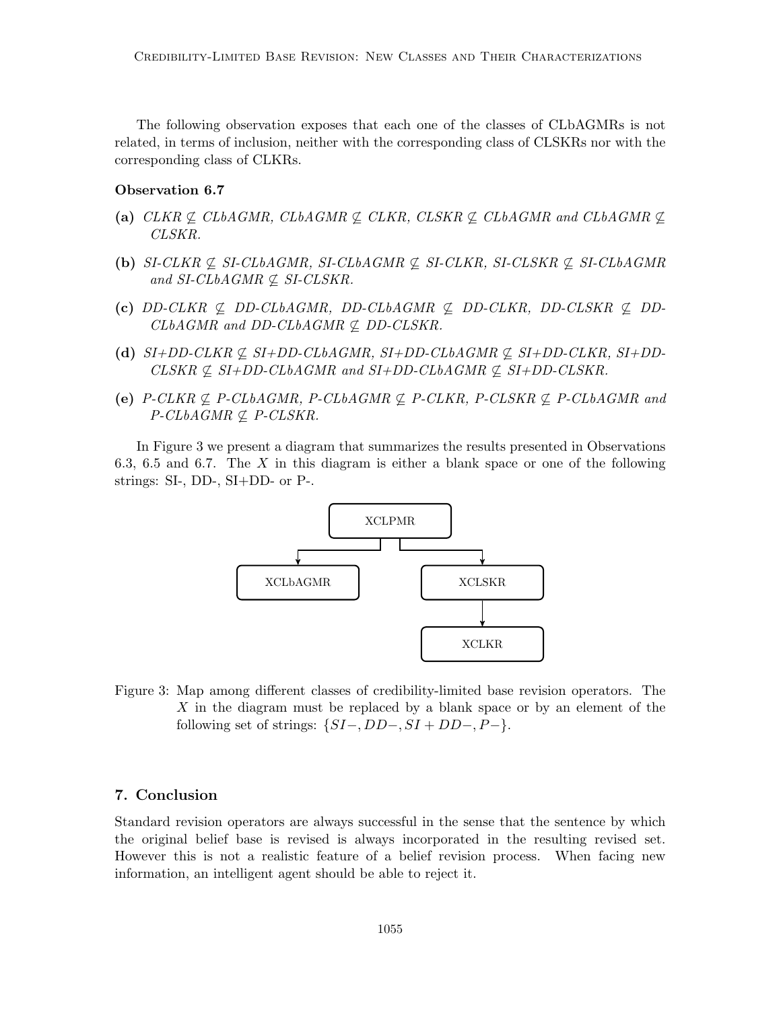The following observation exposes that each one of the classes of CLbAGMRs is not related, in terms of inclusion, neither with the corresponding class of CLSKRs nor with the corresponding class of CLKRs.

#### Observation 6.7

- (a) CLKR  $\nsubseteq$  CLbAGMR, CLbAGMR  $\nsubseteq$  CLKR, CLSKR  $\nsubseteq$  CLbAGMR and CLbAGMR  $\nsubseteq$ CLSKR.
- (b) SI-CLKR  $\nsubseteq$  SI-CLbAGMR, SI-CLbAGMR  $\nsubseteq$  SI-CLKR, SI-CLSKR  $\nsubseteq$  SI-CLbAGMR and SI-CLbAGMR  $\nsubseteq$  SI-CLSKR.
- (c)  $DD-CLKR \nsubseteq DD-CLbAGMR, DD-CLbAGMR \nsubseteq DD-CLKR, DD-CLSKR \nsubseteq DD CLbAGMR$  and DD-CLbAGMR  $\nsubseteq$  DD-CLSKR.
- (d)  $SI+DD-CLKR \nsubseteq SI+DD-CLbAGMR$ ,  $SI+DD-CLbAGMR \nsubseteq SI+DD-CLKR$ ,  $SI+DD-CLKR$  $CLSKR \nsubseteq SI+DD-CLbAGMR$  and  $SI+DD-CLbAGMR \nsubseteq SI+DD-CLSKR$ .
- (e) P-CLKR  $\nsubseteq$  P-CLbAGMR, P-CLbAGMR  $\nsubseteq$  P-CLKR, P-CLSKR  $\nsubseteq$  P-CLbAGMR and  $P\text{-}CLbAGMR \nsubseteq P\text{-}CLSKR$ .

In Figure 3 we present a diagram that summarizes the results presented in Observations 6.3, 6.5 and 6.7. The X in this diagram is either a blank space or one of the following strings: SI-, DD-, SI+DD- or P-.



Figure 3: Map among different classes of credibility-limited base revision operators. The X in the diagram must be replaced by a blank space or by an element of the following set of strings:  $\{SI-, DD-, SI+DD-, P-\}.$ 

# 7. Conclusion

Standard revision operators are always successful in the sense that the sentence by which the original belief base is revised is always incorporated in the resulting revised set. However this is not a realistic feature of a belief revision process. When facing new information, an intelligent agent should be able to reject it.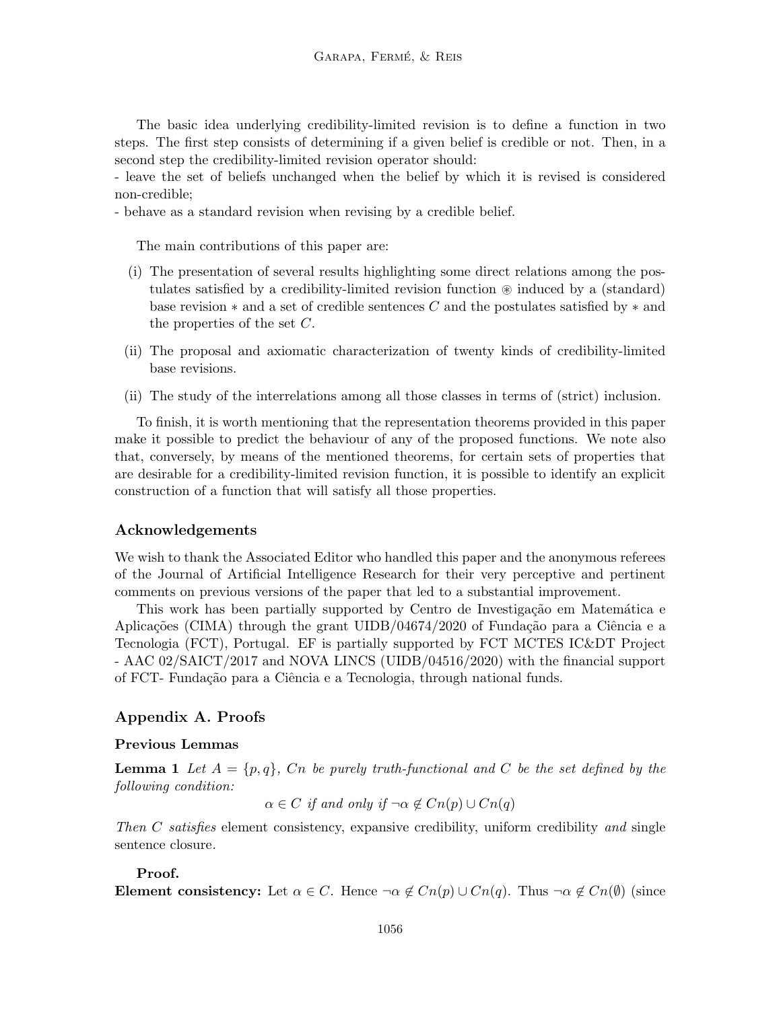The basic idea underlying credibility-limited revision is to define a function in two steps. The first step consists of determining if a given belief is credible or not. Then, in a second step the credibility-limited revision operator should:

- leave the set of beliefs unchanged when the belief by which it is revised is considered non-credible;

- behave as a standard revision when revising by a credible belief.

The main contributions of this paper are:

- (i) The presentation of several results highlighting some direct relations among the postulates satisfied by a credibility-limited revision function  $\circledast$  induced by a (standard) base revision  $*$  and a set of credible sentences C and the postulates satisfied by  $*$  and the properties of the set  $C$ .
- (ii) The proposal and axiomatic characterization of twenty kinds of credibility-limited base revisions.
- (ii) The study of the interrelations among all those classes in terms of (strict) inclusion.

To finish, it is worth mentioning that the representation theorems provided in this paper make it possible to predict the behaviour of any of the proposed functions. We note also that, conversely, by means of the mentioned theorems, for certain sets of properties that are desirable for a credibility-limited revision function, it is possible to identify an explicit construction of a function that will satisfy all those properties.

# Acknowledgements

We wish to thank the Associated Editor who handled this paper and the anonymous referees of the Journal of Artificial Intelligence Research for their very perceptive and pertinent comments on previous versions of the paper that led to a substantial improvement.

This work has been partially supported by Centro de Investigação em Matemática e Aplicações (CIMA) through the grant  $\text{UIDB}/04674/2020$  of Fundação para a Ciência e a Tecnologia (FCT), Portugal. EF is partially supported by FCT MCTES IC&DT Project - AAC 02/SAICT/2017 and NOVA LINCS (UIDB/04516/2020) with the financial support of FCT- Funda¸c˜ao para a Ciˆencia e a Tecnologia, through national funds.

# Appendix A. Proofs

### Previous Lemmas

**Lemma 1** Let  $A = \{p, q\}$ , Cn be purely truth-functional and C be the set defined by the following condition:

 $\alpha \in C$  if and only if  $\neg \alpha \notin C_n(p) \cup C_n(q)$ 

Then  $C$  satisfies element consistency, expansive credibility, uniform credibility and single sentence closure.

### Proof.

Element consistency: Let  $\alpha \in C$ . Hence  $\neg \alpha \notin C_n(p) \cup C_n(q)$ . Thus  $\neg \alpha \notin C_n(\emptyset)$  (since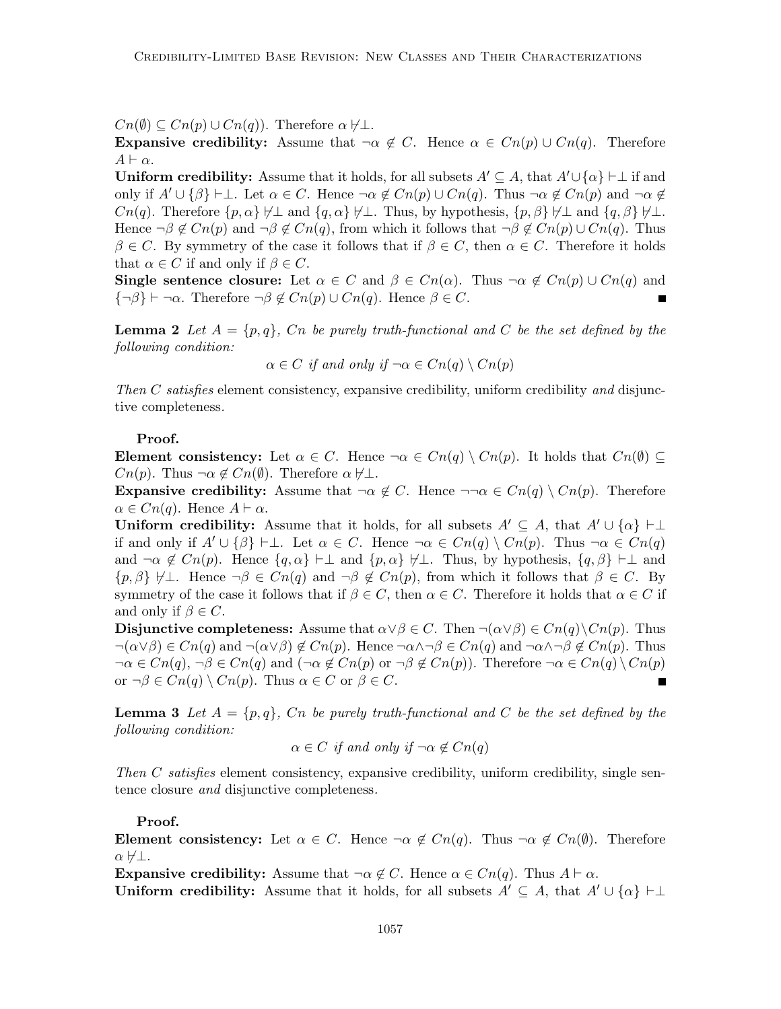$Cn(\emptyset) \subseteq Cn(p) \cup Cn(q)$ . Therefore  $\alpha \neq \perp$ .

**Expansive credibility:** Assume that  $\neg \alpha \notin C$ . Hence  $\alpha \in C_n(p) \cup C_n(q)$ . Therefore  $A \vdash \alpha$ .

**Uniform credibility:** Assume that it holds, for all subsets  $A' \subseteq A$ , that  $A' \cup \{\alpha\} \vdash \bot$  if and only if  $A' \cup \{\beta\} \vdash \perp$ . Let  $\alpha \in C$ . Hence  $\neg \alpha \notin C_n(p) \cup C_n(q)$ . Thus  $\neg \alpha \notin C_n(p)$  and  $\neg \alpha \notin C_n(q)$ .  $Cn(q)$ . Therefore  ${p,\alpha} \not\vdash \perp$  and  ${q,\alpha} \not\vdash \perp$ . Thus, by hypothesis,  ${p,\beta} \not\vdash \perp$  and  ${q,\beta} \not\vdash \perp$ . Hence  $\neg \beta \notin C_n(p)$  and  $\neg \beta \notin C_n(q)$ , from which it follows that  $\neg \beta \notin C_n(p) \cup C_n(q)$ . Thus  $\beta \in C$ . By symmetry of the case it follows that if  $\beta \in C$ , then  $\alpha \in C$ . Therefore it holds that  $\alpha \in C$  if and only if  $\beta \in C$ .

**Single sentence closure:** Let  $\alpha \in C$  and  $\beta \in C_n(\alpha)$ . Thus  $\neg \alpha \notin C_n(p) \cup C_n(q)$  and  ${\lbrace \neg \beta \rbrace \vdash \neg \alpha}$ . Therefore  $\neg \beta \notin C_n(p) \cup C_n(q)$ . Hence  $\beta \in C$ .

**Lemma 2** Let  $A = \{p, q\}$ , Cn be purely truth-functional and C be the set defined by the following condition:

 $\alpha \in C$  if and only if  $\neg \alpha \in C_n(q) \setminus C_n(p)$ 

Then C satisfies element consistency, expansive credibility, uniform credibility and disjunctive completeness.

### Proof.

Element consistency: Let  $\alpha \in C$ . Hence  $\neg \alpha \in C_n(q) \setminus C_n(p)$ . It holds that  $C_n(\emptyset) \subseteq$  $C_n(p)$ . Thus  $\neg \alpha \notin C_n(\emptyset)$ . Therefore  $\alpha \not\vdash \bot$ .

**Expansive credibility:** Assume that  $\neg \alpha \notin C$ . Hence  $\neg \neg \alpha \in C_n(q) \setminus C_n(p)$ . Therefore  $\alpha \in C_n(q)$ . Hence  $A \vdash \alpha$ .

**Uniform credibility:** Assume that it holds, for all subsets  $A' \subseteq A$ , that  $A' \cup \{\alpha\} \vdash \perp$ if and only if  $A' \cup \{\beta\} \vdash \perp$ . Let  $\alpha \in C$ . Hence  $\neg \alpha \in C_n(q) \setminus C_n(p)$ . Thus  $\neg \alpha \in C_n(q)$ and  $\neg \alpha \notin C_n(p)$ . Hence  $\{q, \alpha\} \vdash \bot$  and  $\{p, \alpha\} \not\vdash \bot$ . Thus, by hypothesis,  $\{q, \beta\} \vdash \bot$  and  $\{p, \beta\} \neq \perp$ . Hence  $\neg \beta \in C_n(q)$  and  $\neg \beta \notin C_n(p)$ , from which it follows that  $\beta \in C$ . By symmetry of the case it follows that if  $\beta \in C$ , then  $\alpha \in C$ . Therefore it holds that  $\alpha \in C$  if and only if  $\beta \in C$ .

Disjunctive completeness: Assume that  $\alpha \vee \beta \in C$ . Then  $\neg(\alpha \vee \beta) \in Cn(q) \setminus Cn(p)$ . Thus  $\neg(\alpha \vee \beta) \in C_n(q)$  and  $\neg(\alpha \vee \beta) \notin C_n(p)$ . Hence  $\neg \alpha \wedge \neg \beta \in C_n(q)$  and  $\neg \alpha \wedge \neg \beta \notin C_n(p)$ . Thus  $\neg \alpha \in C_n(q)$ ,  $\neg \beta \in C_n(q)$  and  $(\neg \alpha \notin C_n(p)$  or  $\neg \beta \notin C_n(p)$ . Therefore  $\neg \alpha \in C_n(q) \setminus C_n(p)$ or  $\neg \beta \in C_n(q) \setminus C_n(p)$ . Thus  $\alpha \in C$  or  $\beta \in C$ .

**Lemma 3** Let  $A = \{p, q\}$ , Cn be purely truth-functional and C be the set defined by the following condition:

 $\alpha \in C$  if and only if  $\neg \alpha \notin Cn(q)$ 

Then C satisfies element consistency, expansive credibility, uniform credibility, single sentence closure *and* disjunctive completeness.

# Proof.

Element consistency: Let  $\alpha \in C$ . Hence  $\neg \alpha \notin C_n(q)$ . Thus  $\neg \alpha \notin C_n(\emptyset)$ . Therefore  $\alpha \not\vdash \perp$ .

**Expansive credibility:** Assume that  $\neg \alpha \notin C$ . Hence  $\alpha \in C_n(q)$ . Thus  $A \vdash \alpha$ .

Uniform credibility: Assume that it holds, for all subsets  $A' \subseteq A$ , that  $A' \cup \{\alpha\} \vdash \perp$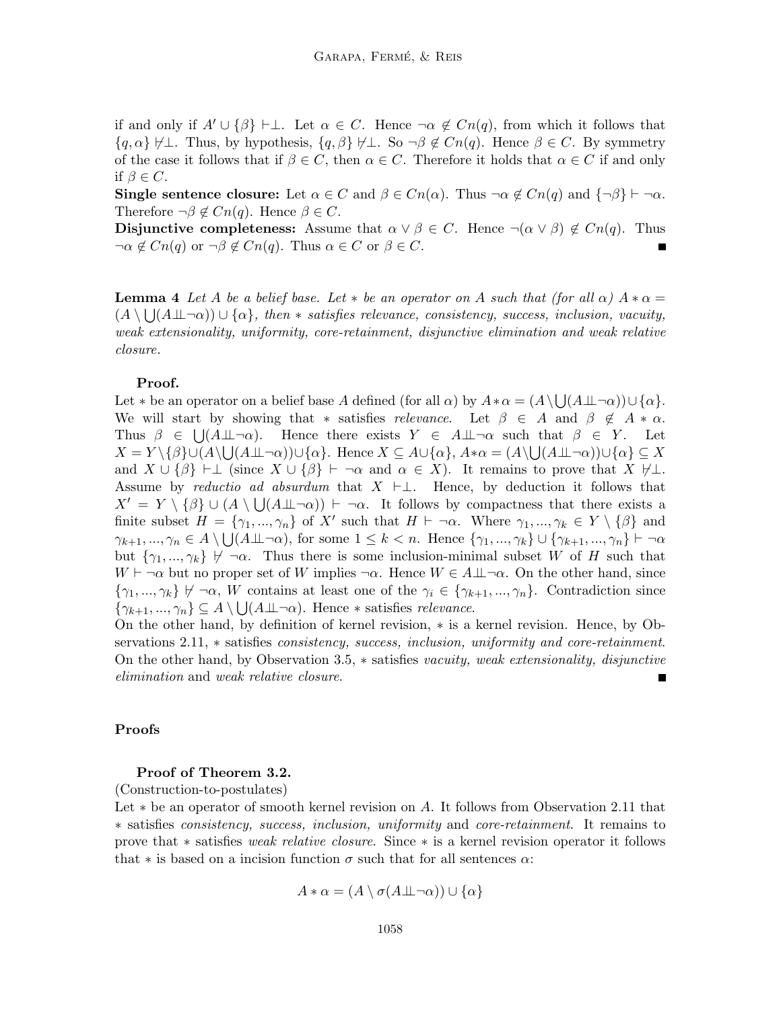if and only if  $A' \cup {\{\beta\}} \vdash \bot$ . Let  $\alpha \in C$ . Hence  $\neg \alpha \notin C_n(q)$ , from which it follows that  $\{q, \alpha\} \neq \perp$ . Thus, by hypothesis,  $\{q, \beta\} \neq \perp$ . So  $\neg \beta \notin C_n(q)$ . Hence  $\beta \in C$ . By symmetry of the case it follows that if  $\beta \in C$ , then  $\alpha \in C$ . Therefore it holds that  $\alpha \in C$  if and only if  $\beta \in C$ .

**Single sentence closure:** Let  $\alpha \in C$  and  $\beta \in C_n(\alpha)$ . Thus  $\neg \alpha \notin C_n(q)$  and  $\{\neg \beta\} \vdash \neg \alpha$ . Therefore  $\neg \beta \notin C_n(q)$ . Hence  $\beta \in C$ .

Disjunctive completeness: Assume that  $\alpha \vee \beta \in C$ . Hence  $\neg(\alpha \vee \beta) \notin Cn(q)$ . Thus  $\neg \alpha \notin C_n(q)$  or  $\neg \beta \notin C_n(q)$ . Thus  $\alpha \in C$  or  $\beta \in C$ .

**Lemma 4** Let A be a belief base. Let  $*$  be an operator on A such that (for all  $\alpha$ )  $A * \alpha =$  $(A \setminus \bigcup (A \perp \perp \neg \alpha)) \cup \{\alpha\},\$  then  $*$  satisfies relevance, consistency, success, inclusion, vacuity, weak extensionality, uniformity, core-retainment, disjunctive elimination and weak relative closure.

#### Proof.

Let \* be an operator on a belief base A defined (for all  $\alpha$ ) by  $A * \alpha = (A \setminus \bigcup (A \perp \perp \neg \alpha) \cup \{\alpha\}.$ We will start by showing that \* satisfies relevance. Let  $\beta \in A$  and  $\beta \notin A * \alpha$ . Thus  $\beta \in \bigcup (A \perp \neg \alpha)$ . Hence there exists  $Y \in A \perp \neg \alpha$  such that  $\beta \in Y$ . Let  $X = Y \setminus {\beta} \cup (A \setminus \bigcup (A \perp \perp \neg \alpha)) \cup {\alpha}$ . Hence  $X \subseteq A \cup {\alpha}$ ,  $A * \alpha = (A \setminus \bigcup (A \perp \perp \neg \alpha)) \cup {\alpha} \subseteq X$ and  $X \cup {\beta} \vdash \bot$  (since  $X \cup {\beta} \vdash \neg \alpha$  and  $\alpha \in X$ ). It remains to prove that  $X \not\vdash \bot$ . Assume by reductio ad absurdum that  $X \vdash \perp$ . Hence, by deduction it follows that  $X' = Y \setminus {\beta} \cup (A \setminus \bigcup (A \perp \neg \alpha) ) \vdash \neg \alpha$ . It follows by compactness that there exists a finite subset  $H = \{\gamma_1, ..., \gamma_n\}$  of X' such that  $H \vdash \neg \alpha$ . Where  $\gamma_1, ..., \gamma_k \in Y \setminus \{\beta\}$  and  $\gamma_{k+1},...,\gamma_n\in A\setminus\bigcup(A\perp\!\!\!\perp\neg\alpha),\text{ for some }1\leq k< n. \text{ Hence } \{\gamma_1,...,\gamma_k\}\cup\{\gamma_{k+1},...,\gamma_n\}\vdash\neg\alpha$ but  $\{\gamma_1, ..., \gamma_k\}$   $\nvdash \neg \alpha$ . Thus there is some inclusion-minimal subset W of H such that  $W \vdash \neg \alpha$  but no proper set of W implies  $\neg \alpha$ . Hence  $W \in A \perp \perp \neg \alpha$ . On the other hand, since  $\{\gamma_1, ..., \gamma_k\}$   $\nvdash \neg \alpha$ , W contains at least one of the  $\gamma_i \in \{\gamma_{k+1}, ..., \gamma_n\}$ . Contradiction since  $\{\gamma_{k+1},...,\gamma_n\} \subseteq A \setminus \bigcup (A \perp \neg \alpha)$ . Hence  $*$  satisfies *relevance*.

On the other hand, by definition of kernel revision, ∗ is a kernel revision. Hence, by Observations 2.11,  $*$  satisfies *consistency, success, inclusion, uniformity and core-retainment.* On the other hand, by Observation 3.5, ∗ satisfies vacuity, weak extensionality, disjunctive elimination and weak relative closure.

### Proofs

#### Proof of Theorem 3.2.

(Construction-to-postulates)

Let ∗ be an operator of smooth kernel revision on A. It follows from Observation 2.11 that ∗ satisfies consistency, success, inclusion, uniformity and core-retainment. It remains to prove that ∗ satisfies weak relative closure. Since ∗ is a kernel revision operator it follows that  $*$  is based on a incision function  $\sigma$  such that for all sentences  $\alpha$ :

$$
A * \alpha = (A \setminus \sigma(A \perp \perp \neg \alpha)) \cup \{\alpha\}
$$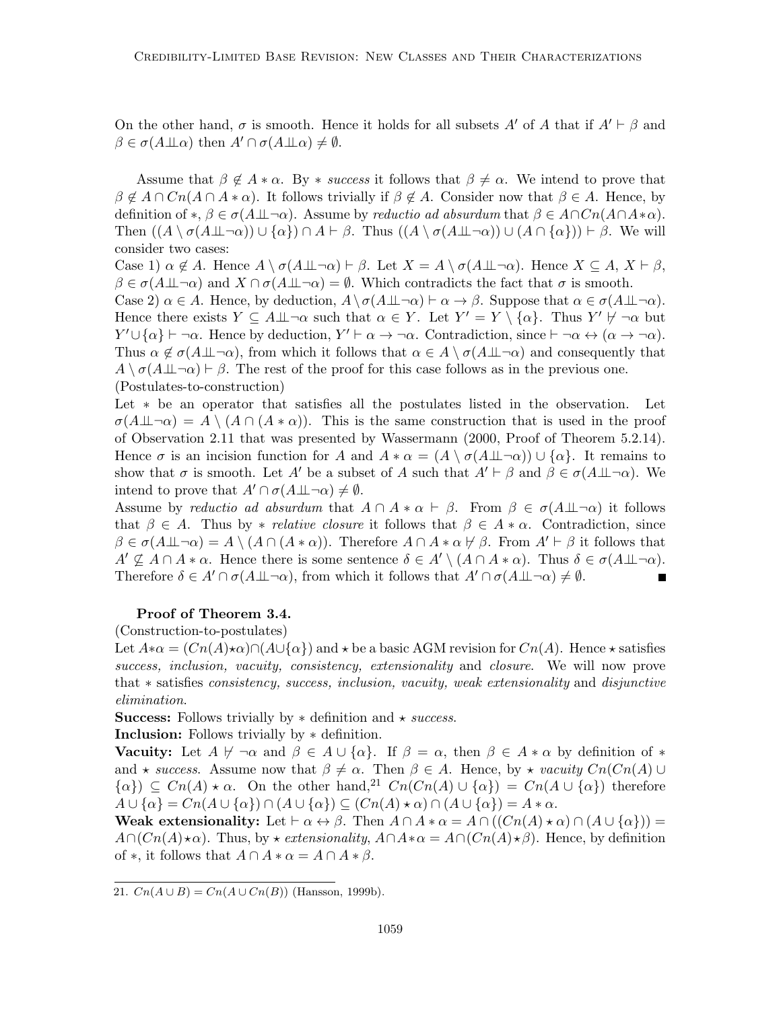On the other hand,  $\sigma$  is smooth. Hence it holds for all subsets A' of A that if  $A' \vdash \beta$  and  $\beta \in \sigma(A \perp\!\!\!\perp \alpha)$  then  $A' \cap \sigma(A \perp\!\!\!\perp \alpha) \neq \emptyset$ .

Assume that  $\beta \notin A * \alpha$ . By \* success it follows that  $\beta \neq \alpha$ . We intend to prove that  $\beta \notin A \cap C_n(A \cap A * \alpha)$ . It follows trivially if  $\beta \notin A$ . Consider now that  $\beta \in A$ . Hence, by definition of \*,  $\beta \in \sigma(A \perp \perp \neg \alpha)$ . Assume by reductio ad absurdum that  $\beta \in A \cap Cn(A \cap A * \alpha)$ . Then  $((A \setminus \sigma(A \perp \perp \neg \alpha)) \cup {\alpha} \cap A \vdash \beta$ . Thus  $((A \setminus \sigma(A \perp \perp \neg \alpha)) \cup (A \cap {\alpha}) ) \vdash \beta$ . We will consider two cases:

Case 1)  $\alpha \notin A$ . Hence  $A \setminus \sigma(A \perp \perp \neg \alpha) \vdash \beta$ . Let  $X = A \setminus \sigma(A \perp \perp \neg \alpha)$ . Hence  $X \subseteq A$ ,  $X \vdash \beta$ ,  $\beta \in \sigma(A \perp \perp \neg \alpha)$  and  $X \cap \sigma(A \perp \perp \neg \alpha) = \emptyset$ . Which contradicts the fact that  $\sigma$  is smooth.

Case 2)  $\alpha \in A$ . Hence, by deduction,  $A \setminus \sigma(A \perp \perp \neg \alpha) \vdash \alpha \rightarrow \beta$ . Suppose that  $\alpha \in \sigma(A \perp \perp \neg \alpha)$ . Hence there exists  $Y \subseteq A \perp \perp \neg \alpha$  such that  $\alpha \in Y$ . Let  $Y' = Y \setminus {\alpha}$ . Thus  $Y' \not\vdash \neg \alpha$  but  $Y' \cup \{\alpha\} \vdash \neg \alpha$ . Hence by deduction,  $Y' \vdash \alpha \to \neg \alpha$ . Contradiction, since  $\vdash \neg \alpha \leftrightarrow (\alpha \to \neg \alpha)$ . Thus  $\alpha \notin \sigma(A \perp \perp \neg \alpha)$ , from which it follows that  $\alpha \in A \setminus \sigma(A \perp \perp \neg \alpha)$  and consequently that  $A \setminus \sigma(A \perp \perp \neg \alpha) \vdash \beta$ . The rest of the proof for this case follows as in the previous one. (Postulates-to-construction)

Let ∗ be an operator that satisfies all the postulates listed in the observation. Let  $\sigma(A \perp \perp \neg \alpha) = A \setminus (A \cap (A * \alpha))$ . This is the same construction that is used in the proof of Observation 2.11 that was presented by Wassermann (2000, Proof of Theorem 5.2.14). Hence  $\sigma$  is an incision function for A and  $A * \alpha = (A \setminus \sigma(A \perp \perp \neg \alpha)) \cup {\alpha}$ . It remains to show that  $\sigma$  is smooth. Let A' be a subset of A such that  $A' \vdash \beta$  and  $\beta \in \sigma(A \perp \perp \neg \alpha)$ . We intend to prove that  $A' \cap \sigma(A \perp \perp \neg \alpha) \neq \emptyset$ .

Assume by reductio ad absurdum that  $A \cap A * \alpha \vdash \beta$ . From  $\beta \in \sigma(A \perp \neg \alpha)$  it follows that  $\beta \in A$ . Thus by \* relative closure it follows that  $\beta \in A * \alpha$ . Contradiction, since  $\beta \in \sigma(A \perp \perp \neg \alpha) = A \setminus (A \cap (A * \alpha))$ . Therefore  $A \cap A * \alpha \nvdash \beta$ . From  $A' \vdash \beta$  it follows that  $A' \nsubseteq A \cap A * \alpha$ . Hence there is some sentence  $\delta \in A' \setminus (A \cap A * \alpha)$ . Thus  $\delta \in \sigma(A \perp \perp \neg \alpha)$ . Therefore  $\delta \in A' \cap \sigma(A \perp \perp \neg \alpha)$ , from which it follows that  $A' \cap \sigma(A \perp \perp \neg \alpha) \neq \emptyset$ .

### Proof of Theorem 3.4.

(Construction-to-postulates)

Let  $A*\alpha = (Cn(A)*\alpha) \cap (A\cup\{\alpha\})$  and  $\star$  be a basic AGM revision for  $Cn(A)$ . Hence  $\star$  satisfies success, inclusion, vacuity, consistency, extensionality and closure. We will now prove that ∗ satisfies consistency, success, inclusion, vacuity, weak extensionality and disjunctive elimination.

**Success:** Follows trivially by  $*$  definition and  $*$  success.

Inclusion: Follows trivially by ∗ definition.

**Vacuity:** Let  $A \not\vdash \neg \alpha$  and  $\beta \in A \cup {\alpha}$ . If  $\beta = \alpha$ , then  $\beta \in A * \alpha$  by definition of  $*$ and  $\star$  success. Assume now that  $\beta \neq \alpha$ . Then  $\beta \in A$ . Hence, by  $\star$  vacuity  $C_n(C_n(A) \cup$  $\{\alpha\}\subseteq Cn(A)\star\alpha$ . On the other hand,<sup>21</sup>  $Cn(Cn(A)\cup\{\alpha\})=Cn(A\cup\{\alpha\})$  therefore  $A \cup {\alpha} = Cn(A \cup {\alpha}) \cap (A \cup {\alpha}) \subseteq (Cn(A) \star \alpha) \cap (A \cup {\alpha}) = A \star \alpha.$ 

Weak extensionality: Let  $\vdash \alpha \leftrightarrow \beta$ . Then  $A \cap A * \alpha = A \cap ((Cn(A) * \alpha) \cap (A \cup \{\alpha\})) =$  $A\cap (Cn(A)\star\alpha)$ . Thus, by  $\star$  extensionality,  $A\cap A\ast\alpha = A\cap (Cn(A)\star\beta)$ . Hence, by definition of \*, it follows that  $A \cap A * \alpha = A \cap A * \beta$ .

<sup>21.</sup>  $Cn(A \cup B) = Cn(A \cup Cn(B))$  (Hansson, 1999b).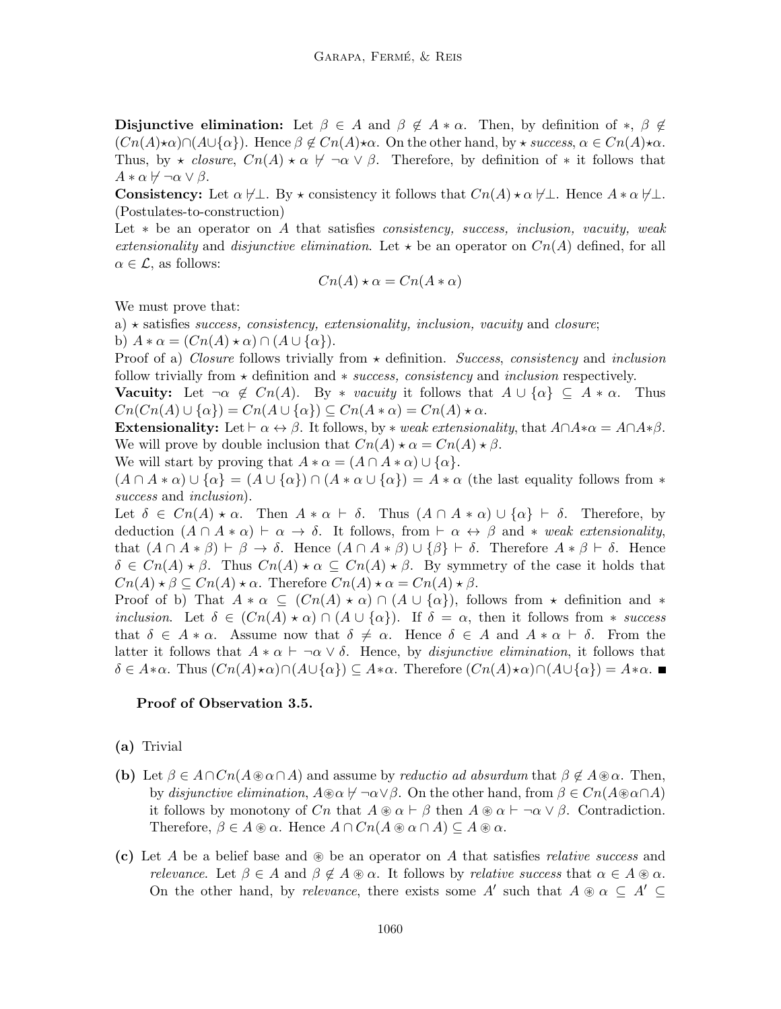Disjunctive elimination: Let  $\beta \in A$  and  $\beta \notin A * \alpha$ . Then, by definition of \*,  $\beta \notin A$  $(Cn(A)\star\alpha)\cap(A\cup\{\alpha\})$ . Hence  $\beta \notin Cn(A)\star\alpha$ . On the other hand, by  $\star$  success,  $\alpha \in Cn(A)\star\alpha$ . Thus, by  $\star$  closure,  $Cn(A) \star \alpha \not\vdash \neg \alpha \vee \beta$ . Therefore, by definition of  $*$  it follows that  $A * \alpha \nvdash \neg \alpha \vee \beta$ .

**Consistency:** Let  $\alpha \not\vdash \bot$ . By  $\star$  consistency it follows that  $Cn(A)\star \alpha \not\vdash \bot$ . Hence  $A\ast \alpha \not\vdash \bot$ . (Postulates-to-construction)

Let  $*$  be an operator on A that satisfies *consistency, success, inclusion, vacuity, weak* extensionality and disjunctive elimination. Let  $\star$  be an operator on  $C_n(A)$  defined, for all  $\alpha \in \mathcal{L}$ , as follows:

$$
Cn(A) \star \alpha = Cn(A \ast \alpha)
$$

We must prove that:

a)  $\star$  satisfies success, consistency, extensionality, inclusion, vacuity and closure; b)  $A * \alpha = (Cn(A) * \alpha) \cap (A \cup \{\alpha\}).$ 

Proof of a) Closure follows trivially from  $\star$  definition. Success, consistency and inclusion follow trivially from  $\star$  definition and  $\ast$  success, consistency and inclusion respectively.

**Vacuity:** Let  $\neg \alpha \notin C_n(A)$ . By \* vacuity it follows that  $A \cup {\alpha} \subseteq A * \alpha$ . Thus  $Cn(Cn(A) \cup {\alpha}) = Cn(A \cup {\alpha}) \subseteq Cn(A * \alpha) = Cn(A) * \alpha.$ 

Extensionality: Let  $\vdash \alpha \leftrightarrow \beta$ . It follows, by  $*$  weak extensionality, that  $A \cap A * \alpha = A \cap A * \beta$ . We will prove by double inclusion that  $Cn(A) \star \alpha = Cn(A) \star \beta$ .

We will start by proving that  $A * \alpha = (A \cap A * \alpha) \cup \{\alpha\}.$ 

 $(A \cap A * \alpha) \cup \{\alpha\} = (A \cup \{\alpha\}) \cap (A * \alpha \cup \{\alpha\}) = A * \alpha$  (the last equality follows from \* success and *inclusion*).

Let  $\delta \in C_n(A) \star \alpha$ . Then  $A \ast \alpha \vdash \delta$ . Thus  $(A \cap A \ast \alpha) \cup \{\alpha\} \vdash \delta$ . Therefore, by deduction  $(A \cap A * \alpha) \vdash \alpha \to \delta$ . It follows, from  $\vdash \alpha \leftrightarrow \beta$  and \* weak extensionality, that  $(A \cap A * \beta) \vdash \beta \rightarrow \delta$ . Hence  $(A \cap A * \beta) \cup {\beta} \vdash \delta$ . Therefore  $A * \beta \vdash \delta$ . Hence  $\delta \in C_n(A) \star \beta$ . Thus  $C_n(A) \star \alpha \subseteq C_n(A) \star \beta$ . By symmetry of the case it holds that  $Cn(A) \star \beta \subseteq Cn(A) \star \alpha$ . Therefore  $Cn(A) \star \alpha = Cn(A) \star \beta$ .

Proof of b) That  $A * \alpha \subseteq (Cn(A) * \alpha) \cap (A \cup {\alpha}$ , follows from  $*$  definition and  $*$ inclusion. Let  $\delta \in (C_n(A) \star \alpha) \cap (A \cup {\alpha})$ . If  $\delta = \alpha$ , then it follows from  $*$  success that  $\delta \in A * \alpha$ . Assume now that  $\delta \neq \alpha$ . Hence  $\delta \in A$  and  $A * \alpha \vdash \delta$ . From the latter it follows that  $A * \alpha \vdash \neg \alpha \vee \delta$ . Hence, by *disjunctive elimination*, it follows that  $\delta \in A$ \* $\alpha$ . Thus  $(Cn(A)\star \alpha)\cap (A\cup\{\alpha\})\subseteq A*\alpha$ . Therefore  $(Cn(A)\star \alpha)\cap (A\cup\{\alpha\})=A*\alpha$ .

#### Proof of Observation 3.5.

- (a) Trivial
- (b) Let  $\beta \in A \cap Cn(A\otimes \alpha \cap A)$  and assume by reductio ad absurdum that  $\beta \notin A\otimes \alpha$ . Then, by disjunctive elimination,  $A\otimes \alpha \nvdash \neg \alpha \vee \beta$ . On the other hand, from  $\beta \in Cn(A\otimes \alpha \cap A)$ it follows by monotony of Cn that  $A \otimes \alpha \vdash \beta$  then  $A \otimes \alpha \vdash \neg \alpha \vee \beta$ . Contradiction. Therefore,  $\beta \in A \circledast \alpha$ . Hence  $A \cap Cn(A \circledast \alpha \cap A) \subseteq A \circledast \alpha$ .
- (c) Let A be a belief base and  $\otimes$  be an operator on A that satisfies *relative success* and relevance. Let  $\beta \in A$  and  $\beta \notin A \circledast \alpha$ . It follows by relative success that  $\alpha \in A \circledast \alpha$ . On the other hand, by relevance, there exists some A' such that  $A \otimes \alpha \subseteq A' \subseteq$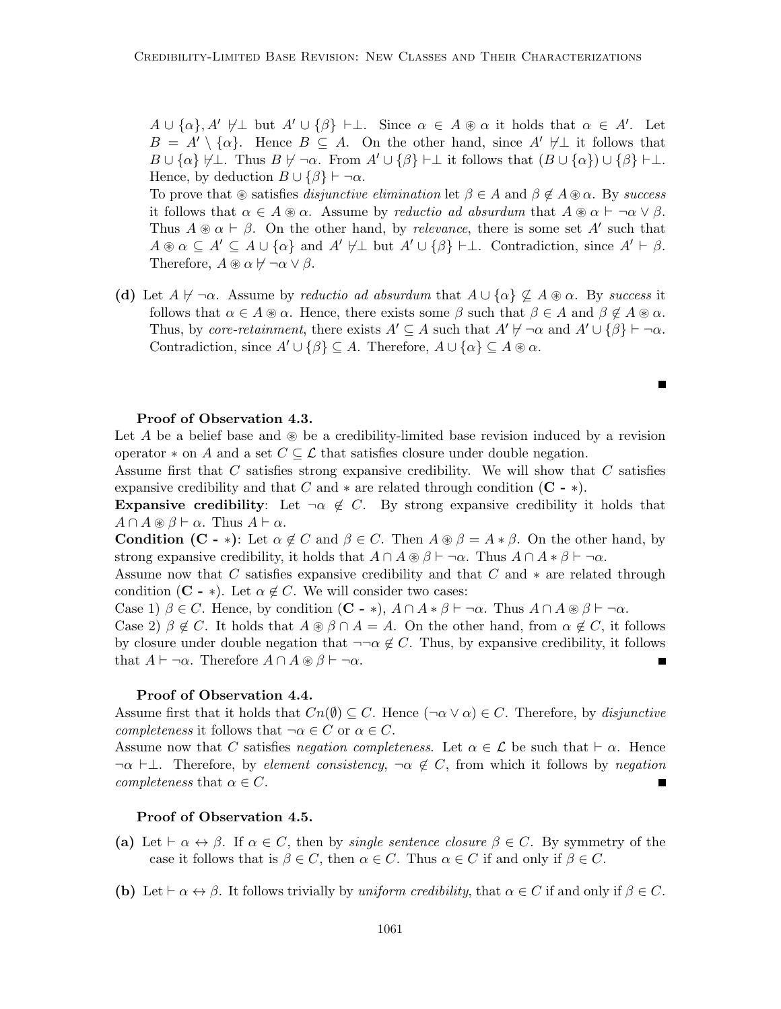$A \cup {\alpha}, A' \not\vdash \perp \text{ but } A' \cup {\beta} \vdash \perp$ . Since  $\alpha \in A \otimes \alpha$  it holds that  $\alpha \in A'$ . Let  $B = A' \setminus \{ \alpha \}.$  Hence  $B \subseteq A$ . On the other hand, since A'  $\nvdash \bot$  it follows that  $B \cup \{\alpha\} \not\vdash \bot$ . Thus  $B \not\vdash \neg \alpha$ . From  $A' \cup \{\beta\} \vdash \bot$  it follows that  $(B \cup \{\alpha\}) \cup \{\beta\} \vdash \bot$ . Hence, by deduction  $B \cup {\{\beta\}} \vdash \neg \alpha$ .

To prove that  $\circledast$  satisfies *disjunctive elimination* let  $\beta \in A$  and  $\beta \notin A \circledast \alpha$ . By success it follows that  $\alpha \in A \otimes \alpha$ . Assume by reductio ad absurdum that  $A \otimes \alpha \vdash \neg \alpha \vee \beta$ . Thus  $A \otimes \alpha \vdash \beta$ . On the other hand, by *relevance*, there is some set A' such that  $A \otimes \alpha \subseteq A' \subseteq A \cup {\alpha}$  and  $A' \not\vdash \perp$  but  $A' \cup {\beta} \vdash \perp$ . Contradiction, since  $A' \vdash \beta$ . Therefore,  $A \otimes \alpha \not\vdash \neg \alpha \vee \beta$ .

(d) Let  $A \not\vdash \neg \alpha$ . Assume by reductio ad absurdum that  $A \cup {\alpha} \not\subseteq A \otimes \alpha$ . By success it follows that  $\alpha \in A \otimes \alpha$ . Hence, there exists some  $\beta$  such that  $\beta \in A$  and  $\beta \notin A \otimes \alpha$ . Thus, by core-retainment, there exists  $A' \subseteq A$  such that  $A' \nvdash \neg \alpha$  and  $A' \cup {\beta} \vdash \neg \alpha$ . Contradiction, since  $A' \cup {\{\beta\}} \subseteq A$ . Therefore,  $A \cup {\{\alpha\}} \subseteq A \circledast \alpha$ .

# Proof of Observation 4.3.

Let A be a belief base and  $\otimes$  be a credibility-limited base revision induced by a revision operator  $*$  on A and a set  $C \subseteq \mathcal{L}$  that satisfies closure under double negation.

Assume first that C satisfies strong expansive credibility. We will show that C satisfies expansive credibility and that C and  $*$  are related through condition  $(C - *)$ .

Expansive credibility: Let  $\neg \alpha \notin C$ . By strong expansive credibility it holds that  $A \cap A \circledast \beta \vdash \alpha$ . Thus  $A \vdash \alpha$ .

**Condition (C** - \*): Let  $\alpha \notin C$  and  $\beta \in C$ . Then  $A \circledast \beta = A * \beta$ . On the other hand, by strong expansive credibility, it holds that  $A \cap A \otimes \beta \vdash \neg \alpha$ . Thus  $A \cap A * \beta \vdash \neg \alpha$ .

Assume now that C satisfies expansive credibility and that C and  $*$  are related through condition  $(C - *)$ . Let  $\alpha \notin C$ . We will consider two cases:

Case 1)  $\beta \in C$ . Hence, by condition  $(C - *)$ ,  $A \cap A * \beta \vdash \neg \alpha$ . Thus  $A \cap A * \beta \vdash \neg \alpha$ .

Case 2)  $\beta \notin C$ . It holds that  $A \otimes \beta \cap A = A$ . On the other hand, from  $\alpha \notin C$ , it follows by closure under double negation that  $\neg \neg \alpha \notin C$ . Thus, by expansive credibility, it follows that  $A \vdash \neg \alpha$ . Therefore  $A \cap A \circledast \beta \vdash \neg \alpha$ .

#### Proof of Observation 4.4.

Assume first that it holds that  $C_n(\emptyset) \subseteq C$ . Hence  $(\neg \alpha \vee \alpha) \in C$ . Therefore, by disjunctive *completeness* it follows that  $\neg \alpha \in C$  or  $\alpha \in C$ .

Assume now that C satisfies negation completeness. Let  $\alpha \in \mathcal{L}$  be such that  $\vdash \alpha$ . Hence  $\neg \alpha \vdash \bot$ . Therefore, by element consistency,  $\neg \alpha \notin C$ , from which it follows by negation completeness that  $\alpha \in C$ .

#### Proof of Observation 4.5.

- (a) Let  $\vdash \alpha \leftrightarrow \beta$ . If  $\alpha \in C$ , then by single sentence closure  $\beta \in C$ . By symmetry of the case it follows that is  $\beta \in C$ , then  $\alpha \in C$ . Thus  $\alpha \in C$  if and only if  $\beta \in C$ .
- (b) Let  $\vdash \alpha \leftrightarrow \beta$ . It follows trivially by uniform credibility, that  $\alpha \in C$  if and only if  $\beta \in C$ .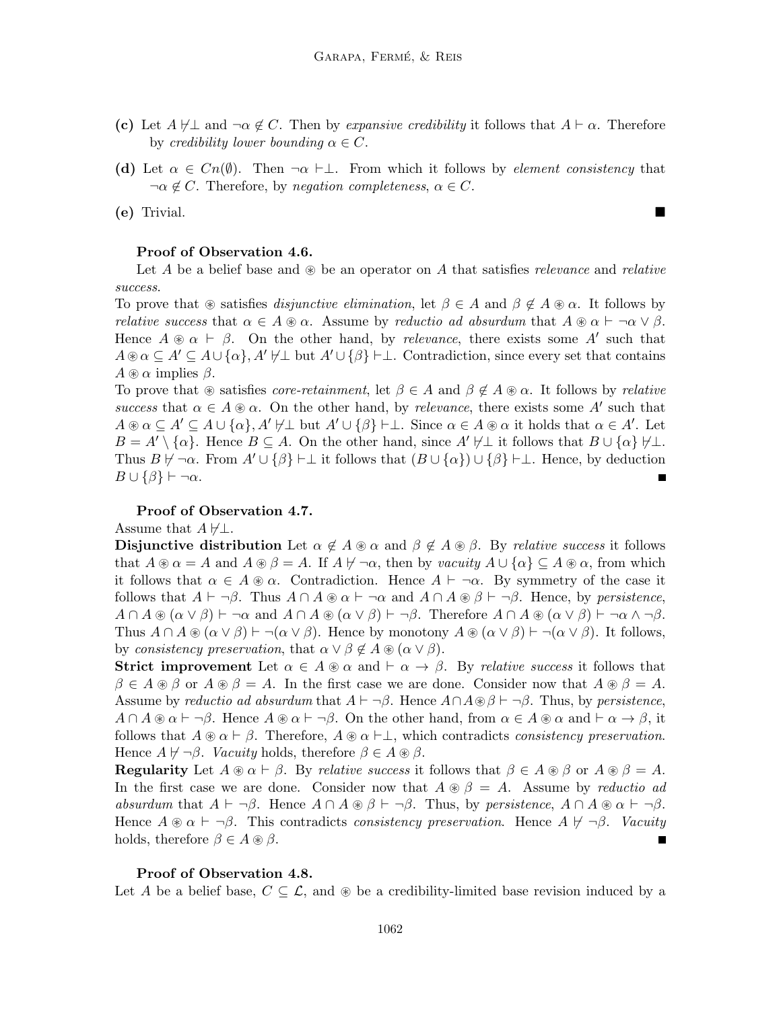- (c) Let  $A \not\vdash \bot$  and  $\neg \alpha \not\in C$ . Then by expansive credibility it follows that  $A \vdash \alpha$ . Therefore by credibility lower bounding  $\alpha \in C$ .
- (d) Let  $\alpha \in C_n(\emptyset)$ . Then  $\neg \alpha \vdash \bot$ . From which it follows by *element consistency* that  $\neg \alpha \notin C$ . Therefore, by negation completeness,  $\alpha \in C$ .

(e) Trivial.

### Proof of Observation 4.6.

Let A be a belief base and  $\otimes$  be an operator on A that satisfies relevance and relative success.

To prove that  $\circledast$  satisfies *disjunctive elimination*, let  $\beta \in A$  and  $\beta \notin A \circledast \alpha$ . It follows by *relative success* that  $\alpha \in A \otimes \alpha$ . Assume by *reductio ad absurdum* that  $A \otimes \alpha \vdash \neg \alpha \vee \beta$ . Hence  $A \otimes \alpha \vdash \beta$ . On the other hand, by *relevance*, there exists some A' such that  $A\otimes \alpha \subseteq A' \subseteq A\cup \{\alpha\}, A'\not\vdash \bot$  but  $A'\cup \{\beta\} \vdash \bot$ . Contradiction, since every set that contains  $A \otimes \alpha$  implies  $\beta$ .

To prove that  $\otimes$  satisfies *core-retainment*, let  $\beta \in A$  and  $\beta \notin A \otimes \alpha$ . It follows by *relative* success that  $\alpha \in A \otimes \alpha$ . On the other hand, by *relevance*, there exists some A' such that  $A \otimes \alpha \subseteq A' \subseteq A \cup \{\alpha\}, A' \not\vdash \bot$  but  $A' \cup \{\beta\} \vdash \bot$ . Since  $\alpha \in A \otimes \alpha$  it holds that  $\alpha \in A'$ . Let  $B = A' \setminus {\alpha}$ . Hence  $B \subseteq A$ . On the other hand, since  $A' \neq \bot$  it follows that  $B \cup {\alpha} \neq \bot$ . Thus  $B \not\vdash \neg \alpha$ . From  $A' \cup \{\beta\} \vdash \bot$  it follows that  $(B \cup \{\alpha\}) \cup \{\beta\} \vdash \bot$ . Hence, by deduction  $B \cup {\{\beta\}} \vdash \neg \alpha.$ 

Proof of Observation 4.7.

Assume that  $A \not\vdash \perp$ .

Disjunctive distribution Let  $\alpha \notin A \otimes \alpha$  and  $\beta \notin A \otimes \beta$ . By relative success it follows that  $A \otimes \alpha = A$  and  $A \otimes \beta = A$ . If  $A \not\vdash \neg \alpha$ , then by vacuity  $A \cup {\alpha} \subseteq A \otimes \alpha$ , from which it follows that  $\alpha \in A \otimes \alpha$ . Contradiction. Hence  $A \vdash \neg \alpha$ . By symmetry of the case it follows that  $A \vdash \neg \beta$ . Thus  $A \cap A \otimes \alpha \vdash \neg \alpha$  and  $A \cap A \otimes \beta \vdash \neg \beta$ . Hence, by persistence,  $A \cap A \otimes (\alpha \vee \beta) \vdash \neg \alpha$  and  $A \cap A \otimes (\alpha \vee \beta) \vdash \neg \beta$ . Therefore  $A \cap A \otimes (\alpha \vee \beta) \vdash \neg \alpha \wedge \neg \beta$ . Thus  $A \cap A \otimes (\alpha \vee \beta) \vdash \neg(\alpha \vee \beta)$ . Hence by monotony  $A \otimes (\alpha \vee \beta) \vdash \neg(\alpha \vee \beta)$ . It follows, by consistency preservation, that  $\alpha \vee \beta \notin A \circledast (\alpha \vee \beta)$ .

**Strict improvement** Let  $\alpha \in A \otimes \alpha$  and  $\vdash \alpha \rightarrow \beta$ . By relative success it follows that  $\beta \in A \otimes \beta$  or  $A \otimes \beta = A$ . In the first case we are done. Consider now that  $A \otimes \beta = A$ . Assume by reductio ad absurdum that  $A \vdash \neg \beta$ . Hence  $A \cap A \otimes \beta \vdash \neg \beta$ . Thus, by persistence,  $A \cap A \otimes \alpha \vdash \neg \beta$ . Hence  $A \otimes \alpha \vdash \neg \beta$ . On the other hand, from  $\alpha \in A \otimes \alpha$  and  $\vdash \alpha \rightarrow \beta$ , it follows that  $A \otimes \alpha \vdash \beta$ . Therefore,  $A \otimes \alpha \vdash \bot$ , which contradicts consistency preservation. Hence  $A \not\vdash \neg \beta$ . *Vacuity* holds, therefore  $\beta \in A \otimes \beta$ .

**Regularity** Let  $A \otimes \alpha \vdash \beta$ . By relative success it follows that  $\beta \in A \otimes \beta$  or  $A \otimes \beta = A$ . In the first case we are done. Consider now that  $A \otimes \beta = A$ . Assume by reductio ad absurdum that  $A \vdash \neg \beta$ . Hence  $A \cap A \otimes \beta \vdash \neg \beta$ . Thus, by persistence,  $A \cap A \otimes \alpha \vdash \neg \beta$ . Hence  $A \otimes \alpha \vdash \neg \beta$ . This contradicts consistency preservation. Hence  $A \not\vdash \neg \beta$ . Vacuity holds, therefore  $\beta \in A \circledast \beta$ .

#### Proof of Observation 4.8.

Let A be a belief base,  $C \subseteq \mathcal{L}$ , and  $\circledast$  be a credibility-limited base revision induced by a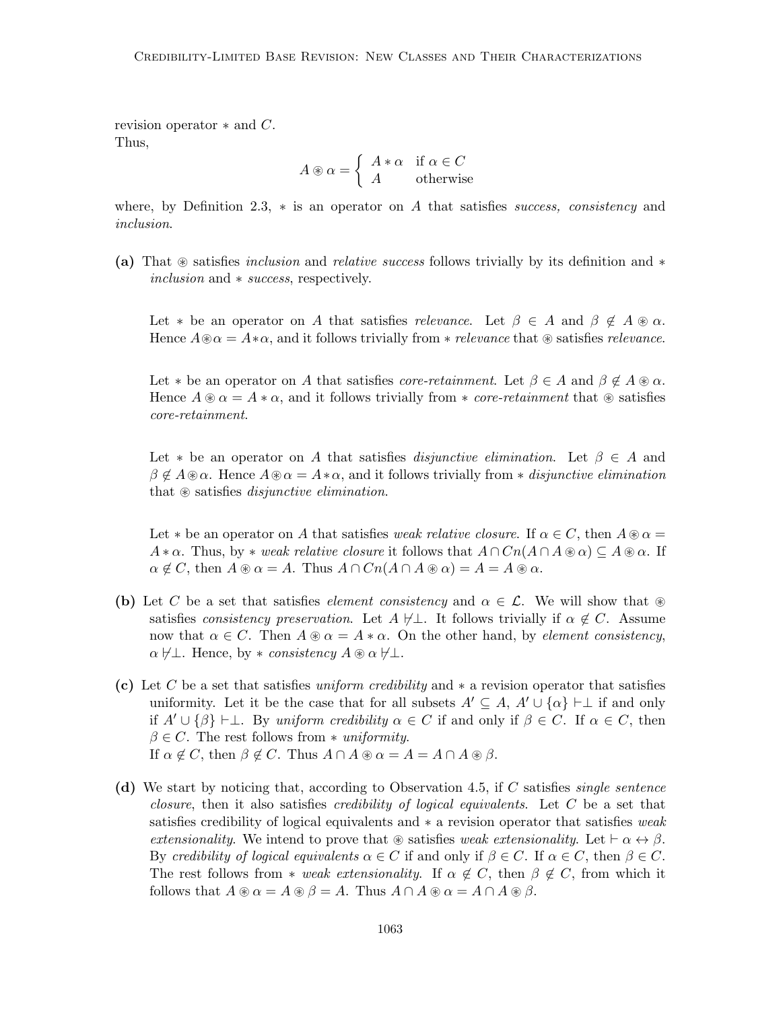revision operator  $*$  and  $C$ . Thus,

$$
A \circledast \alpha = \begin{cases} A * \alpha & \text{if } \alpha \in C \\ A & \text{otherwise} \end{cases}
$$

where, by Definition 2.3,  $*$  is an operator on A that satisfies success, consistency and inclusion.

(a) That  $\circledast$  satisfies *inclusion* and *relative success* follows trivially by its definition and  $*$ inclusion and ∗ success, respectively.

Let  $*$  be an operator on A that satisfies *relevance*. Let  $\beta \in A$  and  $\beta \notin A \otimes \alpha$ . Hence  $A\otimes \alpha = A*\alpha$ , and it follows trivially from  $*$  relevance that  $\otimes$  satisfies relevance.

Let  $*$  be an operator on A that satisfies *core-retainment*. Let  $\beta \in A$  and  $\beta \notin A \otimes \alpha$ . Hence  $A \otimes \alpha = A * \alpha$ , and it follows trivially from \* *core-retainment* that  $\otimes$  satisfies core-retainment.

Let  $*$  be an operator on A that satisfies *disjunctive elimination*. Let  $\beta \in A$  and  $\beta \notin A\otimes\alpha$ . Hence  $A\otimes\alpha = A*\alpha$ , and it follows trivially from \* disjunctive elimination that  $\circledast$  satisfies *disjunctive elimination*.

Let  $*$  be an operator on A that satisfies weak relative closure. If  $\alpha \in C$ , then  $A \otimes \alpha =$  $A * \alpha$ . Thus, by \* weak relative closure it follows that  $A \cap Cn(A \cap A \otimes \alpha) \subseteq A \otimes \alpha$ . If  $\alpha \notin C$ , then  $A \circledast \alpha = A$ . Thus  $A \cap Cn(A \cap A \circledast \alpha) = A = A \circledast \alpha$ .

- (b) Let C be a set that satisfies *element consistency* and  $\alpha \in \mathcal{L}$ . We will show that  $\otimes$ satisfies consistency preservation. Let  $A \not\vdash \bot$ . It follows trivially if  $\alpha \notin C$ . Assume now that  $\alpha \in C$ . Then  $A \otimes \alpha = A * \alpha$ . On the other hand, by *element consistency*,  $\alpha \not\vdash \bot$ . Hence, by  $*$  consistency  $A \otimes \alpha \not\vdash \bot$ .
- (c) Let C be a set that satisfies uniform credibility and  $*$  a revision operator that satisfies uniformity. Let it be the case that for all subsets  $A' \subseteq A$ ,  $A' \cup {\alpha} \vdash \bot$  if and only if  $A' \cup {\beta} \vdash \perp$ . By uniform credibility  $\alpha \in C$  if and only if  $\beta \in C$ . If  $\alpha \in C$ , then  $\beta \in C$ . The rest follows from \* uniformity. If  $\alpha \notin C$ , then  $\beta \notin C$ . Thus  $A \cap A \circledast \alpha = A = A \cap A \circledast \beta$ .
- (d) We start by noticing that, according to Observation 4.5, if C satisfies single sentence *closure*, then it also satisfies *credibility of logical equivalents*. Let  $C$  be a set that satisfies credibility of logical equivalents and ∗ a revision operator that satisfies weak extensionality. We intend to prove that  $\otimes$  satisfies weak extensionality. Let  $\vdash \alpha \leftrightarrow \beta$ . By credibility of logical equivalents  $\alpha \in C$  if and only if  $\beta \in C$ . If  $\alpha \in C$ , then  $\beta \in C$ . The rest follows from \* weak extensionality. If  $\alpha \notin C$ , then  $\beta \notin C$ , from which it follows that  $A \circledast \alpha = A \circledast \beta = A$ . Thus  $A \cap A \circledast \alpha = A \cap A \circledast \beta$ .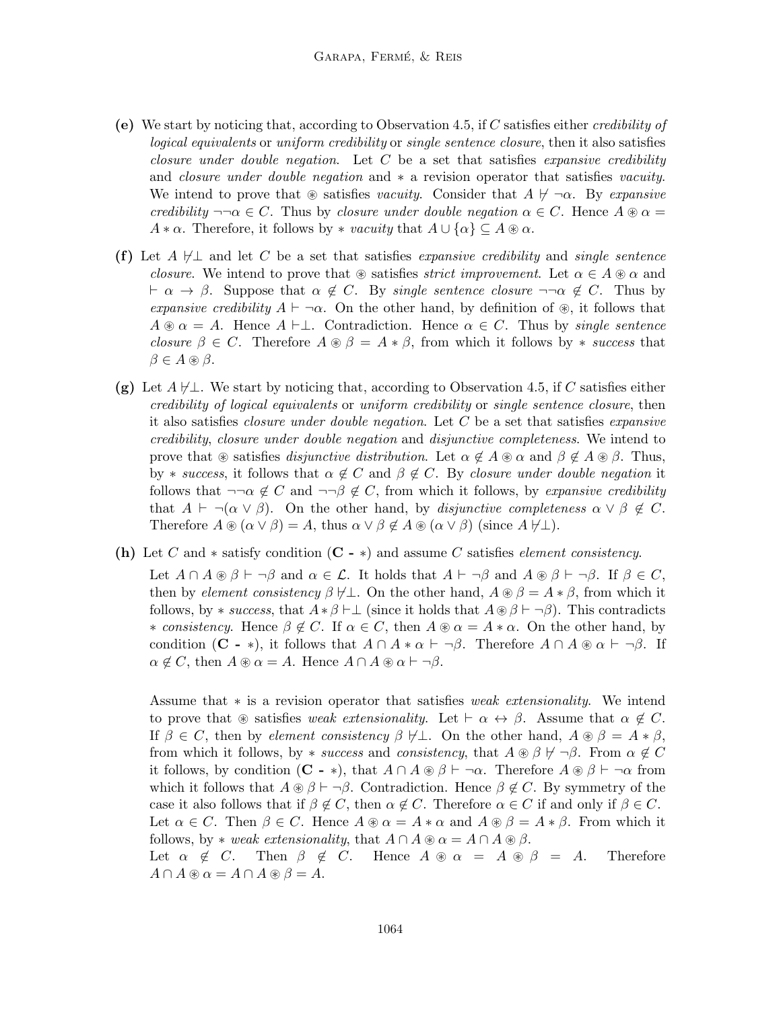- (e) We start by noticing that, according to Observation 4.5, if C satisfies either credibility of logical equivalents or uniform credibility or single sentence closure, then it also satisfies *closure under double negation.* Let  $C$  be a set that satisfies expansive credibility and *closure under double negation* and  $*$  a revision operator that satisfies *vacuity*. We intend to prove that  $\circledast$  satisfies vacuity. Consider that  $A \not\vdash \neg \alpha$ . By expansive credibility  $\neg\neg\alpha \in C$ . Thus by closure under double negation  $\alpha \in C$ . Hence  $A \otimes \alpha =$  $A * \alpha$ . Therefore, it follows by \* vacuity that  $A \cup {\alpha} \subseteq A \otimes \alpha$ .
- (f) Let A  $\sharp\perp$  and let C be a set that satisfies expansive credibility and single sentence closure. We intend to prove that  $\otimes$  satisfies strict improvement. Let  $\alpha \in A \otimes \alpha$  and  $\vdash \alpha \to \beta$ . Suppose that  $\alpha \notin C$ . By single sentence closure  $\neg\neg \alpha \notin C$ . Thus by expansive credibility  $A \vdash \neg \alpha$ . On the other hand, by definition of  $\circledast$ , it follows that  $A \otimes \alpha = A$ . Hence  $A \vdash \perp$ . Contradiction. Hence  $\alpha \in C$ . Thus by single sentence closure  $\beta \in C$ . Therefore  $A \otimes \beta = A * \beta$ , from which it follows by \* success that  $\beta \in A \circledast \beta$ .
- (g) Let  $A \not\vdash \perp$ . We start by noticing that, according to Observation 4.5, if C satisfies either credibility of logical equivalents or uniform credibility or single sentence closure, then it also satisfies *closure under double negation*. Let  $C$  be a set that satisfies *expansive* credibility, closure under double negation and disjunctive completeness. We intend to prove that  $\circledast$  satisfies *disjunctive distribution*. Let  $\alpha \notin A \circledast \alpha$  and  $\beta \notin A \circledast \beta$ . Thus, by  $*$  success, it follows that  $\alpha \notin C$  and  $\beta \notin C$ . By closure under double negation it follows that  $\neg\neg \alpha \notin C$  and  $\neg\neg \beta \notin C$ , from which it follows, by expansive credibility that  $A \vdash \neg(\alpha \vee \beta)$ . On the other hand, by disjunctive completeness  $\alpha \vee \beta \notin C$ . Therefore  $A \otimes (\alpha \vee \beta) = A$ , thus  $\alpha \vee \beta \notin A \otimes (\alpha \vee \beta)$  (since  $A \not\vdash \bot$ ).
- (h) Let C and  $*$  satisfy condition (C  $*$ ) and assume C satisfies *element consistency*.

Let  $A \cap A \otimes \beta \vdash \neg \beta$  and  $\alpha \in \mathcal{L}$ . It holds that  $A \vdash \neg \beta$  and  $A \otimes \beta \vdash \neg \beta$ . If  $\beta \in C$ , then by element consistency  $\beta \neq \bot$ . On the other hand,  $A \otimes \beta = A * \beta$ , from which it follows, by \* success, that  $A * \beta \vdash \bot$  (since it holds that  $A \otimes \beta \vdash \neg \beta$ ). This contradicts  $∗$  consistency. Hence  $β \notin C$ . If  $α \in C$ , then  $A ∅ α = A ∗ α$ . On the other hand, by condition (C - \*), it follows that  $A \cap A * \alpha \vdash \neg \beta$ . Therefore  $A \cap A \otimes \alpha \vdash \neg \beta$ . If  $\alpha \notin C$ , then  $A \circledast \alpha = A$ . Hence  $A \cap A \circledast \alpha \vdash \neg \beta$ .

Assume that ∗ is a revision operator that satisfies weak extensionality. We intend to prove that  $\otimes$  satisfies weak extensionality. Let  $\vdash \alpha \leftrightarrow \beta$ . Assume that  $\alpha \notin C$ . If  $\beta \in C$ , then by element consistency  $\beta \not\vdash \bot$ . On the other hand,  $A \otimes \beta = A * \beta$ , from which it follows, by \* success and consistency, that  $A \otimes \beta \not\vdash \neg \beta$ . From  $\alpha \notin C$ it follows, by condition  $(C - *)$ , that  $A \cap A \otimes \beta \vdash \neg \alpha$ . Therefore  $A \otimes \beta \vdash \neg \alpha$  from which it follows that  $A \otimes \beta \vdash \neg \beta$ . Contradiction. Hence  $\beta \notin C$ . By symmetry of the case it also follows that if  $\beta \notin \mathbb{C}$ , then  $\alpha \notin \mathbb{C}$ . Therefore  $\alpha \in \mathbb{C}$  if and only if  $\beta \in \mathbb{C}$ . Let  $\alpha \in C$ . Then  $\beta \in C$ . Hence  $A \otimes \alpha = A * \alpha$  and  $A \otimes \beta = A * \beta$ . From which it follows, by  $*$  weak extensionality, that  $A \cap A \otimes \alpha = A \cap A \otimes \beta$ .

Let  $\alpha \notin C$ . Then  $\beta \notin C$ . Hence  $A \circledast \alpha = A \circledast \beta = A$ . Therefore  $A \cap A \circledast \alpha = A \cap A \circledast \beta = A.$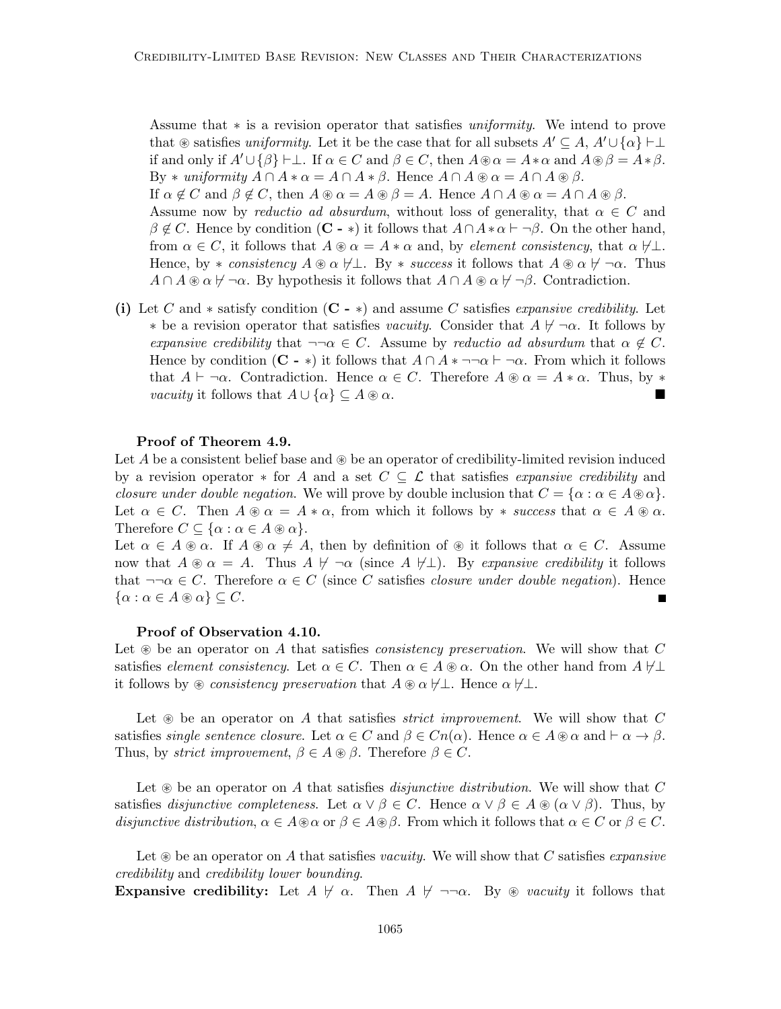Assume that ∗ is a revision operator that satisfies uniformity. We intend to prove that  $\circledast$  satisfies uniformity. Let it be the case that for all subsets  $A' \subseteq A$ ,  $A' \cup \{\alpha\} \vdash \perp$ if and only if  $A' \cup {\beta} \vdash \bot$ . If  $\alpha \in C$  and  $\beta \in C$ , then  $A \otimes \alpha = A * \alpha$  and  $A \otimes \beta = A * \beta$ . By  $*$  uniformity  $A \cap A * \alpha = A \cap A * \beta$ . Hence  $A \cap A \otimes \alpha = A \cap A \otimes \beta$ . If  $\alpha \notin C$  and  $\beta \notin C$ , then  $A \otimes \alpha = A \otimes \beta = A$ . Hence  $A \cap A \otimes \alpha = A \cap A \otimes \beta$ . Assume now by *reductio ad absurdum*, without loss of generality, that  $\alpha \in C$  and  $\beta \notin \mathbb{C}$ . Hence by condition (C - \*) it follows that  $A \cap A * \alpha \vdash \neg \beta$ . On the other hand, from  $\alpha \in C$ , it follows that  $A \otimes \alpha = A * \alpha$  and, by *element consistency*, that  $\alpha \not\vdash \bot$ . Hence, by  $*$  consistency  $A \otimes \alpha \not\vdash \bot$ . By  $*$  success it follows that  $A \otimes \alpha \not\vdash \neg \alpha$ . Thus  $A \cap A \otimes \alpha \nvdash \neg \alpha$ . By hypothesis it follows that  $A \cap A \otimes \alpha \nvdash \neg \beta$ . Contradiction.

(i) Let C and  $*$  satisfy condition (C -  $*$ ) and assume C satisfies *expansive credibility*. Let  $*$  be a revision operator that satisfies vacuity. Consider that  $A \not\vdash \neg \alpha$ . It follows by expansive credibility that  $\neg \neg \alpha \in C$ . Assume by reductio ad absurdum that  $\alpha \notin C$ . Hence by condition (C - \*) it follows that  $A \cap A * \neg \neg \alpha \vdash \neg \alpha$ . From which it follows that  $A \vdash \neg \alpha$ . Contradiction. Hence  $\alpha \in C$ . Therefore  $A \otimes \alpha = A * \alpha$ . Thus, by  $*$ *vacuity* it follows that  $A \cup {\alpha} \subseteq A \circledast \alpha$ .

### Proof of Theorem 4.9.

Let A be a consistent belief base and  $\otimes$  be an operator of credibility-limited revision induced by a revision operator  $*$  for A and a set  $C \subseteq \mathcal{L}$  that satisfies expansive credibility and closure under double negation. We will prove by double inclusion that  $C = \{\alpha : \alpha \in A \otimes \alpha\}.$ Let  $\alpha \in C$ . Then  $A \otimes \alpha = A * \alpha$ , from which it follows by  $*$  success that  $\alpha \in A \otimes \alpha$ . Therefore  $C \subseteq {\alpha : \alpha \in A \circledast \alpha}.$ 

Let  $\alpha \in A \otimes \alpha$ . If  $A \otimes \alpha \neq A$ , then by definition of  $\otimes$  it follows that  $\alpha \in C$ . Assume now that  $A \otimes \alpha = A$ . Thus  $A \not\vdash \neg \alpha$  (since  $A \not\vdash \bot$ ). By expansive credibility it follows that  $\neg\neg\alpha \in C$ . Therefore  $\alpha \in C$  (since C satisfies *closure under double negation*). Hence  $\{\alpha : \alpha \in A \circledast \alpha\} \subseteq C.$ 

#### Proof of Observation 4.10.

Let  $\circledast$  be an operator on A that satisfies *consistency preservation*. We will show that C satisfies *element consistency*. Let  $\alpha \in C$ . Then  $\alpha \in A \otimes \alpha$ . On the other hand from  $A \not\vdash \bot$ it follows by  $\otimes$  consistency preservation that  $A \otimes \alpha \not\vdash \bot$ . Hence  $\alpha \not\vdash \bot$ .

Let  $\circledast$  be an operator on A that satisfies *strict improvement*. We will show that C satisfies single sentence closure. Let  $\alpha \in C$  and  $\beta \in C_n(\alpha)$ . Hence  $\alpha \in A \otimes \alpha$  and  $\vdash \alpha \to \beta$ . Thus, by strict improvement,  $\beta \in A \otimes \beta$ . Therefore  $\beta \in C$ .

Let  $\circledast$  be an operator on A that satisfies *disjunctive distribution*. We will show that C satisfies disjunctive completeness. Let  $\alpha \vee \beta \in C$ . Hence  $\alpha \vee \beta \in A \otimes (\alpha \vee \beta)$ . Thus, by disjunctive distribution,  $\alpha \in A \otimes \alpha$  or  $\beta \in A \otimes \beta$ . From which it follows that  $\alpha \in C$  or  $\beta \in C$ .

Let  $\circledast$  be an operator on A that satisfies vacuity. We will show that C satisfies expansive credibility and credibility lower bounding.

**Expansive credibility:** Let  $A \not\vdash \alpha$ . Then  $A \not\vdash \neg \neg \alpha$ . By  $\circledast$  vacuity it follows that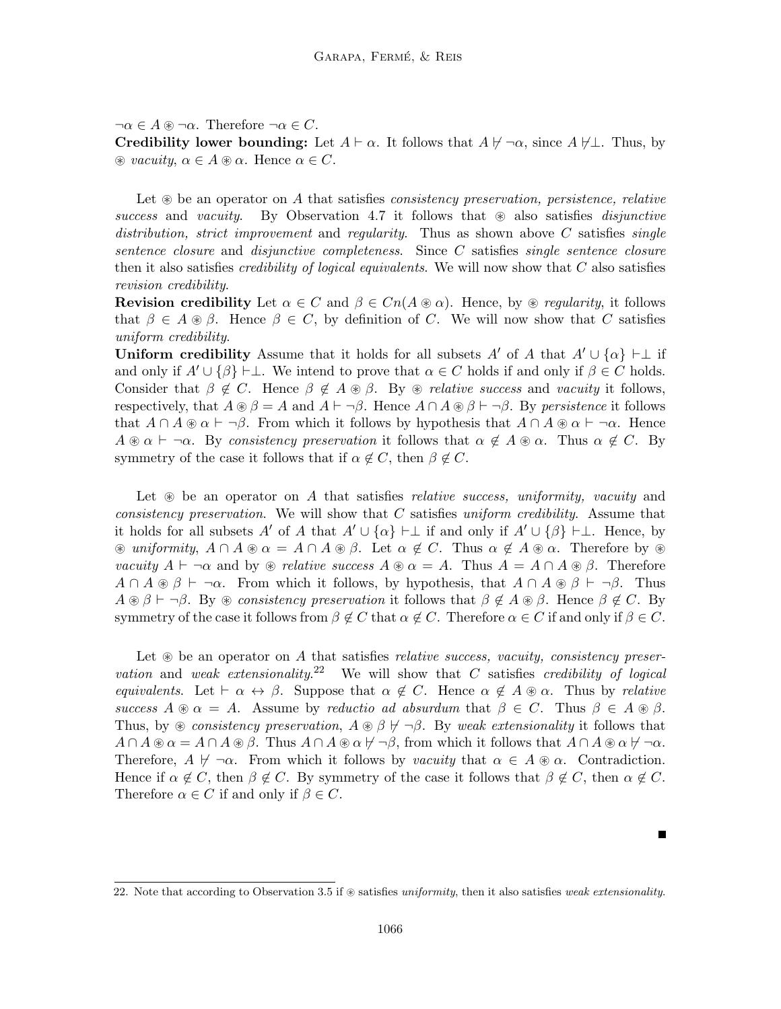$\neg \alpha \in A \circledast \neg \alpha$ . Therefore  $\neg \alpha \in C$ .

**Credibility lower bounding:** Let  $A \vdash \alpha$ . It follows that  $A \not\vdash \neg \alpha$ , since  $A \not\vdash \bot$ . Thus, by  $\otimes$  vacuity,  $\alpha \in A \otimes \alpha$ . Hence  $\alpha \in C$ .

Let  $\circledast$  be an operator on A that satisfies *consistency preservation, persistence, relative* success and vacuity. By Observation 4.7 it follows that  $\circledast$  also satisfies *disjunctive* distribution, strict improvement and regularity. Thus as shown above  $C$  satisfies single sentence closure and disjunctive completeness. Since C satisfies single sentence closure then it also satisfies *credibility of logical equivalents*. We will now show that  $C$  also satisfies revision credibility.

**Revision credibility** Let  $\alpha \in C$  and  $\beta \in C_n(A \otimes \alpha)$ . Hence, by  $\otimes$  *regularity*, it follows that  $\beta \in A \otimes \beta$ . Hence  $\beta \in C$ , by definition of C. We will now show that C satisfies uniform credibility.

**Uniform credibility** Assume that it holds for all subsets A' of A that  $A' \cup \{\alpha\} \vdash \perp$  if and only if  $A' \cup \{\beta\} \vdash \perp$ . We intend to prove that  $\alpha \in C$  holds if and only if  $\beta \in C$  holds. Consider that  $\beta \notin C$ . Hence  $\beta \notin A \otimes \beta$ . By  $\otimes$  relative success and vacuity it follows, respectively, that  $A \otimes \beta = A$  and  $A \vdash \neg \beta$ . Hence  $A \cap A \otimes \beta \vdash \neg \beta$ . By persistence it follows that  $A \cap A \otimes \alpha \vdash \neg \beta$ . From which it follows by hypothesis that  $A \cap A \otimes \alpha \vdash \neg \alpha$ . Hence  $A \otimes \alpha \vdash \neg \alpha$ . By consistency preservation it follows that  $\alpha \notin A \otimes \alpha$ . Thus  $\alpha \notin C$ . By symmetry of the case it follows that if  $\alpha \notin C$ , then  $\beta \notin C$ .

Let  $\circledast$  be an operator on A that satisfies *relative success, uniformity, vacuity* and *consistency preservation.* We will show that  $C$  satisfies uniform credibility. Assume that it holds for all subsets A' of A that  $A' \cup {\alpha} \vdash \bot$  if and only if  $A' \cup {\beta} \vdash \bot$ . Hence, by  $\mathscr{B}$  uniformity,  $A \cap A \otimes \alpha = A \cap A \otimes \beta$ . Let  $\alpha \notin C$ . Thus  $\alpha \notin A \otimes \alpha$ . Therefore by  $\otimes$ vacuity  $A \vdash \neg \alpha$  and by  $\circledast$  relative success  $A \circledast \alpha = A$ . Thus  $A = A \cap A \circledast \beta$ . Therefore  $A \cap A \otimes \beta \vdash \neg \alpha$ . From which it follows, by hypothesis, that  $A \cap A \otimes \beta \vdash \neg \beta$ . Thus  $A \otimes \beta \vdash \neg \beta$ . By  $\otimes$  consistency preservation it follows that  $\beta \notin A \otimes \beta$ . Hence  $\beta \notin C$ . By symmetry of the case it follows from  $\beta \notin C$  that  $\alpha \notin C$ . Therefore  $\alpha \in C$  if and only if  $\beta \in C$ .

Let  $\circledast$  be an operator on A that satisfies *relative success, vacuity, consistency preser*vation and weak extensionality.<sup>22</sup> We will show that C satisfies credibility of logical equivalents. Let  $\vdash \alpha \leftrightarrow \beta$ . Suppose that  $\alpha \notin C$ . Hence  $\alpha \notin A \circledast \alpha$ . Thus by relative success  $A \otimes \alpha = A$ . Assume by reductio ad absurdum that  $\beta \in C$ . Thus  $\beta \in A \otimes \beta$ . Thus, by  $\circledast$  consistency preservation,  $A \circledast \beta \not\vdash \neg \beta$ . By weak extensionality it follows that  $A \cap A \otimes \alpha = A \cap A \otimes \beta$ . Thus  $A \cap A \otimes \alpha \nvdash \neg \beta$ , from which it follows that  $A \cap A \otimes \alpha \nvdash \neg \alpha$ . Therefore,  $A \not\vdash \neg \alpha$ . From which it follows by vacuity that  $\alpha \in A \otimes \alpha$ . Contradiction. Hence if  $\alpha \notin C$ , then  $\beta \notin C$ . By symmetry of the case it follows that  $\beta \notin C$ , then  $\alpha \notin C$ . Therefore  $\alpha \in C$  if and only if  $\beta \in C$ .

Ξ

<sup>22.</sup> Note that according to Observation 3.5 if  $\circledast$  satisfies uniformity, then it also satisfies weak extensionality.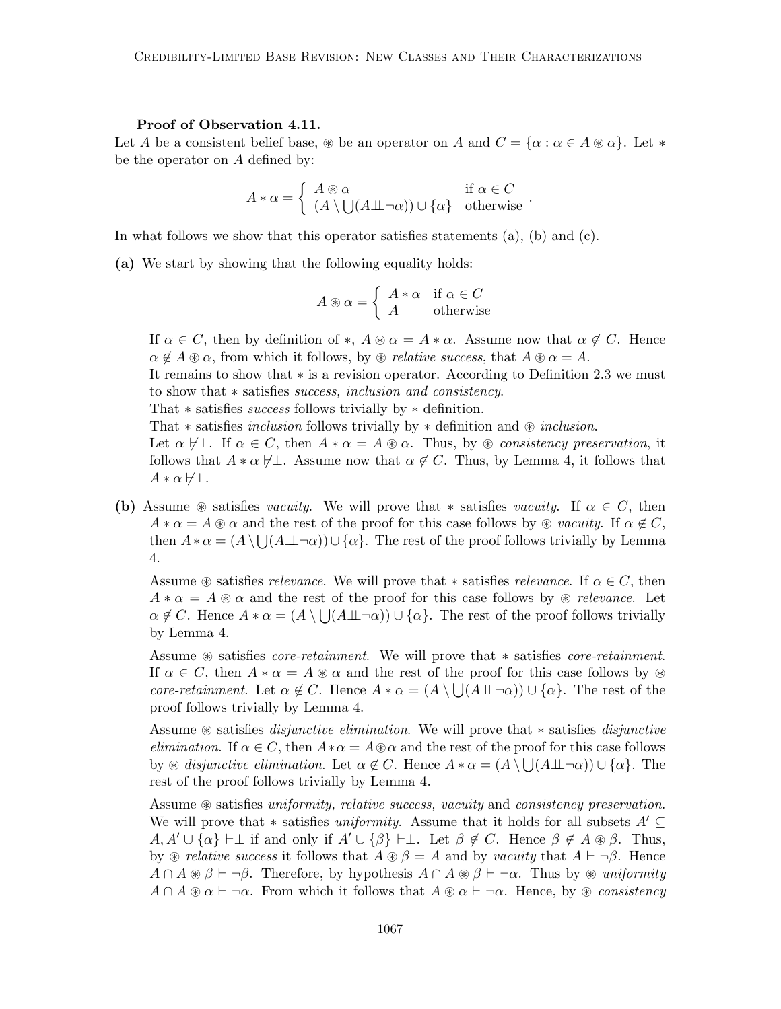#### Proof of Observation 4.11.

Let A be a consistent belief base,  $\circledast$  be an operator on A and  $C = {\alpha : \alpha \in A \circledast \alpha}$ . Let  $*$ be the operator on A defined by:

$$
A * \alpha = \begin{cases} A \circledast \alpha & \text{if } \alpha \in C \\ (A \setminus \bigcup (A \perp \perp \neg \alpha)) \cup \{ \alpha \} & \text{otherwise} \end{cases}.
$$

In what follows we show that this operator satisfies statements  $(a)$ ,  $(b)$  and  $(c)$ .

(a) We start by showing that the following equality holds:

$$
A \circledast \alpha = \begin{cases} A * \alpha & \text{if } \alpha \in C \\ A & \text{otherwise} \end{cases}
$$

If  $\alpha \in C$ , then by definition of \*,  $A \otimes \alpha = A * \alpha$ . Assume now that  $\alpha \notin C$ . Hence  $\alpha \notin A \otimes \alpha$ , from which it follows, by  $\otimes$  relative success, that  $A \otimes \alpha = A$ .

It remains to show that ∗ is a revision operator. According to Definition 2.3 we must to show that ∗ satisfies success, inclusion and consistency.

That ∗ satisfies success follows trivially by ∗ definition.

That  $*$  satisfies *inclusion* follows trivially by  $*$  definition and  $*$  *inclusion*.

Let  $\alpha \not\vdash \bot$ . If  $\alpha \in C$ , then  $A * \alpha = A \otimes \alpha$ . Thus, by  $\otimes$  consistency preservation, it follows that  $A * \alpha \neq \perp$ . Assume now that  $\alpha \notin C$ . Thus, by Lemma 4, it follows that  $A * \alpha \neq \perp$ .

(b) Assume  $\circledast$  satisfies vacuity. We will prove that  $*$  satisfies vacuity. If  $\alpha \in C$ , then  $A * \alpha = A \otimes \alpha$  and the rest of the proof for this case follows by  $\otimes$  vacuity. If  $\alpha \notin C$ , then  $A * \alpha = (A \setminus \bigcup (A \perp \perp \neg \alpha) ) \cup \{\alpha\}.$  The rest of the proof follows trivially by Lemma 4.

Assume  $\circledast$  satisfies *relevance*. We will prove that  $*$  satisfies *relevance*. If  $\alpha \in C$ , then  $A * \alpha = A \otimes \alpha$  and the rest of the proof for this case follows by  $\otimes$  relevance. Let  $\alpha \notin C$ . Hence  $A * \alpha = (A \setminus \bigcup (A \perp \perp \neg \alpha)) \cup \{\alpha\}$ . The rest of the proof follows trivially by Lemma 4.

Assume  $\circledast$  satisfies *core-retainment*. We will prove that  $\ast$  satisfies *core-retainment*. If  $\alpha \in C$ , then  $A * \alpha = A \otimes \alpha$  and the rest of the proof for this case follows by  $\otimes$ core-retainment. Let  $\alpha \notin C$ . Hence  $A * \alpha = (A \setminus \bigcup (A \perp \neg \alpha)) \cup \{\alpha\}$ . The rest of the proof follows trivially by Lemma 4.

Assume  $\circledast$  satisfies *disjunctive elimination*. We will prove that  $*$  satisfies *disjunctive* elimination. If  $\alpha \in C$ , then  $A * \alpha = A * \alpha$  and the rest of the proof for this case follows by  $\circledast$  disjunctive elimination. Let  $\alpha \notin C$ . Hence  $A * \alpha = (A \setminus \bigcup (A \perp \perp \neg \alpha)) \cup \{\alpha\}$ . The rest of the proof follows trivially by Lemma 4.

Assume  $\circledast$  satisfies uniformity, relative success, vacuity and consistency preservation. We will prove that \* satisfies uniformity. Assume that it holds for all subsets  $A' \subseteq$  $A, A' \cup {\alpha} \vdash \bot$  if and only if  $A' \cup {\beta} \vdash \bot$ . Let  $\beta \notin C$ . Hence  $\beta \notin A \otimes \beta$ . Thus, by  $\circledast$  relative success it follows that  $A \circledast \beta = A$  and by vacuity that  $A \vdash \neg \beta$ . Hence  $A \cap A \otimes \beta \vdash \neg \beta$ . Therefore, by hypothesis  $A \cap A \otimes \beta \vdash \neg \alpha$ . Thus by  $\otimes$  uniformity  $A \cap A \otimes \alpha \vdash \neg \alpha$ . From which it follows that  $A \otimes \alpha \vdash \neg \alpha$ . Hence, by  $\otimes$  consistency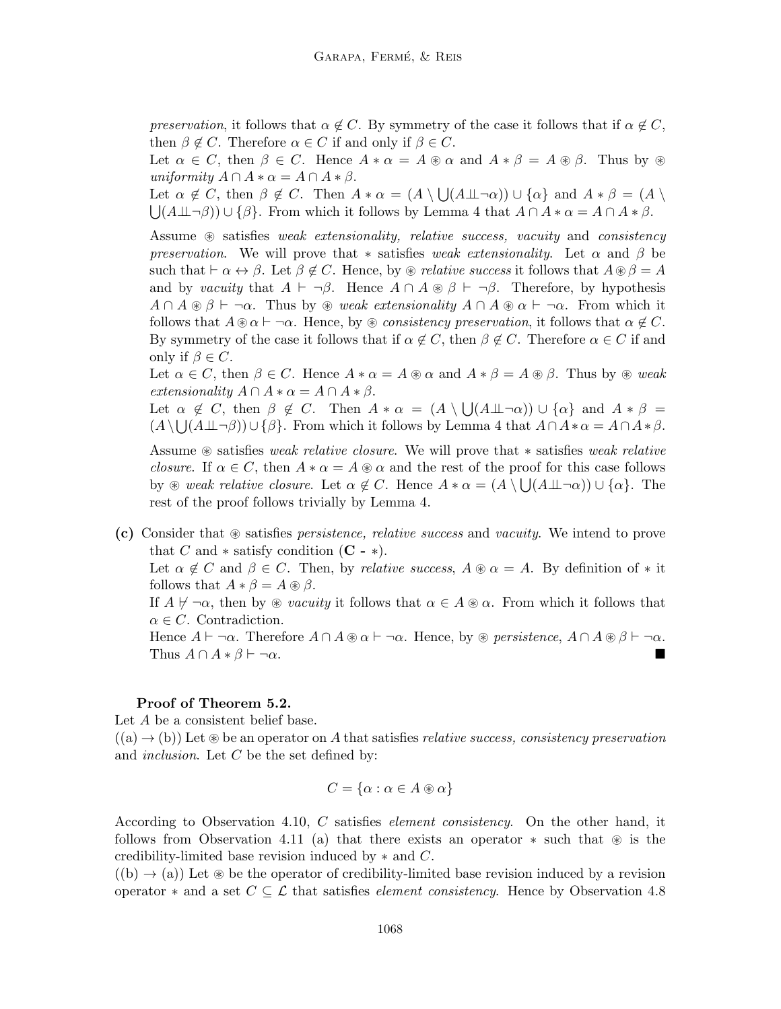preservation, it follows that  $\alpha \notin C$ . By symmetry of the case it follows that if  $\alpha \notin C$ , then  $\beta \notin C$ . Therefore  $\alpha \in C$  if and only if  $\beta \in C$ .

Let  $\alpha \in C$ , then  $\beta \in C$ . Hence  $A * \alpha = A \otimes \alpha$  and  $A * \beta = A \otimes \beta$ . Thus by  $\otimes$ uniformity  $A \cap A * \alpha = A \cap A * \beta$ .

Let  $\alpha \notin C$ , then  $\beta \notin C$ . Then  $A * \alpha = (A \setminus \bigcup (A \perp \perp \neg \alpha)) \cup {\alpha}$  and  $A * \beta = (A \setminus \square)$  $\bigcup (A \perp \!\!\!\perp \neg \beta)$ )  $\cup$  { $\beta$ }. From which it follows by Lemma 4 that  $A \cap A * \alpha = A \cap A * \beta$ .

Assume  $\circledast$  satisfies weak extensionality, relative success, vacuity and consistency preservation. We will prove that  $*$  satisfies weak extensionality. Let  $\alpha$  and  $\beta$  be such that  $\vdash \alpha \leftrightarrow \beta$ . Let  $\beta \notin C$ . Hence, by  $\circledast$  relative success it follows that  $A \circledast \beta = A$ and by vacuity that  $A \vdash \neg \beta$ . Hence  $A \cap A \otimes \beta \vdash \neg \beta$ . Therefore, by hypothesis  $A \cap A \otimes \beta \vdash \neg \alpha$ . Thus by  $\otimes$  weak extensionality  $A \cap A \otimes \alpha \vdash \neg \alpha$ . From which it follows that  $A\otimes \alpha \vdash \neg \alpha$ . Hence, by  $\otimes$  consistency preservation, it follows that  $\alpha \notin C$ . By symmetry of the case it follows that if  $\alpha \notin \mathbb{C}$ , then  $\beta \notin \mathbb{C}$ . Therefore  $\alpha \in \mathbb{C}$  if and only if  $\beta \in C$ .

Let  $\alpha \in C$ , then  $\beta \in C$ . Hence  $A * \alpha = A \otimes \alpha$  and  $A * \beta = A \otimes \beta$ . Thus by  $\otimes$  weak extensionality  $A \cap A * \alpha = A \cap A * \beta$ .

Let 
$$
\alpha \notin C
$$
, then  $\beta \notin C$ . Then  $A * \alpha = (A \setminus \bigcup (A \perp \neg \alpha)) \cup \{\alpha\}$  and  $A * \beta = (A \setminus \bigcup (A \perp \neg \beta)) \cup \{\beta\}$ . From which it follows by Lemma 4 that  $A \cap A * \alpha = A \cap A * \beta$ .

Assume  $\circledast$  satisfies weak relative closure. We will prove that  $*$  satisfies weak relative *closure.* If  $\alpha \in C$ , then  $A * \alpha = A \otimes \alpha$  and the rest of the proof for this case follows by  $\circledast$  weak relative closure. Let  $\alpha \notin C$ . Hence  $A * \alpha = (A \setminus \bigcup (A \perp \perp \neg \alpha)) \cup \{\alpha\}$ . The rest of the proof follows trivially by Lemma 4.

(c) Consider that  $\circledast$  satisfies *persistence*, *relative success* and *vacuity*. We intend to prove that C and  $*$  satisfy condition  $(C - *)$ .

Let  $\alpha \notin C$  and  $\beta \in C$ . Then, by *relative success*,  $A \otimes \alpha = A$ . By definition of  $*$  it follows that  $A * \beta = A \circledast \beta$ .

If  $A \not\vdash \neg \alpha$ , then by  $\otimes$  vacuity it follows that  $\alpha \in A \otimes \alpha$ . From which it follows that  $\alpha \in C$ . Contradiction.

Hence  $A \vdash \neg \alpha$ . Therefore  $A \cap A \otimes \alpha \vdash \neg \alpha$ . Hence, by  $\otimes$  persistence,  $A \cap A \otimes \beta \vdash \neg \alpha$ . Thus  $A \cap A * \beta \vdash \neg \alpha$ .

#### Proof of Theorem 5.2.

Let A be a consistent belief base.

 $((a) \rightarrow (b))$  Let  $\circledast$  be an operator on A that satisfies relative success, consistency preservation and *inclusion*. Let  $C$  be the set defined by:

$$
C = \{\alpha : \alpha \in A \circledast \alpha\}
$$

According to Observation 4.10, C satisfies element consistency. On the other hand, it follows from Observation 4.11 (a) that there exists an operator  $*$  such that  $*$  is the credibility-limited base revision induced by ∗ and C.

 $((b) \rightarrow (a))$  Let  $\circledast$  be the operator of credibility-limited base revision induced by a revision operator  $*$  and a set  $C \subseteq \mathcal{L}$  that satisfies *element consistency*. Hence by Observation 4.8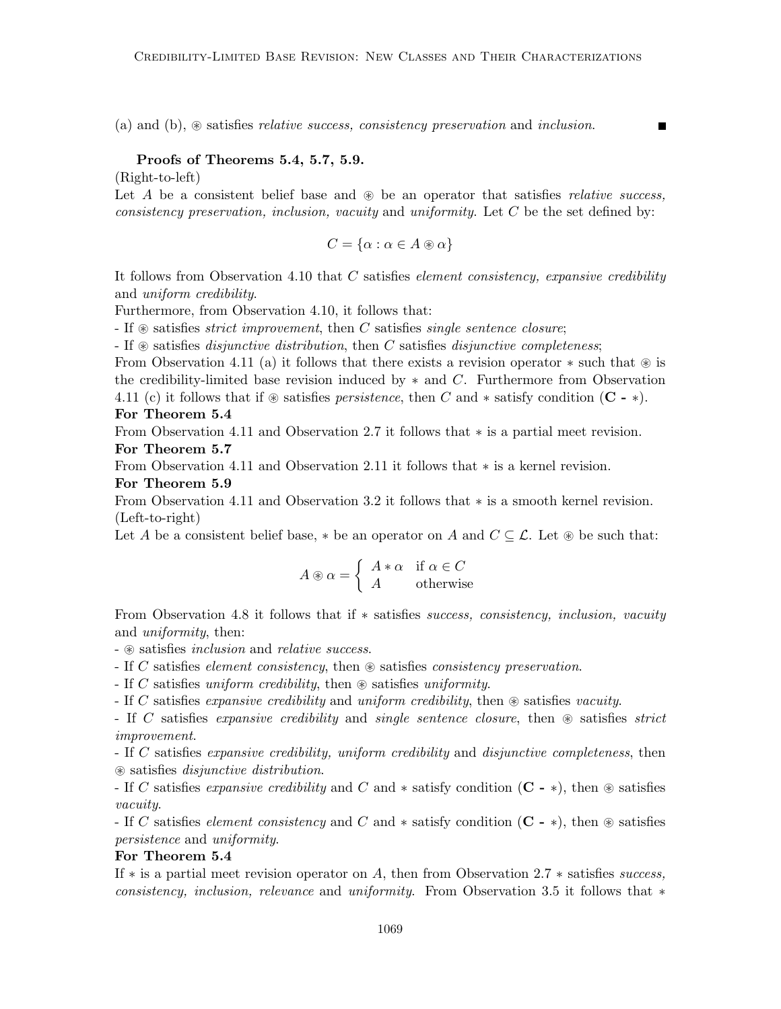(a) and (b),  $\circledast$  satisfies *relative success, consistency preservation* and *inclusion*.

#### Proofs of Theorems 5.4, 5.7, 5.9.

(Right-to-left)

Let A be a consistent belief base and  $\otimes$  be an operator that satisfies *relative success*. consistency preservation, inclusion, vacuity and uniformity. Let  $C$  be the set defined by:

$$
C = \{\alpha : \alpha \in A \circledast \alpha\}
$$

It follows from Observation 4.10 that  $C$  satisfies *element consistency, expansive credibility* and uniform credibility.

Furthermore, from Observation 4.10, it follows that:

- If  $\circledast$  satisfies *strict improvement*, then C satisfies *single sentence closure*;

- If  $\circledast$  satisfies *disjunctive distribution*, then C satisfies *disjunctive completeness*;

From Observation 4.11 (a) it follows that there exists a revision operator  $*$  such that  $*$  is the credibility-limited base revision induced by  $*$  and C. Furthermore from Observation 4.11 (c) it follows that if  $\otimes$  satisfies *persistence*, then C and  $*$  satisfy condition (C -  $*$ ).

# For Theorem 5.4

From Observation 4.11 and Observation 2.7 it follows that ∗ is a partial meet revision.

# For Theorem 5.7

From Observation 4.11 and Observation 2.11 it follows that ∗ is a kernel revision.

For Theorem 5.9

From Observation 4.11 and Observation 3.2 it follows that ∗ is a smooth kernel revision. (Left-to-right)

Let A be a consistent belief base,  $*$  be an operator on A and  $C \subseteq \mathcal{L}$ . Let  $\circledast$  be such that:

$$
A \circledast \alpha = \begin{cases} A * \alpha & \text{if } \alpha \in C \\ A & \text{otherwise} \end{cases}
$$

From Observation 4.8 it follows that if ∗ satisfies success, consistency, inclusion, vacuity and uniformity, then:

-  $\circledast$  satisfies *inclusion* and *relative success*.

- If C satisfies element consistency, then  $\otimes$  satisfies consistency preservation.

- If C satisfies uniform credibility, then  $\otimes$  satisfies uniformity.

- If C satisfies expansive credibility and uniform credibility, then  $\circledast$  satisfies vacuity.

- If C satisfies expansive credibility and single sentence closure, then  $\otimes$  satisfies strict improvement.

- If C satisfies expansive credibility, uniform credibility and disjunctive completeness, then ~ satisfies disjunctive distribution.

- If C satisfies expansive credibility and C and  $*$  satisfy condition (C -  $*$ ), then  $*$  satisfies vacuity.

- If C satisfies element consistency and C and  $*$  satisfy condition (C -  $*$ ), then  $*$  satisfies persistence and uniformity.

#### For Theorem 5.4

If ∗ is a partial meet revision operator on A, then from Observation 2.7 ∗ satisfies success, consistency, inclusion, relevance and uniformity. From Observation 3.5 it follows that ∗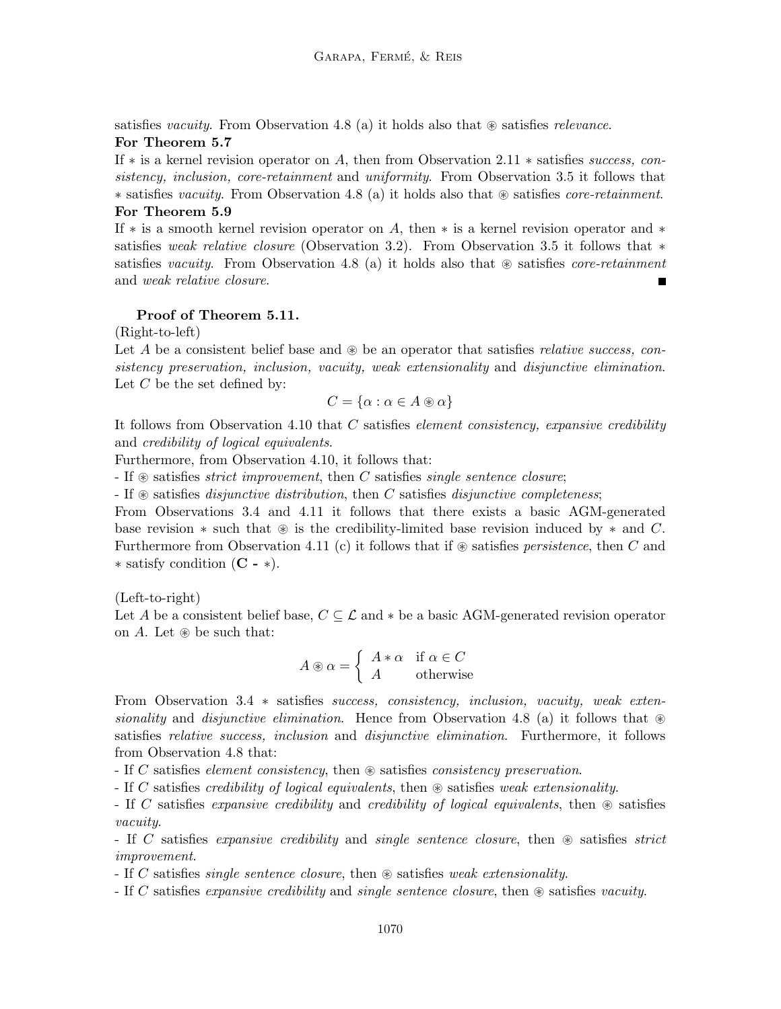satisfies vacuity. From Observation 4.8 (a) it holds also that  $\circledast$  satisfies relevance.

# For Theorem 5.7

If ∗ is a kernel revision operator on A, then from Observation 2.11 ∗ satisfies success, consistency, inclusion, core-retainment and uniformity. From Observation 3.5 it follows that  $*$  satisfies vacuity. From Observation 4.8 (a) it holds also that  $*$  satisfies *core-retainment*. For Theorem 5.9

If ∗ is a smooth kernel revision operator on A, then ∗ is a kernel revision operator and ∗ satisfies weak relative closure (Observation 3.2). From Observation 3.5 it follows that ∗ satisfies vacuity. From Observation 4.8 (a) it holds also that  $\otimes$  satisfies *core-retainment* and weak relative closure.

# Proof of Theorem 5.11.

(Right-to-left)

Let A be a consistent belief base and  $\otimes$  be an operator that satisfies *relative success, con*sistency preservation, inclusion, vacuity, weak extensionality and disjunctive elimination. Let  $C$  be the set defined by:

$$
C = \{ \alpha : \alpha \in A \circledast \alpha \}
$$

It follows from Observation 4.10 that C satisfies *element consistency, expansive credibility* and credibility of logical equivalents.

Furthermore, from Observation 4.10, it follows that:

- If  $\circledast$  satisfies *strict improvement*, then C satisfies *single sentence closure*;

- If  $\circledast$  satisfies *disjunctive distribution*, then C satisfies *disjunctive completeness*;

From Observations 3.4 and 4.11 it follows that there exists a basic AGM-generated base revision  $*$  such that  $*$  is the credibility-limited base revision induced by  $*$  and C. Furthermore from Observation 4.11 (c) it follows that if  $\otimes$  satisfies *persistence*, then C and  $*$  satisfy condition  $(C - *)$ .

(Left-to-right)

Let A be a consistent belief base,  $C \subseteq \mathcal{L}$  and  $*$  be a basic AGM-generated revision operator on  $A$ . Let  $\circledast$  be such that:

$$
A \circledast \alpha = \begin{cases} A * \alpha & \text{if } \alpha \in C \\ A & \text{otherwise} \end{cases}
$$

From Observation 3.4  $*$  satisfies success, consistency, inclusion, vacuity, weak extensionality and *disjunctive elimination*. Hence from Observation 4.8 (a) it follows that  $\otimes$ satisfies *relative success, inclusion* and *disjunctive elimination*. Furthermore, it follows from Observation 4.8 that:

- If C satisfies *element consistency*, then  $\otimes$  satisfies *consistency preservation*.

- If C satisfies credibility of logical equivalents, then  $\otimes$  satisfies weak extensionality.

- If C satisfies expansive credibility and credibility of logical equivalents, then  $\otimes$  satisfies vacuity.

- If  $C$  satisfies expansive credibility and single sentence closure, then  $\otimes$  satisfies strict improvement.

- If C satisfies *single sentence closure*, then  $\otimes$  satisfies *weak extensionality*.

- If C satisfies expansive credibility and single sentence closure, then  $\otimes$  satisfies vacuity.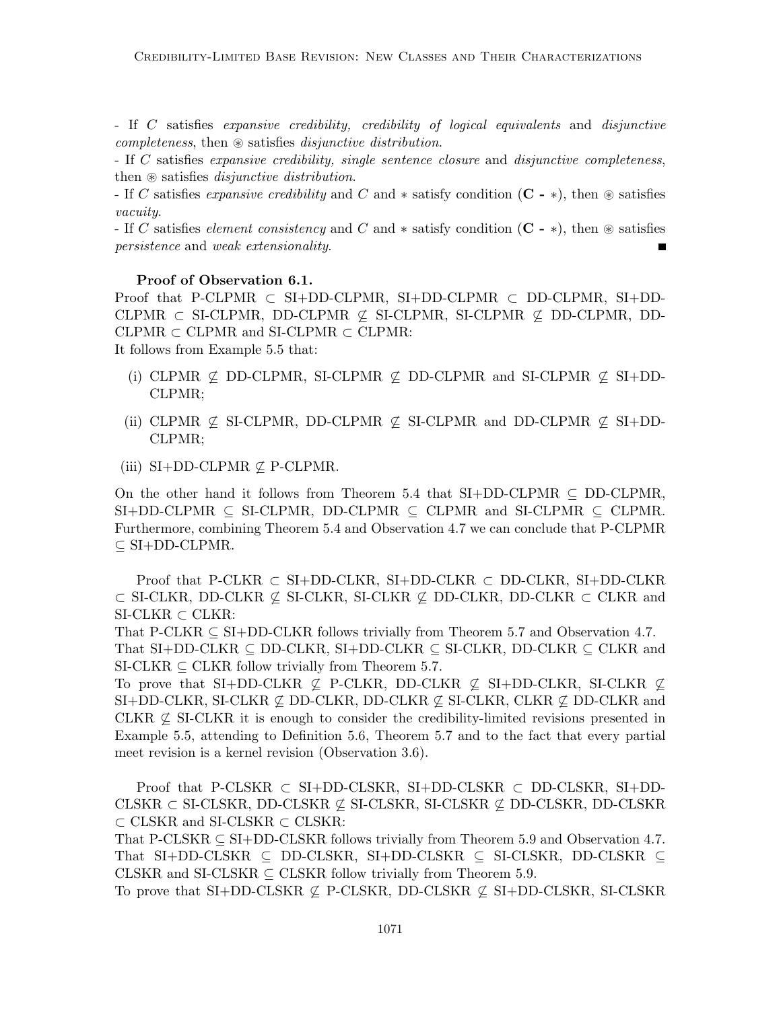- If C satisfies expansive credibility, credibility of logical equivalents and disjunctive  $completeness$ , then  $\circledast$  satisfies *disjunctive distribution*.

- If C satisfies expansive credibility, single sentence closure and disjunctive completeness, then  $\circledast$  satisfies *disjunctive distribution*.

- If C satisfies expansive credibility and C and  $*$  satisfy condition (C -  $*$ ), then  $*$  satisfies vacuity.

- If C satisfies *element consistency* and C and  $*$  satisfy condition (**C** -  $*$ ), then  $*$  satisfies persistence and weak extensionality.

# Proof of Observation 6.1.

Proof that P-CLPMR  $\subset$  SI+DD-CLPMR, SI+DD-CLPMR  $\subset$  DD-CLPMR, SI+DD-CLPMR  $\subset$  SI-CLPMR, DD-CLPMR  $\nsubseteq$  SI-CLPMR, SI-CLPMR  $\nsubseteq$  DD-CLPMR, DD- $CLPMR \subset CLPMR$  and  $SLCLPMR \subset CLPMR$ :

It follows from Example 5.5 that:

- (i) CLPMR  $\subseteq$  DD-CLPMR, SI-CLPMR  $\subseteq$  DD-CLPMR and SI-CLPMR  $\subseteq$  SI+DD-CLPMR;
- (ii) CLPMR  $\&$  SI-CLPMR, DD-CLPMR  $\&$  SI-CLPMR and DD-CLPMR  $\&$  SI+DD-CLPMR;
- (iii) SI+DD-CLPMR  $\nsubseteq$  P-CLPMR.

On the other hand it follows from Theorem 5.4 that  $SI+DD-CLPMR \subseteq DD-CLPMR$ ,  $SI+DD-CLPMR \subseteq SL-CLPMR$ , DD-CLPMR  $\subseteq CLPMR$  and  $SL-CLPMR \subseteq CLPMR$ . Furthermore, combining Theorem 5.4 and Observation 4.7 we can conclude that P-CLPMR  $\subseteq$  SI+DD-CLPMR.

Proof that P-CLKR ⊂ SI+DD-CLKR, SI+DD-CLKR ⊂ DD-CLKR, SI+DD-CLKR  $\subset$  SI-CLKR, DD-CLKR  $\nsubseteq$  SI-CLKR, SI-CLKR  $\nsubseteq$  DD-CLKR, DD-CLKR  $\subset$  CLKR and  $SL-CLKR \subset CLKR$ :

That P-CLKR  $\subseteq$  SI+DD-CLKR follows trivially from Theorem 5.7 and Observation 4.7. That  $SI+DD-CLKR \subseteq DD-CLKR, SI+DD-CLKR \subseteq SL-CLKR, DD-CLKR \subseteq CLKR$  and  $SI-CLKR \subseteq CLKR$  follow trivially from Theorem 5.7.

To prove that SI+DD-CLKR  $\nsubseteq$  P-CLKR, DD-CLKR  $\nsubseteq$  SI+DD-CLKR, SI-CLKR  $\nsubseteq$  $SI+DD-CLKR$ , SI-CLKR  $\nsubseteq$  DD-CLKR, DD-CLKR  $\nsubseteq$  SI-CLKR, CLKR  $\nsubseteq$  DD-CLKR and CLKR  $\varphi$  SI-CLKR it is enough to consider the credibility-limited revisions presented in Example 5.5, attending to Definition 5.6, Theorem 5.7 and to the fact that every partial meet revision is a kernel revision (Observation 3.6).

Proof that P-CLSKR ⊂ SI+DD-CLSKR, SI+DD-CLSKR ⊂ DD-CLSKR, SI+DD-CLSKR ⊂ SI-CLSKR, DD-CLSKR ⊈ SI-CLSKR, SI-CLSKR ⊈ DD-CLSKR, DD-CLSKR ⊂ CLSKR and SI-CLSKR ⊂ CLSKR:

That P-CLSKR  $\subseteq$  SI+DD-CLSKR follows trivially from Theorem 5.9 and Observation 4.7. That SI+DD-CLSKR ⊆ DD-CLSKR, SI+DD-CLSKR ⊆ SI-CLSKR, DD-CLSKR ⊆ CLSKR and SI-CLSKR  $\subseteq$  CLSKR follow trivially from Theorem 5.9.

To prove that SI+DD-CLSKR  $\nsubseteq$  P-CLSKR, DD-CLSKR  $\nsubseteq$  SI+DD-CLSKR, SI-CLSKR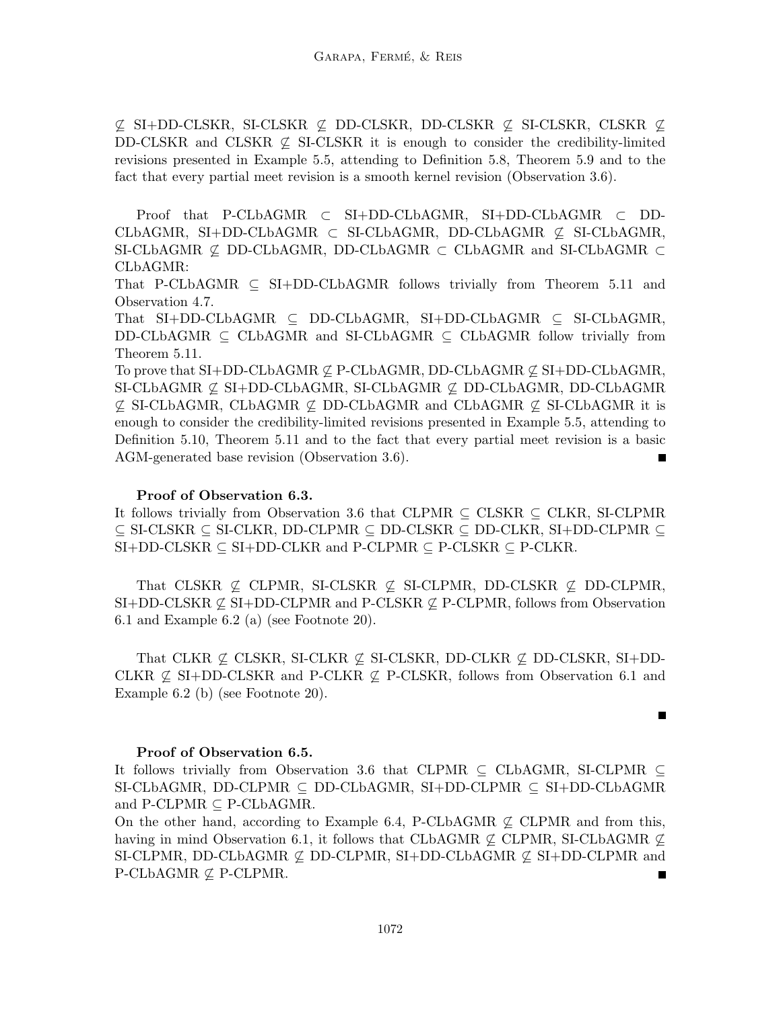$\nsubseteq$  SI+DD-CLSKR, SI-CLSKR  $\nsubseteq$  DD-CLSKR, DD-CLSKR  $\nsubseteq$  SI-CLSKR, CLSKR  $\nsubseteq$ DD-CLSKR and CLSKR  $\&$  SI-CLSKR it is enough to consider the credibility-limited revisions presented in Example 5.5, attending to Definition 5.8, Theorem 5.9 and to the fact that every partial meet revision is a smooth kernel revision (Observation 3.6).

Proof that P-CLbAGMR ⊂ SI+DD-CLbAGMR, SI+DD-CLbAGMR ⊂ DD-CLbAGMR, SI+DD-CLbAGMR  $\subset$  SI-CLbAGMR, DD-CLbAGMR  $\nsubseteq$  SI-CLbAGMR, SI-CLbAGMR ⊄ DD-CLbAGMR, DD-CLbAGMR ⊂ CLbAGMR and SI-CLbAGMR ⊂ CLbAGMR:

That P-CLbAGMR  $\subseteq$  SI+DD-CLbAGMR follows trivially from Theorem 5.11 and Observation 4.7.

That SI+DD-CLbAGMR ⊆ DD-CLbAGMR, SI+DD-CLbAGMR ⊆ SI-CLbAGMR,  $DD-CLbAGMR \subseteq CLbAGMR$  and  $SL-CLbAGMR \subseteq CLbAGMR$  follow trivially from Theorem 5.11.

To prove that SI+DD-CLbAGMR  $\nsubseteq$  P-CLbAGMR, DD-CLbAGMR  $\nsubseteq$  SI+DD-CLbAGMR, SI-CLbAGMR ⊈ SI+DD-CLbAGMR, SI-CLbAGMR ⊈ DD-CLbAGMR, DD-CLbAGMR  $\nsubseteq$  SI-CLbAGMR, CLbAGMR  $\nsubseteq$  DD-CLbAGMR and CLbAGMR  $\nsubseteq$  SI-CLbAGMR it is enough to consider the credibility-limited revisions presented in Example 5.5, attending to Definition 5.10, Theorem 5.11 and to the fact that every partial meet revision is a basic AGM-generated base revision (Observation 3.6).  $\blacksquare$ 

# Proof of Observation 6.3.

It follows trivially from Observation 3.6 that  $CLPMR \subseteq CLSKR \subseteq CLKR$ , SI-CLPMR ⊆ SI-CLSKR ⊆ SI-CLKR, DD-CLPMR ⊆ DD-CLSKR ⊆ DD-CLKR, SI+DD-CLPMR ⊆  $SI+DD-CLSKR \subseteq SI+DD-CLKR$  and  $P-CLPMR \subseteq P-CLSKR \subseteq P-CLKR$ .

That CLSKR  $\nsubseteq$  CLPMR, SI-CLSKR  $\nsubseteq$  SI-CLPMR, DD-CLSKR  $\nsubseteq$  DD-CLPMR,  $SI+DD-CLSKR \nsubseteq SI+DD-CLPMR$  and P-CLSKR  $\nsubseteq$  P-CLPMR, follows from Observation 6.1 and Example 6.2 (a) (see Footnote 20).

That CLKR  $\nsubseteq$  CLSKR, SI-CLKR  $\nsubseteq$  SI-CLSKR, DD-CLKR  $\nsubseteq$  DD-CLSKR, SI+DD-CLKR  $\&$  SI+DD-CLSKR and P-CLKR  $\&$  P-CLSKR, follows from Observation 6.1 and Example 6.2 (b) (see Footnote 20).

П

# Proof of Observation 6.5.

It follows trivially from Observation 3.6 that CLPMR  $\subseteq$  CLbAGMR, SI-CLPMR  $\subseteq$ SI-CLbAGMR, DD-CLPMR ⊆ DD-CLbAGMR, SI+DD-CLPMR ⊆ SI+DD-CLbAGMR and P-CLPMR  $\subseteq$  P-CLbAGMR.

On the other hand, according to Example 6.4, P-CLbAGMR  $\varphi$  CLPMR and from this, having in mind Observation 6.1, it follows that CLbAGMR  $\mathcal{Z}$  CLPMR, SI-CLbAGMR  $\mathcal{Z}$ SI-CLPMR, DD-CLbAGMR  $\nsubseteq$  DD-CLPMR, SI+DD-CLbAGMR  $\nsubseteq$  SI+DD-CLPMR and  $P\text{-CLbAGMR} \nsubseteq P\text{-CLPMR}.$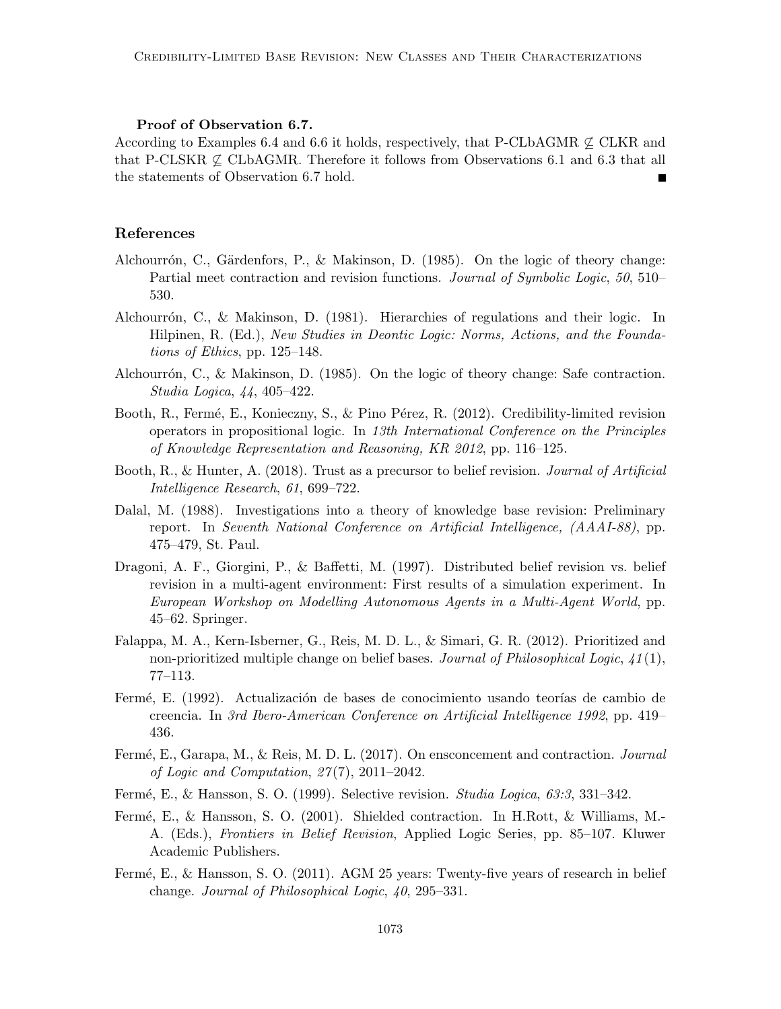### Proof of Observation 6.7.

According to Examples 6.4 and 6.6 it holds, respectively, that P-CLbAGMR  $\varphi$  CLKR and that P-CLSKR  $\mathcal{L}$  CLbAGMR. Therefore it follows from Observations 6.1 and 6.3 that all the statements of Observation 6.7 hold.

# References

- Alchourrón, C., Gärdenfors, P., & Makinson, D. (1985). On the logic of theory change: Partial meet contraction and revision functions. Journal of Symbolic Logic, 50, 510– 530.
- Alchourrón, C., & Makinson, D. (1981). Hierarchies of regulations and their logic. In Hilpinen, R. (Ed.), New Studies in Deontic Logic: Norms, Actions, and the Foundations of Ethics, pp. 125–148.
- Alchourrón, C.,  $\&$  Makinson, D. (1985). On the logic of theory change: Safe contraction. Studia Logica, 44, 405–422.
- Booth, R., Fermé, E., Konieczny, S., & Pino Pérez, R. (2012). Credibility-limited revision operators in propositional logic. In 13th International Conference on the Principles of Knowledge Representation and Reasoning, KR 2012, pp. 116–125.
- Booth, R., & Hunter, A. (2018). Trust as a precursor to belief revision. Journal of Artificial Intelligence Research, 61, 699–722.
- Dalal, M. (1988). Investigations into a theory of knowledge base revision: Preliminary report. In Seventh National Conference on Artificial Intelligence, (AAAI-88), pp. 475–479, St. Paul.
- Dragoni, A. F., Giorgini, P., & Baffetti, M. (1997). Distributed belief revision vs. belief revision in a multi-agent environment: First results of a simulation experiment. In European Workshop on Modelling Autonomous Agents in a Multi-Agent World, pp. 45–62. Springer.
- Falappa, M. A., Kern-Isberner, G., Reis, M. D. L., & Simari, G. R. (2012). Prioritized and non-prioritized multiple change on belief bases. Journal of Philosophical Logic,  $41(1)$ , 77–113.
- Fermé, E. (1992). Actualización de bases de conocimiento usando teorías de cambio de creencia. In 3rd Ibero-American Conference on Artificial Intelligence 1992, pp. 419– 436.
- Fermé, E., Garapa, M., & Reis, M. D. L. (2017). On ensconcement and contraction. *Journal* of Logic and Computation,  $27(7)$ ,  $2011-2042$ .
- Fermé, E., & Hansson, S. O. (1999). Selective revision. *Studia Logica*, 63:3, 331–342.
- Fermé, E., & Hansson, S. O. (2001). Shielded contraction. In H.Rott, & Williams, M.-A. (Eds.), Frontiers in Belief Revision, Applied Logic Series, pp. 85–107. Kluwer Academic Publishers.
- Fermé, E., & Hansson, S. O. (2011). AGM 25 years: Twenty-five years of research in belief change. Journal of Philosophical Logic, 40, 295–331.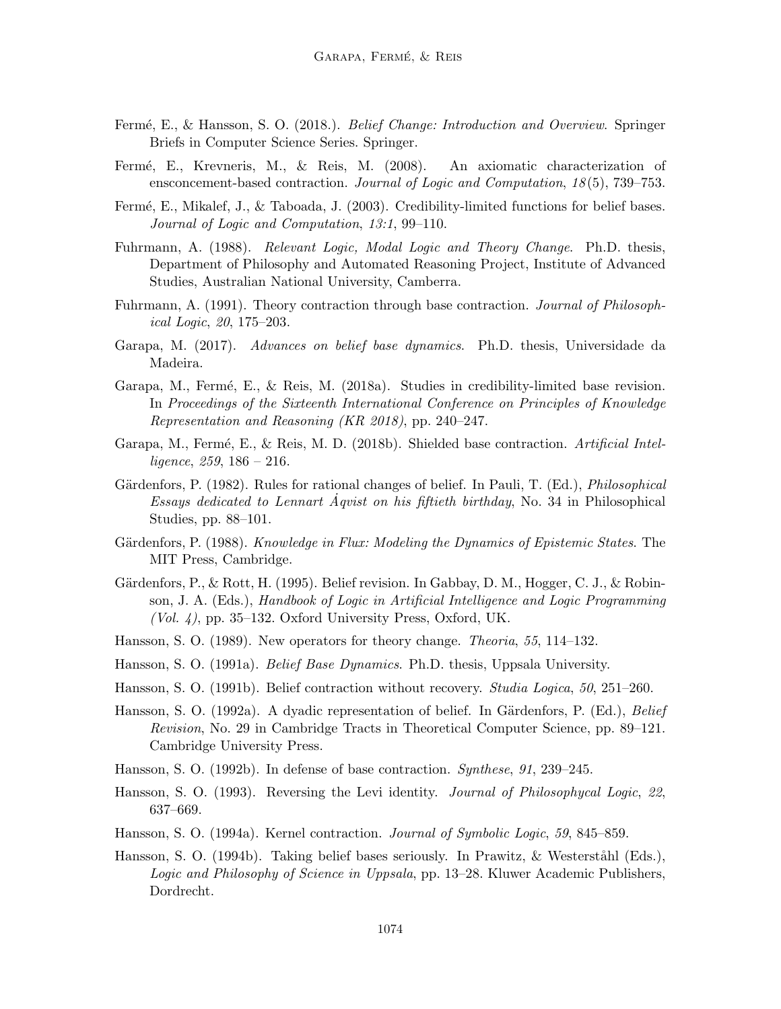- Fermé, E., & Hansson, S. O. (2018.). *Belief Change: Introduction and Overview*. Springer Briefs in Computer Science Series. Springer.
- Fermé, E., Krevneris, M., & Reis, M. (2008). An axiomatic characterization of ensconcement-based contraction. Journal of Logic and Computation, 18(5), 739–753.
- Fermé, E., Mikalef, J., & Taboada, J. (2003). Credibility-limited functions for belief bases. Journal of Logic and Computation, 13:1, 99–110.
- Fuhrmann, A. (1988). Relevant Logic, Modal Logic and Theory Change. Ph.D. thesis, Department of Philosophy and Automated Reasoning Project, Institute of Advanced Studies, Australian National University, Camberra.
- Fuhrmann, A. (1991). Theory contraction through base contraction. Journal of Philosophical Logic, 20, 175–203.
- Garapa, M. (2017). Advances on belief base dynamics. Ph.D. thesis, Universidade da Madeira.
- Garapa, M., Fermé, E., & Reis, M. (2018a). Studies in credibility-limited base revision. In Proceedings of the Sixteenth International Conference on Principles of Knowledge Representation and Reasoning (KR 2018), pp. 240–247.
- Garapa, M., Fermé, E., & Reis, M. D. (2018b). Shielded base contraction. Artificial Intelligence, 259,  $186 - 216$ .
- Gärdenfors, P. (1982). Rules for rational changes of belief. In Pauli, T. (Ed.), *Philosophical* Essays dedicated to Lennart  $\dot{A}$ qvist on his fiftieth birthday, No. 34 in Philosophical Studies, pp. 88–101.
- Gärdenfors, P. (1988). Knowledge in Flux: Modeling the Dynamics of Epistemic States. The MIT Press, Cambridge.
- Gärdenfors, P., & Rott, H. (1995). Belief revision. In Gabbay, D. M., Hogger, C. J., & Robinson, J. A. (Eds.), Handbook of Logic in Artificial Intelligence and Logic Programming  $(Vol. 4)$ , pp. 35–132. Oxford University Press, Oxford, UK.
- Hansson, S. O. (1989). New operators for theory change. Theoria, 55, 114–132.
- Hansson, S. O. (1991a). *Belief Base Dynamics*. Ph.D. thesis, Uppsala University.
- Hansson, S. O. (1991b). Belief contraction without recovery. *Studia Logica*, 50, 251–260.
- Hansson, S. O. (1992a). A dyadic representation of belief. In Gärdenfors, P. (Ed.), Belief Revision, No. 29 in Cambridge Tracts in Theoretical Computer Science, pp. 89–121. Cambridge University Press.
- Hansson, S. O. (1992b). In defense of base contraction. Synthese, 91, 239–245.
- Hansson, S. O. (1993). Reversing the Levi identity. *Journal of Philosophycal Logic*, 22, 637–669.
- Hansson, S. O. (1994a). Kernel contraction. Journal of Symbolic Logic, 59, 845–859.
- Hansson, S. O. (1994b). Taking belief bases seriously. In Prawitz, & Westerståhl (Eds.), Logic and Philosophy of Science in Uppsala, pp. 13–28. Kluwer Academic Publishers, Dordrecht.